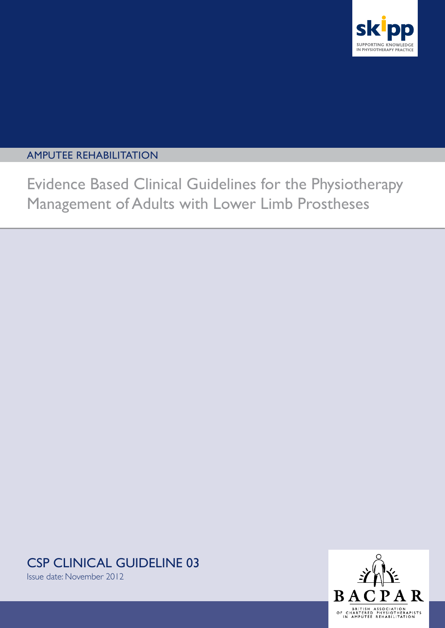

## amputee rehabilitation

Evidence Based Clinical Guidelines for the Physiotherapy Management of Adults with Lower Limb Prostheses

CSP clinical guideline 03



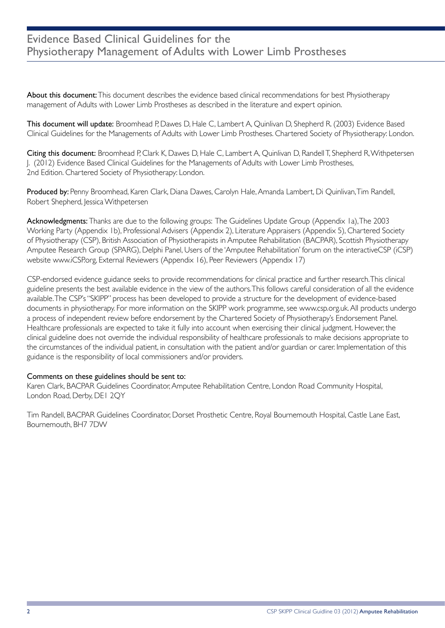## Evidence Based Clinical Guidelines for the Physiotherapy Management of Adults with Lower Limb Prostheses

About this document: This document describes the evidence based clinical recommendations for best Physiotherapy management of Adults with Lower Limb Prostheses as described in the literature and expert opinion.

This document will update: Broomhead P, Dawes D, Hale C, Lambert A, Quinlivan D, Shepherd R. (2003) Evidence Based Clinical Guidelines for the Managements of Adults with Lower Limb Prostheses. Chartered Society of Physiotherapy: London.

Citing this document: Broomhead P, Clark K, Dawes D, Hale C, Lambert A, Quinlivan D, Randell T, Shepherd R, Withpetersen J. (2012) Evidence Based Clinical Guidelines for the Managements of Adults with Lower Limb Prostheses, 2nd Edition. Chartered Society of Physiotherapy: London.

Produced by: Penny Broomhead, Karen Clark, Diana Dawes, Carolyn Hale, Amanda Lambert, Di Quinlivan, Tim Randell, Robert Shepherd, Jessica Withpetersen

Acknowledgments: Thanks are due to the following groups: The Guidelines Update Group (Appendix 1a), The 2003 Working Party (Appendix 1b), Professional Advisers (Appendix 2), Literature Appraisers (Appendix 5), Chartered Society of Physiotherapy (CSP), British Association of Physiotherapists in Amputee Rehabilitation (BACPAR), Scottish Physiotherapy Amputee Research Group (SPARG), Delphi Panel, Users of the 'Amputee Rehabilitation' forum on the interactiveCSP (iCSP) website www.iCSP.org, External Reviewers (Appendix 16), Peer Reviewers (Appendix 17)

CSP-endorsed evidence guidance seeks to provide recommendations for clinical practice and further research. This clinical guideline presents the best available evidence in the view of the authors. This follows careful consideration of all the evidence available. The CSP's "SKIPP" process has been developed to provide a structure for the development of evidence-based documents in physiotherapy. For more information on the SKIPP work programme, see www.csp.org.uk. All products undergo a process of independent review before endorsement by the Chartered Society of Physiotherapy's Endorsement Panel. Healthcare professionals are expected to take it fully into account when exercising their clinical judgment. However, the clinical guideline does not override the individual responsibility of healthcare professionals to make decisions appropriate to the circumstances of the individual patient, in consultation with the patient and/or guardian or carer. Implementation of this guidance is the responsibility of local commissioners and/or providers.

#### Comments on these guidelines should be sent to:

Karen Clark, BACPAR Guidelines Coordinator, Amputee Rehabilitation Centre, London Road Community Hospital, London Road, Derby, DE1 2QY

Tim Randell, BACPAR Guidelines Coordinator, Dorset Prosthetic Centre, Royal Bournemouth Hospital, Castle Lane East, Bournemouth, BH7 7DW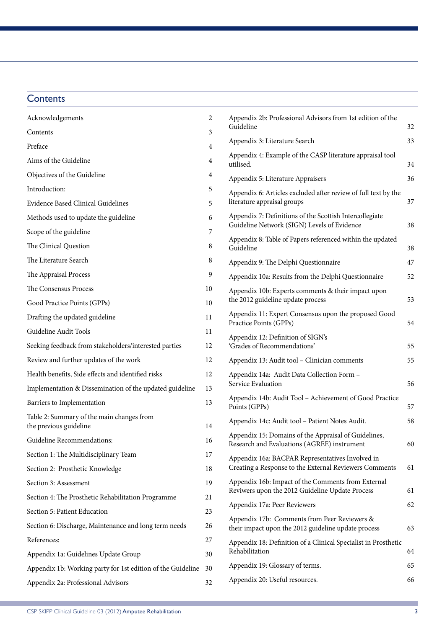## **Contents**

| Acknowledgements                                                    | 2  | Appendix 2b: Professional Advisors from 1st edition of the<br>Guideline                                |    |
|---------------------------------------------------------------------|----|--------------------------------------------------------------------------------------------------------|----|
| Contents                                                            | 3  |                                                                                                        | 32 |
| Preface                                                             | 4  | Appendix 3: Literature Search                                                                          | 33 |
| Aims of the Guideline                                               | 4  | Appendix 4: Example of the CASP literature appraisal tool<br>utilised.                                 | 34 |
| Objectives of the Guideline                                         | 4  | Appendix 5: Literature Appraisers                                                                      | 36 |
| Introduction:                                                       | 5  | Appendix 6: Articles excluded after review of full text by the                                         |    |
| Evidence Based Clinical Guidelines                                  | 5  | literature appraisal groups                                                                            | 37 |
| Methods used to update the guideline                                | 6  | Appendix 7: Definitions of the Scottish Intercollegiate<br>Guideline Network (SIGN) Levels of Evidence | 38 |
| Scope of the guideline                                              | 7  | Appendix 8: Table of Papers referenced within the updated                                              |    |
| The Clinical Question                                               | 8  | Guideline                                                                                              | 38 |
| The Literature Search                                               | 8  | Appendix 9: The Delphi Questionnaire                                                                   | 47 |
| The Appraisal Process                                               | 9  | Appendix 10a: Results from the Delphi Questionnaire                                                    | 52 |
| The Consensus Process                                               | 10 | Appendix 10b: Experts comments & their impact upon                                                     |    |
| Good Practice Points (GPPs)                                         | 10 | the 2012 guideline update process                                                                      | 53 |
| Drafting the updated guideline                                      | 11 | Appendix 11: Expert Consensus upon the proposed Good<br>Practice Points (GPPs)                         | 54 |
| Guideline Audit Tools                                               | 11 | Appendix 12: Definition of SIGN's                                                                      |    |
| Seeking feedback from stakeholders/interested parties               | 12 | 'Grades of Recommendations'                                                                            | 55 |
| Review and further updates of the work                              | 12 | Appendix 13: Audit tool - Clinician comments                                                           | 55 |
| Health benefits, Side effects and identified risks                  | 12 | Appendix 14a: Audit Data Collection Form -                                                             |    |
| Implementation & Dissemination of the updated guideline             | 13 | Service Evaluation                                                                                     | 56 |
| Barriers to Implementation                                          | 13 | Appendix 14b: Audit Tool - Achievement of Good Practice<br>Points (GPPs)                               | 57 |
| Table 2: Summary of the main changes from<br>the previous guideline | 14 | Appendix 14c: Audit tool - Patient Notes Audit.                                                        | 58 |
| Guideline Recommendations:                                          | 16 | Appendix 15: Domains of the Appraisal of Guidelines,<br>Research and Evaluations (AGREE) instrument    | 60 |
| Section 1: The Multidisciplinary Team                               | 17 | Appendix 16a: BACPAR Representatives Involved in                                                       |    |
| Section 2: Prosthetic Knowledge                                     | 18 | Creating a Response to the External Reviewers Comments                                                 | 61 |
| Section 3: Assessment                                               | 19 | Appendix 16b: Impact of the Comments from External                                                     |    |
| Section 4: The Prosthetic Rehabilitation Programme                  | 21 | Reviwers upon the 2012 Guideline Update Process                                                        | 61 |
| Section 5: Patient Education                                        | 23 | Appendix 17a: Peer Reviewers                                                                           | 62 |
| Section 6: Discharge, Maintenance and long term needs               | 26 | Appendix 17b: Comments from Peer Reviewers &<br>their impact upon the 2012 guideline update process    | 63 |
| References:                                                         | 27 | Appendix 18: Definition of a Clinical Specialist in Prosthetic                                         |    |
| Appendix 1a: Guidelines Update Group                                | 30 | Rehabilitation                                                                                         | 64 |
| Appendix 1b: Working party for 1st edition of the Guideline         | 30 | Appendix 19: Glossary of terms.                                                                        | 65 |
| Appendix 2a: Professional Advisors                                  | 32 | Appendix 20: Useful resources.                                                                         | 66 |
|                                                                     |    |                                                                                                        |    |

| Appendix 2b: Professional Advisors from 1st edition of the<br>Guideline                                    | 32 |
|------------------------------------------------------------------------------------------------------------|----|
| Appendix 3: Literature Search                                                                              | 33 |
| Appendix 4: Example of the CASP literature appraisal tool<br>utilised.                                     | 34 |
| Appendix 5: Literature Appraisers                                                                          | 36 |
| Appendix 6: Articles excluded after review of full text by the<br>literature appraisal groups              | 37 |
| Appendix 7: Definitions of the Scottish Intercollegiate<br>Guideline Network (SIGN) Levels of Evidence     | 38 |
| Appendix 8: Table of Papers referenced within the updated<br>Guideline                                     | 38 |
| Appendix 9: The Delphi Questionnaire                                                                       | 47 |
| Appendix 10a: Results from the Delphi Questionnaire                                                        | 52 |
| Appendix 10b: Experts comments & their impact upon<br>the 2012 guideline update process                    | 53 |
| Appendix 11: Expert Consensus upon the proposed Good<br>Practice Points (GPPs)                             | 54 |
| Appendix 12: Definition of SIGN's<br>'Grades of Recommendations'                                           | 55 |
| Appendix 13: Audit tool - Clinician comments                                                               | 55 |
| Appendix 14a: Audit Data Collection Form -<br>Service Evaluation                                           | 56 |
| Appendix 14b: Audit Tool - Achievement of Good Practice<br>Points (GPPs)                                   | 57 |
| Appendix 14c: Audit tool - Patient Notes Audit.                                                            | 58 |
| Appendix 15: Domains of the Appraisal of Guidelines,<br>Research and Evaluations (AGREE) instrument        | 60 |
| Appendix 16a: BACPAR Representatives Involved in<br>Creating a Response to the External Reviewers Comments | 61 |
| Appendix 16b: Impact of the Comments from External<br>Reviwers upon the 2012 Guideline Update Process      | 61 |
| Appendix 17a: Peer Reviewers                                                                               | 62 |
| Appendix 17b: Comments from Peer Reviewers &<br>their impact upon the 2012 guideline update process        | 63 |
| Appendix 18: Definition of a Clinical Specialist in Prosthetic<br>Rehabilitation                           | 64 |
| Appendix 19: Glossary of terms.                                                                            | 65 |
|                                                                                                            |    |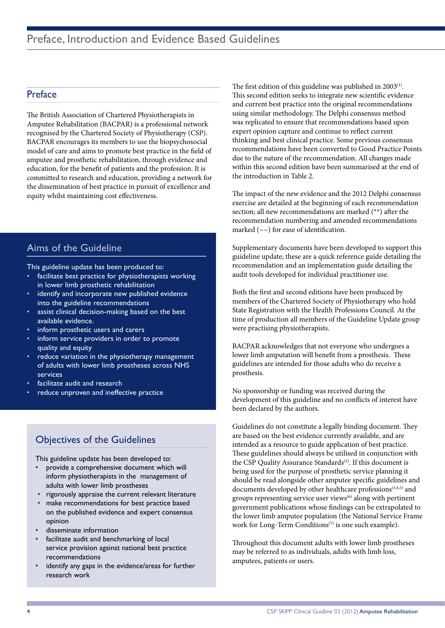## Preface

The British Association of Chartered Physiotherapists in Amputee Rehabilitation (BACPAR) is a professional network recognised by the Chartered Society of Physiotherapy (CSP). BACPAR encourages its members to use the biopsychosocial model of care and aims to promote best practice in the field of amputee and prosthetic rehabilitation, through evidence and education, for the benefit of patients and the profession. It is committed to research and education, providing a network for the dissemination of best practice in pursuit of excellence and equity whilst maintaining cost effectiveness.

## Aims of the Guideline

This guideline update has been produced to:

- facilitate best practice for physiotherapists working in lower limb prosthetic rehabilitation
- identify and incorporate new published evidence into the guideline recommendations
- assist clinical decision-making based on the best available evidence.
- inform prosthetic users and carers
- inform service providers in order to promote quality and equity
- reduce variation in the physiotherapy management of adults with lower limb prostheses across NHS services
- facilitate audit and research
- reduce unproven and ineffective practice

## Objectives of the Guidelines

This guideline update has been developed to:

- provide a comprehensive document which will inform physiotherapists in the management of adults with lower limb prostheses
- rigorously appraise the current relevant literature
- make recommendations for best practice based on the published evidence and expert consensus opinion
- disseminate information
- facilitate audit and benchmarking of local service provision against national best practice recommendations
- identify any gaps in the evidence/areas for further research work

The first edition of this guideline was published in 2003<sup>(1)</sup>. This second edition seeks to integrate new scientific evidence and current best practice into the original recommendations using similar methodology. The Delphi consensus method was replicated to ensure that recommendations based upon expert opinion capture and continue to reflect current thinking and best clinical practice. Some previous consensus recommendations have been converted to Good Practice Points due to the nature of the recommendation. All changes made within this second edition have been summarised at the end of the introduction in Table 2.

The impact of the new evidence and the 2012 Delphi consensus exercise are detailed at the beginning of each recommendation section; all new recommendations are marked (\*\*) after the recommendation numbering and amended recommendations marked  $(\sim)$  for ease of identification.

Supplementary documents have been developed to support this guideline update; these are a quick reference guide detailing the recommendation and an implementation guide detailing the audit tools developed for individual practitioner use.

Both the first and second editions have been produced by members of the Chartered Society of Physiotherapy who hold State Registration with the Health Professions Council. At the time of production all members of the Guideline Update group were practising physiotherapists.

BACPAR acknowledges that not everyone who undergoes a lower limb amputation will benefit from a prosthesis. These guidelines are intended for those adults who do receive a prosthesis.

No sponsorship or funding was received during the development of this guideline and no conflicts of interest have been declared by the authors.

Guidelines do not constitute a legally binding document. They are based on the best evidence currently available, and are intended as a resource to guide application of best practice. These guidelines should always be utilised in conjunction with the CSP Quality Assurance Standards<sup>(2)</sup>. If this document is being used for the purpose of prosthetic service planning it should be read alongside other amputee specific guidelines and documents developed by other healthcare professions<sup>(3,4,5)</sup> and groups representing service user views $(6)$  along with pertinent government publications whose findings can be extrapolated to the lower limb amputee population (the National Service Frame work for Long-Term Conditions<sup>(7)</sup> is one such example).

Throughout this document adults with lower limb prostheses may be referred to as individuals, adults with limb loss, amputees, patients or users.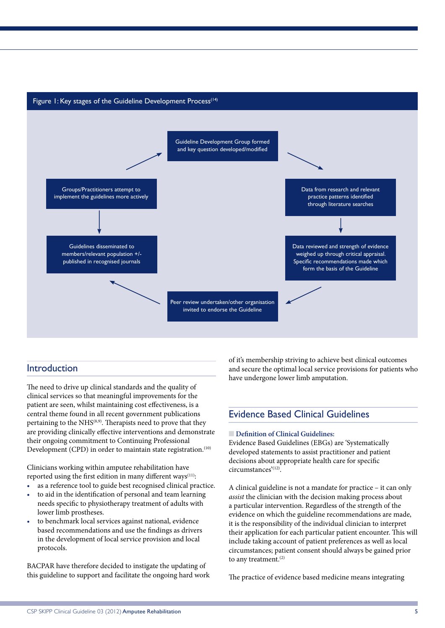#### Figure 1: Key stages of the Guideline Development Process<sup> $(14)$ </sup>



#### Introduction

The need to drive up clinical standards and the quality of clinical services so that meaningful improvements for the patient are seen, whilst maintaining cost effectiveness, is a central theme found in all recent government publications pertaining to the NHS<sup>(8,9)</sup>. Therapists need to prove that they are providing clinically effective interventions and demonstrate their ongoing commitment to Continuing Professional Development (CPD) in order to maintain state registration.<sup>(10)</sup>

Clinicians working within amputee rehabilitation have reported using the first edition in many different ways<sup>(11)</sup>:

- as a reference tool to guide best recognised clinical practice.
- to aid in the identification of personal and team learning needs specific to physiotherapy treatment of adults with lower limb prostheses.
- to benchmark local services against national, evidence based recommendations and use the findings as drivers in the development of local service provision and local protocols.

BACPAR have therefore decided to instigate the updating of this guideline to support and facilitate the ongoing hard work of it's membership striving to achieve best clinical outcomes and secure the optimal local service provisions for patients who have undergone lower limb amputation.

## Evidence Based Clinical Guidelines

#### **n Definition of Clinical Guidelines:**

Evidence Based Guidelines (EBGs) are 'Systematically developed statements to assist practitioner and patient decisions about appropriate health care for specific circumstances'(12).

A clinical guideline is not a mandate for practice – it can only *assist* the clinician with the decision making process about a particular intervention. Regardless of the strength of the evidence on which the guideline recommendations are made, it is the responsibility of the individual clinician to interpret their application for each particular patient encounter. This will include taking account of patient preferences as well as local circumstances; patient consent should always be gained prior to any treatment.<sup>(2)</sup>

The practice of evidence based medicine means integrating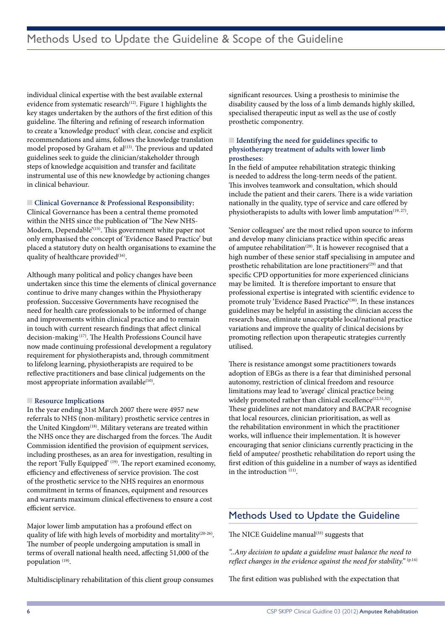individual clinical expertise with the best available external evidence from systematic research<sup>(12)</sup>. Figure 1 highlights the key stages undertaken by the authors of the first edition of this guideline. The filtering and refining of research information to create a 'knowledge product' with clear, concise and explicit recommendations and aims, follows the knowledge translation model proposed by Graham et al<sup>(13)</sup>. The previous and updated guidelines seek to guide the clinician/stakeholder through steps of knowledge acquisition and transfer and facilitate instrumental use of this new knowledge by actioning changes in clinical behaviour.

 $\Box$  Clinical Governance & Professional Responsibility:

Clinical Governance has been a central theme promoted within the NHS since the publication of 'The New NHS-Modern, Dependable'(15). This government white paper not only emphasised the concept of 'Evidence Based Practice' but placed a statutory duty on health organisations to examine the quality of healthcare provided<sup>(16)</sup>.

Although many political and policy changes have been undertaken since this time the elements of clinical governance continue to drive many changes within the Physiotherapy profession. Successive Governments have recognised the need for health care professionals to be informed of change and improvements within clinical practice and to remain in touch with current research findings that affect clinical decision-making (17). The Health Professions Council have now made continuing professional development a regulatory requirement for physiotherapists and, through commitment to lifelong learning, physiotherapists are required to be reflective practitioners and base clinical judgements on the most appropriate information available<sup>(10)</sup>.

#### **n** Resource Implications

In the year ending 31st March 2007 there were 4957 new referrals to NHS (non-military) prosthetic service centres in the United Kingdom<sup>(18)</sup>. Military veterans are treated within the NHS once they are discharged from the forces. The Audit Commission identified the provision of equipment services, including prostheses, as an area for investigation, resulting in the report 'Fully Equipped' (19). The report examined economy, efficiency and effectiveness of service provision. The cost of the prosthetic service to the NHS requires an enormous commitment in terms of finances, equipment and resources and warrants maximum clinical effectiveness to ensure a cost efficient service.

Major lower limb amputation has a profound effect on quality of life with high levels of morbidity and mortality<sup>(20-26)</sup>. The number of people undergoing amputation is small in terms of overall national health need, affecting 51,000 of the population (19).

Multidisciplinary rehabilitation of this client group consumes

significant resources. Using a prosthesis to minimise the disability caused by the loss of a limb demands highly skilled, specialised therapeutic input as well as the use of costly prosthetic componentry.

#### ■ **Identifying the need for guidelines specific to physiotherapy treatment of adults with lower limb prostheses:**

In the field of amputee rehabilitation strategic thinking is needed to address the long-term needs of the patient. This involves teamwork and consultation, which should include the patient and their carers. There is a wide variation nationally in the quality, type of service and care offered by physiotherapists to adults with lower limb amputation<sup>(19, 27)</sup>.

'Senior colleagues' are the most relied upon source to inform and develop many clinicians practice within specific areas of amputee rehabilitation<sup>(28)</sup>. It is however recognised that a high number of these senior staff specialising in amputee and prosthetic rehabilitation are lone practitioners<sup>(29)</sup> and that specific CPD opportunities for more experienced clinicians may be limited. It is therefore important to ensure that professional expertise is integrated with scientific evidence to promote truly 'Evidence Based Practice'<sup>(30)</sup>. In these instances guidelines may be helpful in assisting the clinician access the research base, eliminate unacceptable local/national practice variations and improve the quality of clinical decisions by promoting reflection upon therapeutic strategies currently utilised.

There is resistance amongst some practitioners towards adoption of EBGs as there is a fear that diminished personal autonomy, restriction of clinical freedom and resource limitations may lead to 'average' clinical practice being widely promoted rather than clinical excellence<sup>(12,31,32)</sup>. These guidelines are not mandatory and BACPAR recognise that local resources, clinician prioritisation, as well as the rehabilitation environment in which the practitioner works, will influence their implementation. It is however encouraging that senior clinicians currently practicing in the field of amputee/ prosthetic rehabilitation do report using the first edition of this guideline in a number of ways as identified in the introduction (11).

## Methods Used to Update the Guideline

The NICE Guideline manual $(33)$  suggests that

*"..Any decision to update a guideline must balance the need to reflect changes in the evidence against the need for stability."* (p.14)

The first edition was published with the expectation that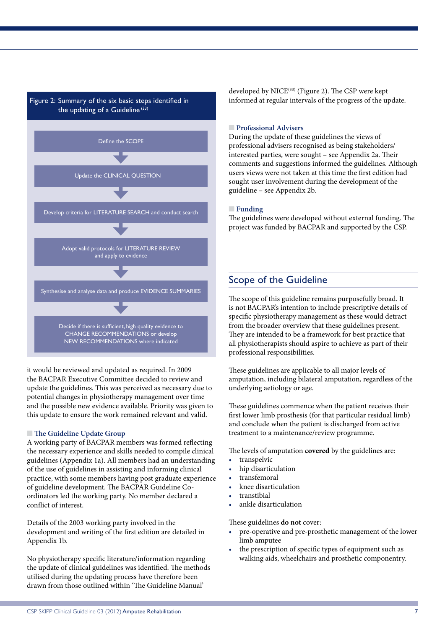



it would be reviewed and updated as required. In 2009 the BACPAR Executive Committee decided to review and update the guidelines. This was perceived as necessary due to potential changes in physiotherapy management over time and the possible new evidence available. Priority was given to this update to ensure the work remained relevant and valid.

#### **n** The Guideline Update Group

A working party of BACPAR members was formed reflecting the necessary experience and skills needed to compile clinical guidelines (Appendix 1a). All members had an understanding of the use of guidelines in assisting and informing clinical practice, with some members having post graduate experience of guideline development. The BACPAR Guideline Coordinators led the working party. No member declared a conflict of interest.

Details of the 2003 working party involved in the development and writing of the first edition are detailed in Appendix 1b.

No physiotherapy specific literature/information regarding the update of clinical guidelines was identified. The methods utilised during the updating process have therefore been drawn from those outlined within 'The Guideline Manual'

developed by NICE<sup>(33)</sup> (Figure 2). The CSP were kept informed at regular intervals of the progress of the update.

#### **n Professional Advisers**

During the update of these guidelines the views of professional advisers recognised as being stakeholders/ interested parties, were sought – see Appendix 2a. Their comments and suggestions informed the guidelines. Although users views were not taken at this time the first edition had sought user involvement during the development of the guideline – see Appendix 2b.

#### **nFunding**

The guidelines were developed without external funding. The project was funded by BACPAR and supported by the CSP.

## Scope of the Guideline

The scope of this guideline remains purposefully broad. It is not BACPAR's intention to include prescriptive details of specific physiotherapy management as these would detract from the broader overview that these guidelines present. They are intended to be a framework for best practice that all physiotherapists should aspire to achieve as part of their professional responsibilities.

These guidelines are applicable to all major levels of amputation, including bilateral amputation, regardless of the underlying aetiology or age.

These guidelines commence when the patient receives their first lower limb prosthesis (for that particular residual limb) and conclude when the patient is discharged from active treatment to a maintenance/review programme.

The levels of amputation **covered** by the guidelines are:

- transpelvic
- hip disarticulation
- transfemoral
- knee disarticulation
- **transtibial**
- ankle disarticulation

These guidelines **do not** cover:

- pre-operative and pre-prosthetic management of the lower limb amputee
- the prescription of specific types of equipment such as walking aids, wheelchairs and prosthetic componentry.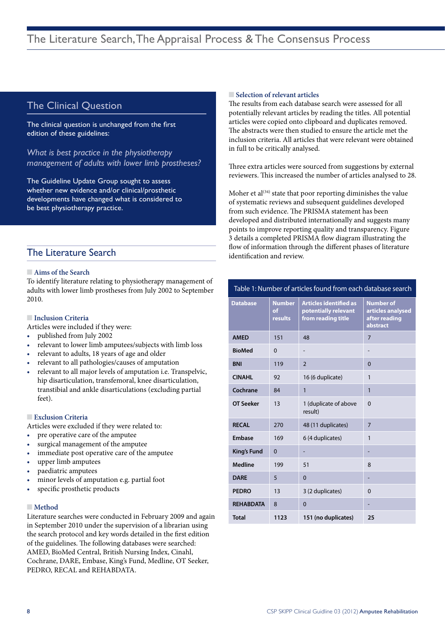## The Clinical Question

The clinical question is unchanged from the first edition of these guidelines:

*What is best practice in the physiotherapy management of adults with lower limb prostheses?*

The Guideline Update Group sought to assess whether new evidence and/or clinical/prosthetic developments have changed what is considered to be best physiotherapy practice.

## The Literature Search

#### **No. 7 Aims of the Search**

To identify literature relating to physiotherapy management of adults with lower limb prostheses from July 2002 to September 2010.

#### **nInclusion Criteria**

Articles were included if they were:

- published from July 2002
- relevant to lower limb amputees/subjects with limb loss
- relevant to adults, 18 years of age and older
- relevant to all pathologies/causes of amputation
- relevant to all major levels of amputation i.e. Transpelvic, hip disarticulation, transfemoral, knee disarticulation, transtibial and ankle disarticulations (excluding partial feet).

#### **Exclusion Criteria**

Articles were excluded if they were related to:

- pre operative care of the amputee
- surgical management of the amputee
- immediate post operative care of the amputee
- upper limb amputees
- paediatric amputees
- minor levels of amputation e.g. partial foot
- specific prosthetic products

#### **■** Method

Literature searches were conducted in February 2009 and again in September 2010 under the supervision of a librarian using the search protocol and key words detailed in the first edition of the guidelines. The following databases were searched: AMED, BioMed Central, British Nursing Index, Cinahl, Cochrane, DARE, Embase, King's Fund, Medline, OT Seeker, PEDRO, RECAL and REHABDATA.

#### **n** Selection of relevant articles

The results from each database search were assessed for all potentially relevant articles by reading the titles. All potential articles were copied onto clipboard and duplicates removed. The abstracts were then studied to ensure the article met the inclusion criteria. All articles that were relevant were obtained in full to be critically analysed.

Three extra articles were sourced from suggestions by external reviewers. This increased the number of articles analysed to 28.

Moher et  $al^{(34)}$  state that poor reporting diminishes the value of systematic reviews and subsequent guidelines developed from such evidence. The PRISMA statement has been developed and distributed internationally and suggests many points to improve reporting quality and transparency. Figure 3 details a completed PRISMA flow diagram illustrating the flow of information through the different phases of literature identification and review.

#### Table 1: Number of articles found from each database search

| <b>Database</b>  | <b>Number</b><br>of<br>results | <b>Articles identified as</b><br>potentially relevant<br>from reading title | <b>Number of</b><br>articles analysed<br>after reading<br>abstract |
|------------------|--------------------------------|-----------------------------------------------------------------------------|--------------------------------------------------------------------|
| <b>AMED</b>      | 151                            | 48                                                                          | $\overline{7}$                                                     |
| <b>BioMed</b>    | $\mathbf{0}$                   |                                                                             |                                                                    |
| <b>BNI</b>       | 119                            | $\overline{2}$                                                              | $\Omega$                                                           |
| <b>CINAHL</b>    | 92                             | 16 (6 duplicate)                                                            | 1                                                                  |
| Cochrane         | 84                             | $\mathbf{1}$                                                                | $\mathbf{1}$                                                       |
| <b>OT Seeker</b> | 13                             | 1 (duplicate of above<br>result)                                            | $\mathbf{0}$                                                       |
| <b>RECAL</b>     | 270                            | 48 (11 duplicates)                                                          | $\overline{7}$                                                     |
| Embase           | 169                            | 6 (4 duplicates)                                                            | 1                                                                  |
| King's Fund      | $\Omega$                       |                                                                             |                                                                    |
| <b>Medline</b>   | 199                            | 51                                                                          | 8                                                                  |
| <b>DARE</b>      | 5                              | $\overline{0}$                                                              |                                                                    |
| <b>PEDRO</b>     | 13                             | 3 (2 duplicates)                                                            | $\mathbf{0}$                                                       |
| <b>REHABDATA</b> | 8                              | $\Omega$                                                                    |                                                                    |
| <b>Total</b>     | 1123                           | 151 (no duplicates)                                                         | 25                                                                 |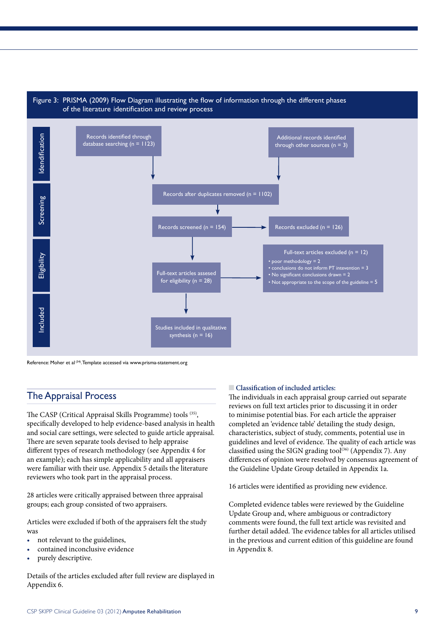

Reference: Moher et al (34). Template accessed via www.prisma-statement.org

### The Appraisal Process

The CASP (Critical Appraisal Skills Programme) tools (35), specifically developed to help evidence-based analysis in health and social care settings, were selected to guide article appraisal. There are seven separate tools devised to help appraise different types of research methodology (see Appendix 4 for an example); each has simple applicability and all appraisers were familiar with their use. Appendix 5 details the literature reviewers who took part in the appraisal process.

28 articles were critically appraised between three appraisal groups; each group consisted of two appraisers.

Articles were excluded if both of the appraisers felt the study was

- not relevant to the guidelines,
- contained inconclusive evidence
- purely descriptive.

Details of the articles excluded after full review are displayed in Appendix 6.

#### n **Classification of included articles:**

The individuals in each appraisal group carried out separate reviews on full text articles prior to discussing it in order to minimise potential bias. For each article the appraiser completed an 'evidence table' detailing the study design, characteristics, subject of study, comments, potential use in guidelines and level of evidence. The quality of each article was classified using the SIGN grading tool<sup>(36)</sup> (Appendix 7). Any differences of opinion were resolved by consensus agreement of the Guideline Update Group detailed in Appendix 1a.

16 articles were identified as providing new evidence.

Completed evidence tables were reviewed by the Guideline Update Group and, where ambiguous or contradictory comments were found, the full text article was revisited and further detail added. The evidence tables for all articles utilised in the previous and current edition of this guideline are found in Appendix 8.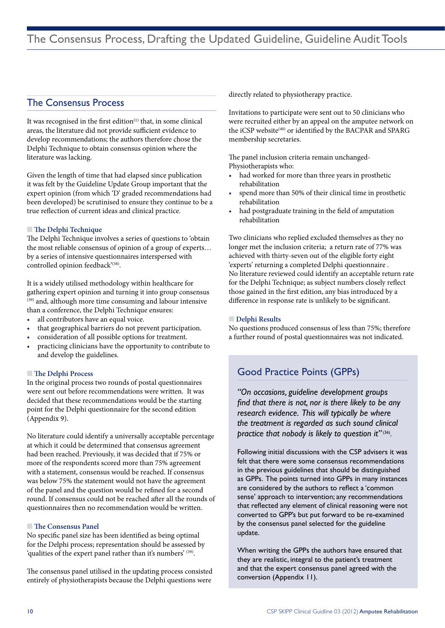### The Consensus Process

It was recognised in the first edition<sup>(1)</sup> that, in some clinical areas, the literature did not provide sufficient evidence to develop recommendations; the authors therefore chose the Delphi Technique to obtain consensus opinion where the literature was lacking.

Given the length of time that had elapsed since publication it was felt by the Guideline Update Group important that the expert opinion (from which 'D' graded recommendations had been developed) be scrutinised to ensure they continue to be a true reflection of current ideas and clinical practice.

#### **n** The Delphi Technique

The Delphi Technique involves a series of questions to 'obtain the most reliable consensus of opinion of a group of experts… by a series of intensive questionnaires interspersed with controlled opinion feedback'(38).

It is a widely utilised methodology within healthcare for gathering expert opinion and turning it into group consensus (39) and, although more time consuming and labour intensive than a conference, the Delphi Technique ensures:

- all contributors have an equal voice.
- that geographical barriers do not prevent participation.
- consideration of all possible options for treatment.
- practicing clinicians have the opportunity to contribute to and develop the guidelines.

#### **n** The Delphi Process

In the original process two rounds of postal questionnaires were sent out before recommendations were written. It was decided that these recommendations would be the starting point for the Delphi questionnaire for the second edition (Appendix 9).

No literature could identify a universally acceptable percentage at which it could be determined that consensus agreement had been reached. Previously, it was decided that if 75% or more of the respondents scored more than 75% agreement with a statement, consensus would be reached. If consensus was below 75% the statement would not have the agreement of the panel and the question would be refined for a second round. If consensus could not be reached after all the rounds of questionnaires then no recommendation would be written.

#### **n** The Consensus Panel

No specific panel size has been identified as being optimal for the Delphi process; representation should be assessed by 'qualities of the expert panel rather than it's numbers' (39).

The consensus panel utilised in the updating process consisted entirely of physiotherapists because the Delphi questions were

directly related to physiotherapy practice.

Invitations to participate were sent out to 50 clinicians who were recruited either by an appeal on the amputee network on the iCSP website<sup>(40)</sup> or identified by the BACPAR and SPARG membership secretaries.

The panel inclusion criteria remain unchanged-Physiotherapists who:

- • had worked for more than three years in prosthetic rehabilitation
- spend more than 50% of their clinical time in prosthetic rehabilitation
- had postgraduate training in the field of amputation rehabilitation

Two clinicians who replied excluded themselves as they no longer met the inclusion criteria; a return rate of 77% was achieved with thirty-seven out of the eligible forty eight 'experts' returning a completed Delphi questionnaire . No literature reviewed could identify an acceptable return rate for the Delphi Technique; as subject numbers closely reflect those gained in the first edition, any bias introduced by a difference in response rate is unlikely to be significant.

#### **n Delphi Results**

No questions produced consensus of less than 75%; therefore a further round of postal questionnaires was not indicated.

## Good Practice Points (GPPs)

*"On occasions, guideline development groups find that there is not, nor is there likely to be any research evidence. This will typically be where the treatment is regarded as such sound clinical practice that nobody is likely to question it"* (36).

Following initial discussions with the CSP advisers it was felt that there were some consensus recommendations in the previous guidelines that should be distinguished as GPPs. The points turned into GPPs in many instances are considered by the authors to reflect a 'common sense' approach to intervention; any recommendations that reflected any element of clinical reasoning were not converted to GPP's but put forward to be re-examined by the consensus panel selected for the guideline update.

When writing the GPPs the authors have ensured that they are realistic, integral to the patient's treatment and that the expert consensus panel agreed with the conversion (Appendix 11).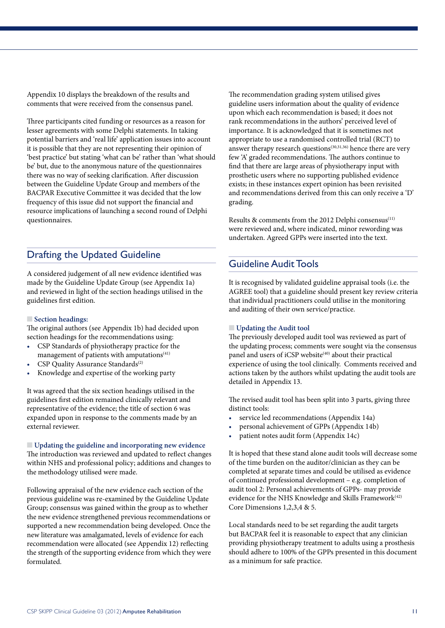Appendix 10 displays the breakdown of the results and comments that were received from the consensus panel.

Three participants cited funding or resources as a reason for lesser agreements with some Delphi statements. In taking potential barriers and 'real life' application issues into account it is possible that they are not representing their opinion of 'best practice' but stating 'what can be' rather than 'what should be' but, due to the anonymous nature of the questionnaires there was no way of seeking clarification. After discussion between the Guideline Update Group and members of the BACPAR Executive Committee it was decided that the low frequency of this issue did not support the financial and resource implications of launching a second round of Delphi questionnaires.

## Drafting the Updated Guideline

A considered judgement of all new evidence identified was made by the Guideline Update Group (see Appendix 1a) and reviewed in light of the section headings utilised in the guidelines first edition.

#### n **Section headings:**

The original authors (see Appendix 1b) had decided upon section headings for the recommendations using:

- CSP Standards of physiotherapy practice for the management of patients with amputations<sup>(41)</sup>
- CSP Quality Assurance Standards<sup>(2)</sup>
- Knowledge and expertise of the working party

It was agreed that the six section headings utilised in the guidelines first edition remained clinically relevant and representative of the evidence; the title of section 6 was expanded upon in response to the comments made by an external reviewer.

n **Updating the guideline and incorporating new evidence** The introduction was reviewed and updated to reflect changes within NHS and professional policy; additions and changes to the methodology utilised were made.

Following appraisal of the new evidence each section of the previous guideline was re-examined by the Guideline Update Group; consensus was gained within the group as to whether the new evidence strengthened previous recommendations or supported a new recommendation being developed. Once the new literature was amalgamated, levels of evidence for each recommendation were allocated (see Appendix 12) reflecting the strength of the supporting evidence from which they were formulated.

The recommendation grading system utilised gives guideline users information about the quality of evidence upon which each recommendation is based; it does not rank recommendations in the authors' perceived level of importance. It is acknowledged that it is sometimes not appropriate to use a randomised controlled trial (RCT) to answer therapy research questions<sup> $(30,31,36)$ </sup> hence there are very few 'A' graded recommendations. The authors continue to find that there are large areas of physiotherapy input with prosthetic users where no supporting published evidence exists; in these instances expert opinion has been revisited and recommendations derived from this can only receive a 'D' grading.

Results & comments from the 2012 Delphi consensus<sup>(11)</sup> were reviewed and, where indicated, minor rewording was undertaken. Agreed GPPs were inserted into the text.

## Guideline Audit Tools

It is recognised by validated guideline appraisal tools (i.e. the AGREE tool) that a guideline should present key review criteria that individual practitioners could utilise in the monitoring and auditing of their own service/practice.

#### **N** Updating the Audit tool

The previously developed audit tool was reviewed as part of the updating process; comments were sought via the consensus panel and users of iCSP website<sup>(40)</sup> about their practical experience of using the tool clinically. Comments received and actions taken by the authors whilst updating the audit tools are detailed in Appendix 13.

The revised audit tool has been split into 3 parts, giving three distinct tools:

- service led recommendations (Appendix 14a)
- personal achievement of GPPs (Appendix 14b)
- patient notes audit form (Appendix 14c)

It is hoped that these stand alone audit tools will decrease some of the time burden on the auditor/clinician as they can be completed at separate times and could be utilised as evidence of continued professional development – e.g. completion of audit tool 2: Personal achievements of GPPs- may provide evidence for the NHS Knowledge and Skills Framework<sup>(42)</sup> Core Dimensions 1,2,3,4 & 5.

Local standards need to be set regarding the audit targets but BACPAR feel it is reasonable to expect that any clinician providing physiotherapy treatment to adults using a prosthesis should adhere to 100% of the GPPs presented in this document as a minimum for safe practice.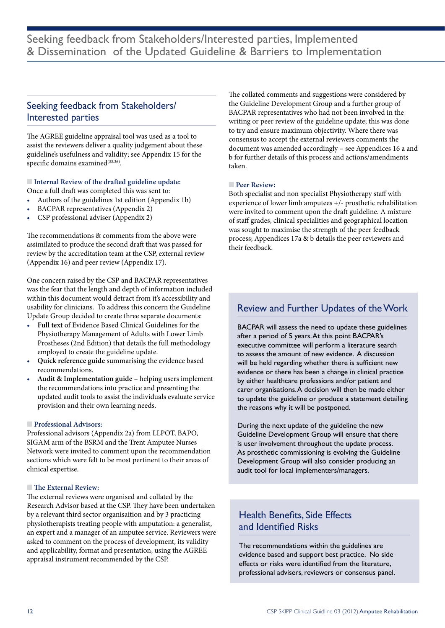## Seeking feedback from Stakeholders/ Interested parties

The AGREE guideline appraisal tool was used as a tool to assist the reviewers deliver a quality judgement about these guideline's usefulness and validity; see Appendix 15 for the specific domains examined $(33,36)$ .

#### $\blacksquare$  Internal Review of the drafted guideline update:

Once a full draft was completed this was sent to:

- Authors of the guidelines 1st edition (Appendix 1b)
- BACPAR representatives (Appendix 2)
- CSP professional adviser (Appendix 2)

The recommendations & comments from the above were assimilated to produce the second draft that was passed for review by the accreditation team at the CSP, external review (Appendix 16) and peer review (Appendix 17).

One concern raised by the CSP and BACPAR representatives was the fear that the length and depth of information included within this document would detract from it's accessibility and usability for clinicians. To address this concern the Guideline Update Group decided to create three separate documents:

- Full text of Evidence Based Clinical Guidelines for the Physiotherapy Management of Adults with Lower Limb Prostheses (2nd Edition) that details the full methodology employed to create the guideline update.
- Quick reference guide summarising the evidence based recommendations.
- Audit & Implementation guide helping users implement the recommendations into practice and presenting the updated audit tools to assist the individuals evaluate service provision and their own learning needs.

#### **n** Professional Advisors:

Professional advisors (Appendix 2a) from LLPOT, BAPO, SIGAM arm of the BSRM and the Trent Amputee Nurses Network were invited to comment upon the recommendation sections which were felt to be most pertinent to their areas of clinical expertise.

#### **n** The External Review:

The external reviews were organised and collated by the Research Advisor based at the CSP. They have been undertaken by a relevant third sector organisaition and by 3 practicing physiotherapists treating people with amputation: a generalist, an expert and a manager of an amputee service. Reviewers were asked to comment on the process of development, its validity and applicability, format and presentation, using the AGREE appraisal instrument recommended by the CSP.

The collated comments and suggestions were considered by the Guideline Development Group and a further group of BACPAR representatives who had not been involved in the writing or peer review of the guideline update; this was done to try and ensure maximum objectivity. Where there was consensus to accept the external reviewers comments the document was amended accordingly – see Appendices 16 a and b for further details of this process and actions/amendments taken.

#### **n Peer Review:**

Both specialist and non specialist Physiotherapy staff with experience of lower limb amputees +/- prosthetic rehabilitation were invited to comment upon the draft guideline. A mixture of staff grades, clinical specialities and geographical location was sought to maximise the strength of the peer feedback process; Appendices 17a & b details the peer reviewers and their feedback.

## Review and Further Updates of the Work

BACPAR will assess the need to update these guidelines after a period of 5 years. At this point BACPAR's executive committee will perform a literature search to assess the amount of new evidence. A discussion will be held regarding whether there is sufficient new evidence or there has been a change in clinical practice by either healthcare professions and/or patient and carer organisations. A decision will then be made either to update the guideline or produce a statement detailing the reasons why it will be postponed.

During the next update of the guideline the new Guideline Development Group will ensure that there is user involvement throughout the update process. As prosthetic commissioning is evolving the Guideline Development Group will also consider producing an audit tool for local implementers/managers.

## Health Benefits, Side Effects and Identified Risks

The recommendations within the guidelines are evidence based and support best practice. No side effects or risks were identified from the literature, professional advisers, reviewers or consensus panel.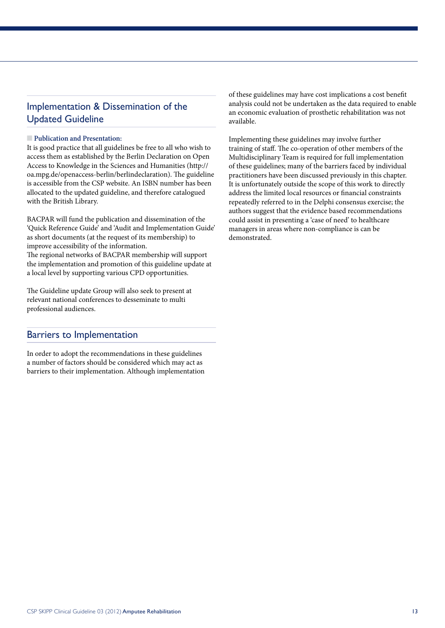## Implementation & Dissemination of the Updated Guideline

#### **n** Publication and Presentation:

It is good practice that all guidelines be free to all who wish to access them as established by the Berlin Declaration on Open Access to Knowledge in the Sciences and Humanities (http:// oa.mpg.de/openaccess-berlin/berlindeclaration). The guideline is accessible from the CSP website. An ISBN number has been allocated to the updated guideline, and therefore catalogued with the British Library.

BACPAR will fund the publication and dissemination of the 'Quick Reference Guide' and 'Audit and Implementation Guide' as short documents (at the request of its membership) to improve accessibility of the information. The regional networks of BACPAR membership will support the implementation and promotion of this guideline update at a local level by supporting various CPD opportunities.

The Guideline update Group will also seek to present at relevant national conferences to desseminate to multi professional audiences.

### Barriers to Implementation

In order to adopt the recommendations in these guidelines a number of factors should be considered which may act as barriers to their implementation. Although implementation of these guidelines may have cost implications a cost benefit analysis could not be undertaken as the data required to enable an economic evaluation of prosthetic rehabilitation was not available.

Implementing these guidelines may involve further training of staff. The co-operation of other members of the Multidisciplinary Team is required for full implementation of these guidelines; many of the barriers faced by individual practitioners have been discussed previously in this chapter. It is unfortunately outside the scope of this work to directly address the limited local resources or financial constraints repeatedly referred to in the Delphi consensus exercise; the authors suggest that the evidence based recommendations could assist in presenting a 'case of need' to healthcare managers in areas where non-compliance is can be demonstrated.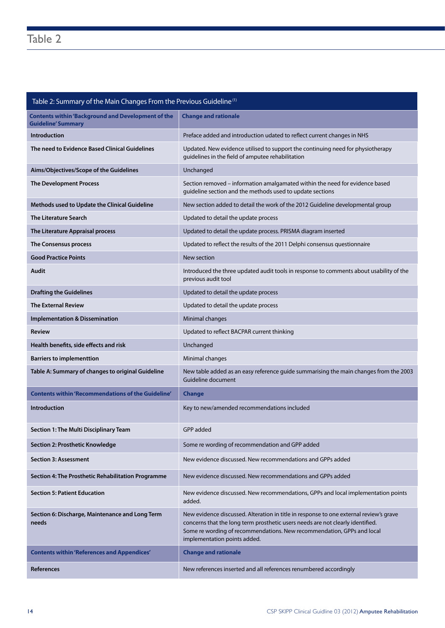## Table 2: Summary of the Main Changes From the Previous Guideline (1)

| <b>Contents within 'Background and Development of the</b><br><b>Guideline' Summary</b> | <b>Change and rationale</b>                                                                                                                                                                                                                                                        |
|----------------------------------------------------------------------------------------|------------------------------------------------------------------------------------------------------------------------------------------------------------------------------------------------------------------------------------------------------------------------------------|
| <b>Introduction</b>                                                                    | Preface added and introduction udated to reflect current changes in NHS                                                                                                                                                                                                            |
| The need to Evidence Based Clinical Guidelines                                         | Updated. New evidence utilised to support the continuing need for physiotherapy<br>guidelines in the field of amputee rehabilitation                                                                                                                                               |
| Aims/Objectives/Scope of the Guidelines                                                | Unchanged                                                                                                                                                                                                                                                                          |
| <b>The Development Process</b>                                                         | Section removed - information amalgamated within the need for evidence based<br>guideline section and the methods used to update sections                                                                                                                                          |
| Methods used to Update the Clinical Guideline                                          | New section added to detail the work of the 2012 Guideline developmental group                                                                                                                                                                                                     |
| <b>The Literature Search</b>                                                           | Updated to detail the update process                                                                                                                                                                                                                                               |
| The Literature Appraisal process                                                       | Updated to detail the update process. PRISMA diagram inserted                                                                                                                                                                                                                      |
| The Consensus process                                                                  | Updated to reflect the results of the 2011 Delphi consensus questionnaire                                                                                                                                                                                                          |
| <b>Good Practice Points</b>                                                            | New section                                                                                                                                                                                                                                                                        |
| Audit                                                                                  | Introduced the three updated audit tools in response to comments about usability of the<br>previous audit tool                                                                                                                                                                     |
| <b>Drafting the Guidelines</b>                                                         | Updated to detail the update process                                                                                                                                                                                                                                               |
| <b>The External Review</b>                                                             | Updated to detail the update process                                                                                                                                                                                                                                               |
| <b>Implementation &amp; Dissemination</b>                                              | Minimal changes                                                                                                                                                                                                                                                                    |
| <b>Review</b>                                                                          | Updated to reflect BACPAR current thinking                                                                                                                                                                                                                                         |
| Health benefits, side effects and risk                                                 | Unchanged                                                                                                                                                                                                                                                                          |
| <b>Barriers to implementtion</b>                                                       | Minimal changes                                                                                                                                                                                                                                                                    |
| Table A: Summary of changes to original Guideline                                      | New table added as an easy reference guide summarising the main changes from the 2003<br>Guideline document                                                                                                                                                                        |
| <b>Contents within 'Recommendations of the Guideline'</b>                              | <b>Change</b>                                                                                                                                                                                                                                                                      |
| <b>Introduction</b>                                                                    | Key to new/amended recommendations included                                                                                                                                                                                                                                        |
| Section 1: The Multi Disciplinary Team                                                 | GPP added                                                                                                                                                                                                                                                                          |
| Section 2: Prosthetic Knowledge                                                        | Some re wording of recommendation and GPP added                                                                                                                                                                                                                                    |
| <b>Section 3: Assessment</b>                                                           | New evidence discussed. New recommendations and GPPs added                                                                                                                                                                                                                         |
| Section 4: The Prosthetic Rehabilitation Programme                                     | New evidence discussed. New recommendations and GPPs added                                                                                                                                                                                                                         |
| <b>Section 5: Patient Education</b>                                                    | New evidence discussed. New recommendations, GPPs and local implementation points<br>added.                                                                                                                                                                                        |
| Section 6: Discharge, Maintenance and Long Term<br>needs                               | New evidence discussed. Alteration in title in response to one external review's grave<br>concerns that the long term prosthetic users needs are not clearly identified.<br>Some re wording of recommendations. New recommendation, GPPs and local<br>implementation points added. |
| <b>Contents within 'References and Appendices'</b>                                     | <b>Change and rationale</b>                                                                                                                                                                                                                                                        |
| <b>References</b>                                                                      | New references inserted and all references renumbered accordingly                                                                                                                                                                                                                  |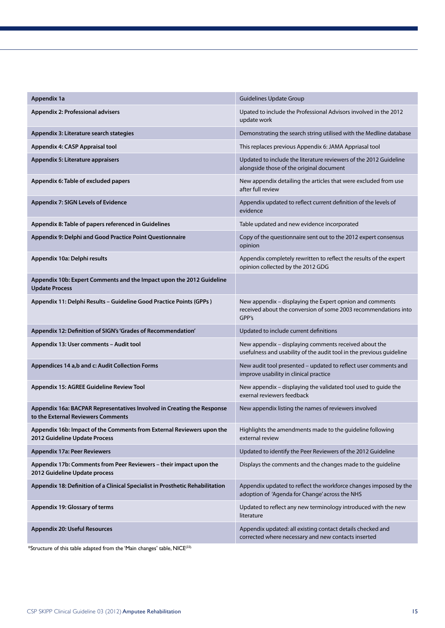| Appendix 1a                                                                                                  | <b>Guidelines Update Group</b>                                                                                                       |
|--------------------------------------------------------------------------------------------------------------|--------------------------------------------------------------------------------------------------------------------------------------|
| Appendix 2: Professional advisers                                                                            | Upated to include the Professional Advisors involved in the 2012<br>update work                                                      |
| Appendix 3: Literature search stategies                                                                      | Demonstrating the search string utilised with the Medline database                                                                   |
| Appendix 4: CASP Appraisal tool                                                                              | This replaces previous Appendix 6: JAMA Appriasal tool                                                                               |
| Appendix 5: Literature appraisers                                                                            | Updated to include the literature reviewers of the 2012 Guideline<br>alongside those of the original document                        |
| Appendix 6: Table of excluded papers                                                                         | New appendix detailing the articles that were excluded from use<br>after full review                                                 |
| Appendix 7: SIGN Levels of Evidence                                                                          | Appendix updated to reflect current definition of the levels of<br>evidence                                                          |
| Appendix 8: Table of papers referenced in Guidelines                                                         | Table updated and new evidence incorporated                                                                                          |
| Appendix 9: Delphi and Good Practice Point Questionnaire                                                     | Copy of the questionnaire sent out to the 2012 expert consensus<br>opinion                                                           |
| Appendix 10a: Delphi results                                                                                 | Appendix completely rewritten to reflect the results of the expert<br>opinion collected by the 2012 GDG                              |
| Appendix 10b: Expert Comments and the Impact upon the 2012 Guideline<br><b>Update Process</b>                |                                                                                                                                      |
| Appendix 11: Delphi Results - Guideline Good Practice Points (GPPs)                                          | New appendix - displaying the Expert opnion and comments<br>received about the conversion of some 2003 recommendations into<br>GPP's |
| Appendix 12: Definition of SIGN's 'Grades of Recommendation'                                                 | Updated to include current definitions                                                                                               |
| Appendix 13: User comments - Audit tool                                                                      | New appendix - displaying comments received about the<br>usefulness and usability of the audit tool in the previous guideline        |
| Appendices 14 a,b and c: Audit Collection Forms                                                              | New audit tool presented - updated to reflect user comments and<br>improve usability in clinical practice                            |
| Appendix 15: AGREE Guideline Review Tool                                                                     | New appendix - displaying the validated tool used to guide the<br>exernal reviewers feedback                                         |
| Appendix 16a: BACPAR Representatives Involved in Creating the Response<br>to the External Reviewers Comments | New appendix listing the names of reviewers involved                                                                                 |
| Appendix 16b: Impact of the Comments from External Reviewers upon the<br>2012 Guideline Update Process       | Highlights the amendments made to the guideline following<br>external review                                                         |
| <b>Appendix 17a: Peer Reviewers</b>                                                                          | Updated to identify the Peer Reviewers of the 2012 Guideline                                                                         |
| Appendix 17b: Comments from Peer Reviewers - their impact upon the<br>2012 Guideline Update process          | Displays the comments and the changes made to the guideline                                                                          |
| Appendix 18: Definition of a Clinical Specialist in Prosthetic Rehabilitation                                | Appendix updated to reflect the workforce changes imposed by the<br>adoption of 'Agenda for Change' across the NHS                   |
| Appendix 19: Glossary of terms                                                                               | Updated to reflect any new terminology introduced with the new<br>literature                                                         |
| <b>Appendix 20: Useful Resources</b>                                                                         | Appendix updated: all existing contact details checked and<br>corrected where necessary and new contacts inserted                    |

\*Structure of this table adapted from the 'Main changes' table, NICE(33).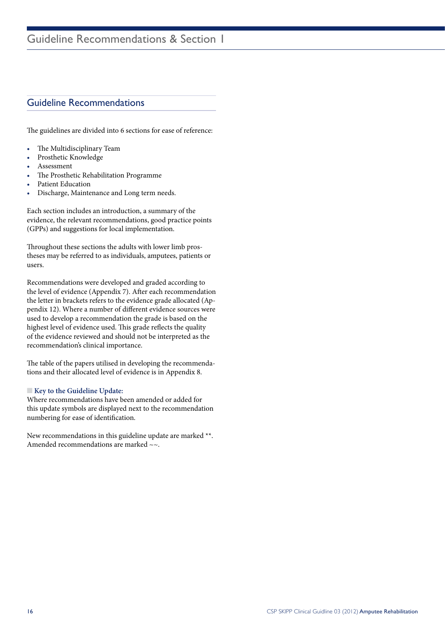## Guideline Recommendations

The guidelines are divided into 6 sections for ease of reference:

- The Multidisciplinary Team
- Prosthetic Knowledge
- **Assessment**
- The Prosthetic Rehabilitation Programme
- Patient Education
- • Discharge, Maintenance and Long term needs.

Each section includes an introduction, a summary of the evidence, the relevant recommendations, good practice points (GPPs) and suggestions for local implementation.

Throughout these sections the adults with lower limb prostheses may be referred to as individuals, amputees, patients or users.

Recommendations were developed and graded according to the level of evidence (Appendix 7). After each recommendation the letter in brackets refers to the evidence grade allocated (Appendix 12). Where a number of different evidence sources were used to develop a recommendation the grade is based on the highest level of evidence used. This grade reflects the quality of the evidence reviewed and should not be interpreted as the recommendation's clinical importance.

The table of the papers utilised in developing the recommendations and their allocated level of evidence is in Appendix 8.

#### **Key to the Guideline Update:**

Where recommendations have been amended or added for this update symbols are displayed next to the recommendation numbering for ease of identification.

New recommendations in this guideline update are marked \*\*. Amended recommendations are marked  $\sim$ .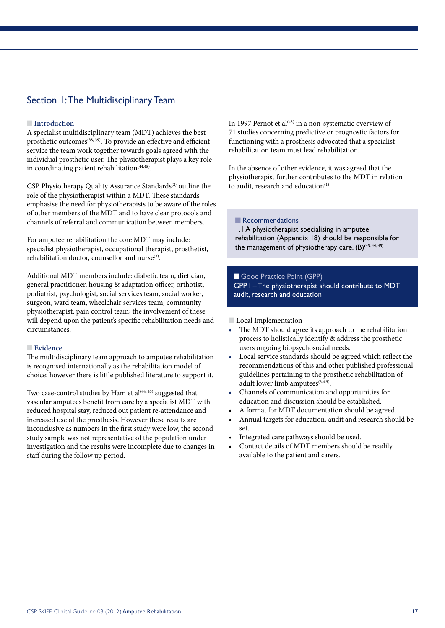### Section 1: The Multidisciplinary Team

#### **nIntroduction**

A specialist multidisciplinary team (MDT) achieves the best prosthetic outcomes<sup>(38, 39)</sup>. To provide an effective and efficient service the team work together towards goals agreed with the individual prosthetic user. The physiotherapist plays a key role in coordinating patient rehabilitation $(44,45)$ .

CSP Physiotherapy Quality Assurance Standards<sup>(2)</sup> outline the role of the physiotherapist within a MDT. These standards emphasise the need for physiotherapists to be aware of the roles of other members of the MDT and to have clear protocols and channels of referral and communication between members.

For amputee rehabilitation the core MDT may include: specialist physiotherapist, occupational therapist, prosthetist, rehabilitation doctor, counsellor and nurse(3).

Additional MDT members include: diabetic team, dietician, general practitioner, housing & adaptation officer, orthotist, podiatrist, psychologist, social services team, social worker, surgeon, ward team, wheelchair services team, community physiotherapist, pain control team; the involvement of these will depend upon the patient's specific rehabilitation needs and circumstances.

#### **n** Evidence

The multidisciplinary team approach to amputee rehabilitation is recognised internationally as the rehabilitation model of choice; however there is little published literature to support it.

Two case-control studies by Ham et al<sup>(44, 45)</sup> suggested that vascular amputees benefit from care by a specialist MDT with reduced hospital stay, reduced out patient re-attendance and increased use of the prosthesis. However these results are inconclusive as numbers in the first study were low, the second study sample was not representative of the population under investigation and the results were incomplete due to changes in staff during the follow up period.

In 1997 Pernot et al<sup>(43)</sup> in a non-systematic overview of 71 studies concerning predictive or prognostic factors for functioning with a prosthesis advocated that a specialist rehabilitation team must lead rehabilitation.

In the absence of other evidence, it was agreed that the physiotherapist further contributes to the MDT in relation to audit, research and education<sup>(1)</sup>.

**Recommendations** 

1.1 A physiotherapist specialising in amputee rehabilitation (Appendix 18) should be responsible for the management of physiotherapy care.  $(B)^{(43, 44, 45)}$ 

Good Practice Point (GPP) GPP I – The physiotherapist should contribute to MDT audit, research and education

**n** Local Implementation

- • The MDT should agree its approach to the rehabilitation process to holistically identify & address the prosthetic users ongoing biopsychosocial needs.
- Local service standards should be agreed which reflect the recommendations of this and other published professional guidelines pertaining to the prosthetic rehabilitation of adult lower limb amputees<sup>(3,4,5)</sup>.
- Channels of communication and opportunities for education and discussion should be established.
- A format for MDT documentation should be agreed.
- Annual targets for education, audit and research should be set.
- Integrated care pathways should be used.
- Contact details of MDT members should be readily available to the patient and carers.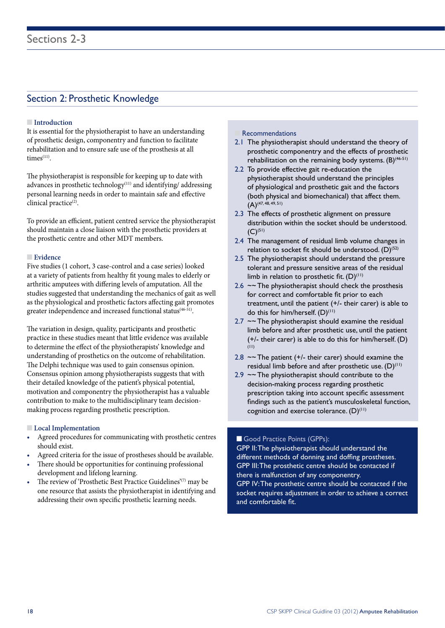## Section 2: Prosthetic Knowledge

#### **n Introduction**

It is essential for the physiotherapist to have an understanding of prosthetic design, componentry and function to facilitate rehabilitation and to ensure safe use of the prosthesis at all  $times<sup>(11)</sup>$ .

The physiotherapist is responsible for keeping up to date with advances in prosthetic technology<sup>(11)</sup> and identifying/ addressing personal learning needs in order to maintain safe and effective clinical practice<sup>(2)</sup>.

To provide an efficient, patient centred service the physiotherapist should maintain a close liaison with the prosthetic providers at the prosthetic centre and other MDT members.

#### **n** Evidence

Five studies (1 cohort, 3 case-control and a case series) looked at a variety of patients from healthy fit young males to elderly or arthritic amputees with differing levels of amputation. All the studies suggested that understanding the mechanics of gait as well as the physiological and prosthetic factors affecting gait promotes greater independence and increased functional status<sup>(46-51)</sup>.

The variation in design, quality, participants and prosthetic practice in these studies meant that little evidence was available to determine the effect of the physiotherapists' knowledge and understanding of prosthetics on the outcome of rehabilitation. The Delphi technique was used to gain consensus opinion. Consensus opinion among physiotherapists suggests that with their detailed knowledge of the patient's physical potential, motivation and componentry the physiotherapist has a valuable contribution to make to the multidisciplinary team decisionmaking process regarding prosthetic prescription.

#### **n** Local Implementation

- Agreed procedures for communicating with prosthetic centres should exist.
- Agreed criteria for the issue of prostheses should be available.
- There should be opportunities for continuing professional development and lifelong learning.
- The review of 'Prosthetic Best Practice Guidelines'<sup>(7)</sup> may be one resource that assists the physiotherapist in identifying and addressing their own specific prosthetic learning needs.

#### **Recommendations**

- 2.1 The physiotherapist should understand the theory of prosthetic componentry and the effects of prosthetic rehabilitation on the remaining body systems.  $(B)^{(46-51)}$
- 2.2 To provide effective gait re-education the physiotherapist should understand the principles of physiological and prosthetic gait and the factors (both physical and biomechanical) that affect them.  $(A)$ <sup>(47, 48, 49, 51)</sup>
- 2.3 The effects of prosthetic alignment on pressure distribution within the socket should be understood.  $(C)^{(51)}$
- 2.4 The management of residual limb volume changes in relation to socket fit should be understood.  $(D)^{(52)}$
- 2.5 The physiotherapist should understand the pressure tolerant and pressure sensitive areas of the residual limb in relation to prosthetic fit.  $(D)^{(1)}$
- 2.6  $\sim$  The physiotherapist should check the prosthesis for correct and comfortable fit prior to each treatment, until the patient (+/- their carer) is able to do this for him/herself.  $(D)^{(11)}$
- $2.7 \sim$  The physiotherapist should examine the residual limb before and after prosthetic use, until the patient (+/- their carer) is able to do this for him/herself. (D)  $(11)$
- 2.8  $\sim$  The patient (+/- their carer) should examine the residual limb before and after prosthetic use.  $(D)^{(11)}$
- 2.9  $\sim$  The physiotherapist should contribute to the decision-making process regarding prosthetic prescription taking into account specific assessment findings such as the patient's musculoskeletal function, cognition and exercise tolerance.  $(D)^{(11)}$

#### Good Practice Points (GPPs):

GPP II: The physiotherapist should understand the different methods of donning and doffing prostheses. GPP III: The prosthetic centre should be contacted if there is malfunction of any componentry. GPP IV: The prosthetic centre should be contacted if the socket requires adjustment in order to achieve a correct and comfortable fit.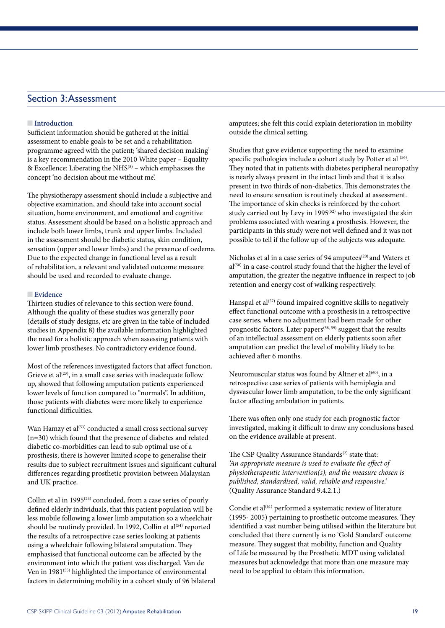## Section 3: Assessment

#### **nIntroduction**

Sufficient information should be gathered at the initial assessment to enable goals to be set and a rehabilitation programme agreed with the patient; 'shared decision making' is a key recommendation in the 2010 White paper – Equality & Excellence: Liberating the NHS $(8)$  – which emphasises the concept 'no decision about me without me'.

The physiotherapy assessment should include a subjective and objective examination, and should take into account social situation, home environment, and emotional and cognitive status. Assessment should be based on a holistic approach and include both lower limbs, trunk and upper limbs. Included in the assessment should be diabetic status, skin condition, sensation (upper and lower limbs) and the presence of oedema. Due to the expected change in functional level as a result of rehabilitation, a relevant and validated outcome measure should be used and recorded to evaluate change.

#### **n** Evidence

Thirteen studies of relevance to this section were found. Although the quality of these studies was generally poor (details of study designs, etc are given in the table of included studies in Appendix 8) the available information highlighted the need for a holistic approach when assessing patients with lower limb prostheses. No contradictory evidence found.

Most of the references investigated factors that affect function. Grieve et al<sup>(23)</sup>, in a small case series with inadequate follow up, showed that following amputation patients experienced lower levels of function compared to "normals". In addition, those patients with diabetes were more likely to experience functional difficulties.

Wan Hamzy et al<sup>(53)</sup> conducted a small cross sectional survey (n=30) which found that the presence of diabetes and related diabetic co-morbidities can lead to sub optimal use of a prosthesis; there is however limited scope to generalise their results due to subject recruitment issues and significant cultural differences regarding prosthetic provision between Malaysian and UK practice.

Collin et al in 1995 $(24)$  concluded, from a case series of poorly defined elderly individuals, that this patient population will be less mobile following a lower limb amputation so a wheelchair should be routinely provided. In 1992, Collin et al<sup> $(54)$ </sup> reported the results of a retrospective case series looking at patients using a wheelchair following bilateral amputation. They emphasised that functional outcome can be affected by the environment into which the patient was discharged. Van de Ven in 1981<sup>(55)</sup> highlighted the importance of environmental factors in determining mobility in a cohort study of 96 bilateral amputees; she felt this could explain deterioration in mobility outside the clinical setting.

Studies that gave evidence supporting the need to examine specific pathologies include a cohort study by Potter et al (56). They noted that in patients with diabetes peripheral neuropathy is nearly always present in the intact limb and that it is also present in two thirds of non-diabetics. This demonstrates the need to ensure sensation is routinely checked at assessment. The importance of skin checks is reinforced by the cohort study carried out by Levy in 1995<sup>(52)</sup> who investigated the skin problems associated with wearing a prosthesis. However, the participants in this study were not well defined and it was not possible to tell if the follow up of the subjects was adequate.

Nicholas et al in a case series of 94 amputees<sup>(20)</sup> and Waters et  $al^{(50)}$  in a case-control study found that the higher the level of amputation, the greater the negative influence in respect to job retention and energy cost of walking respectively.

Hanspal et al<sup>(57)</sup> found impaired cognitive skills to negatively effect functional outcome with a prosthesis in a retrospective case series, where no adjustment had been made for other prognostic factors. Later papers<sup>(58, 59)</sup> suggest that the results of an intellectual assessment on elderly patients soon after amputation can predict the level of mobility likely to be achieved after 6 months.

Neuromuscular status was found by Altner et al<sup>(60)</sup>, in a retrospective case series of patients with hemiplegia and dysvascular lower limb amputation, to be the only significant factor affecting ambulation in patients.

There was often only one study for each prognostic factor investigated, making it difficult to draw any conclusions based on the evidence available at present.

The CSP Quality Assurance Standards<sup>(2)</sup> state that: *'An appropriate measure is used to evaluate the effect of physiotherapeutic intervention(s); and the measure chosen is published, standardised, valid, reliable and responsive.'* (Quality Assurance Standard 9.4.2.1.)

Condie et al<sup>(61)</sup> performed a systematic review of literature (1995- 2005) pertaining to prosthetic outcome measures. They identified a vast number being utilised within the literature but concluded that there currently is no 'Gold Standard' outcome measure. They suggest that mobility, function and Quality of Life be measured by the Prosthetic MDT using validated measures but acknowledge that more than one measure may need to be applied to obtain this information.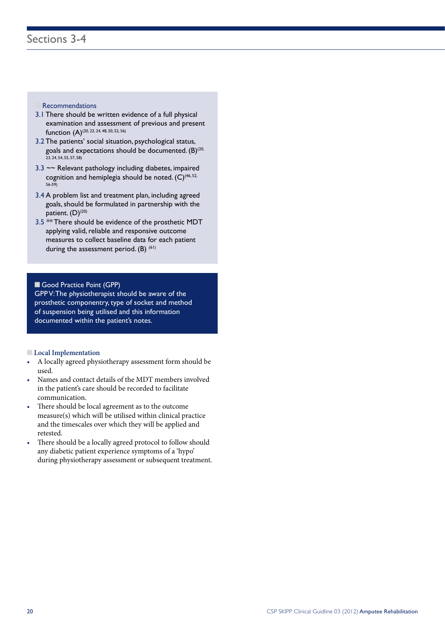#### **Recommendations**

- 3.1 There should be written evidence of a full physical examination and assessment of previous and present function (A)<sup>(20, 23, 24, 48, 50, 52, 56)</sup>
- 3.2 The patients' social situation, psychological status, goals and expectations should be documented.  $(B)^{(20)}$ 23, 24, 54, 55, 57, 58)
- 3.3 ~~ Relevant pathology including diabetes, impaired cognition and hemiplegia should be noted.  $(C)^{(46, 52)}$ 56-59)
- 3.4 A problem list and treatment plan, including agreed goals, should be formulated in partnership with the patient. (D)<sup>(20)</sup>
- 3.5 \*\* There should be evidence of the prosthetic MDT applying valid, reliable and responsive outcome measures to collect baseline data for each patient during the assessment period.  $(B)$  <sup>(61)</sup>

#### Good Practice Point (GPP)

GPP V: The physiotherapist should be aware of the prosthetic componentry, type of socket and method of suspension being utilised and this information documented within the patient's notes.

#### **n** Local Implementation

- • A locally agreed physiotherapy assessment form should be used.
- Names and contact details of the MDT members involved in the patient's care should be recorded to facilitate communication.
- There should be local agreement as to the outcome measure(s) which will be utilised within clinical practice and the timescales over which they will be applied and retested.
- There should be a locally agreed protocol to follow should any diabetic patient experience symptoms of a 'hypo' during physiotherapy assessment or subsequent treatment.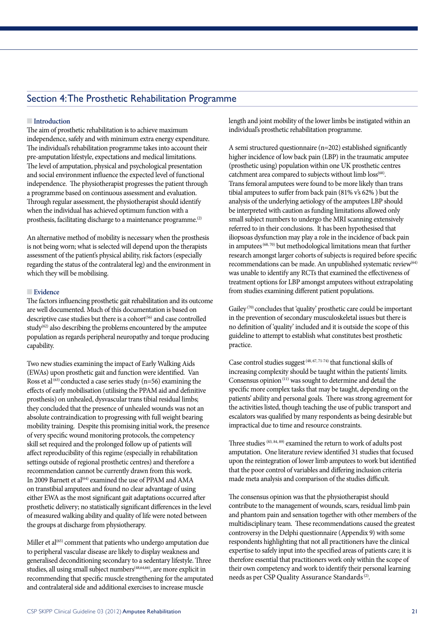## Section 4: The Prosthetic Rehabilitation Programme

#### **nIntroduction**

The aim of prosthetic rehabilitation is to achieve maximum independence, safely and with minimum extra energy expenditure. The individual's rehabilitation programme takes into account their pre-amputation lifestyle, expectations and medical limitations. The level of amputation, physical and psychological presentation and social environment influence the expected level of functional independence. The physiotherapist progresses the patient through a programme based on continuous assessment and evaluation. Through regular assessment, the physiotherapist should identify when the individual has achieved optimum function with a prosthesis, facilitating discharge to a maintenance programme.(2)

An alternative method of mobility is necessary when the prosthesis is not being worn; what is selected will depend upon the therapists assessment of the patient's physical ability, risk factors (especially regarding the status of the contralateral leg) and the environment in which they will be mobilising.

#### n **Evidence**

The factors influencing prosthetic gait rehabilitation and its outcome are well documented. Much of this documentation is based on descriptive case studies but there is a cohort<sup>(56)</sup> and case controlled study $62$  also describing the problems encountered by the amputee population as regards peripheral neuropathy and torque producing capability.

Two new studies examining the impact of Early Walking Aids (EWAs) upon prosthetic gait and function were identified. Van Ross et al  $^{(63)}$  conducted a case series study (n=56) examining the effects of early mobilisation (utilising the PPAM aid and definitive prosthesis) on unhealed, dysvascular trans tibial residual limbs; they concluded that the presence of unhealed wounds was not an absolute contraindication to progressing with full weight bearing mobility training. Despite this promising initial work, the presence of very specific wound monitoring protocols, the competency skill set required and the prolonged follow up of patients will affect reproducibility of this regime (especially in rehabilitation settings outside of regional prosthetic centres) and therefore a recommendation cannot be currently drawn from this work. In 2009 Barnett et al<sup>(64)</sup> examined the use of PPAM and AMA on transtibial amputees and found no clear advantage of using either EWA as the most significant gait adaptations occurred after prosthetic delivery; no statistically significant differences in the level of measured walking ability and quality of life were noted between the groups at discharge from physiotherapy.

Miller et al<sup>(65)</sup> comment that patients who undergo amputation due to peripheral vascular disease are likely to display weakness and generalised deconditioning secondary to a sedentary lifestyle. Three studies, all using small subject numbers<sup>(48,64,66)</sup>, are more explicit in recommending that specific muscle strengthening for the amputated and contralateral side and additional exercises to increase muscle

length and joint mobility of the lower limbs be instigated within an individual's prosthetic rehabilitation programme.

A semi structured questionnaire (n=202) established significantly higher incidence of low back pain (LBP) in the traumatic amputee (prosthetic using) population within one UK prosthetic centres catchment area compared to subjects without limb loss<sup>(68)</sup>. Trans femoral amputees were found to be more likely than trans tibial amputees to suffer from back pain (81% v's 62% ) but the analysis of the underlying aetiology of the amputees LBP should be interpreted with caution as funding limitations allowed only small subject numbers to undergo the MRI scanning extensively referred to in their conclusions. It has been hypothesised that iliopsoas dysfunction may play a role in the incidence of back pain in amputees<sup>(68, 70)</sup> but methodological limitations mean that further research amongst larger cohorts of subjects is required before specific recommendations can be made. An unpublished systematic review<sup>(64)</sup> was unable to identify any RCTs that examined the effectiveness of treatment options for LBP amongst amputees without extrapolating from studies examining different patient populations.

Gailey<sup>(70)</sup> concludes that 'quality' prosthetic care could be important in the prevention of secondary musculoskeletal issues but there is no definition of 'quality' included and it is outside the scope of this guideline to attempt to establish what constitutes best prosthetic practice.

Case control studies suggest<sup>(48, 67, 71-74)</sup> that functional skills of increasing complexity should be taught within the patients' limits. Consensus opinion $(11)$  was sought to determine and detail the specific more complex tasks that may be taught, depending on the patients' ability and personal goals. There was strong agreement for the activities listed, though teaching the use of public transport and escalators was qualified by many respondents as being desirable but impractical due to time and resource constraints.

Three studies<sup>(83, 84, 89)</sup> examined the return to work of adults post amputation. One literature review identified 31 studies that focused upon the reintegration of lower limb amputees to work but identified that the poor control of variables and differing inclusion criteria made meta analysis and comparison of the studies difficult.

The consensus opinion was that the physiotherapist should contribute to the management of wounds, scars, residual limb pain and phantom pain and sensation together with other members of the multidisciplinary team. These recommendations caused the greatest controversy in the Delphi questionnaire (Appendix 9) with some respondents highlighting that not all practitioners have the clinical expertise to safely input into the specified areas of patients care; it is therefore essential that practitioners work only within the scope of their own competency and work to identify their personal learning needs as per CSP Quality Assurance Standards<sup>(2)</sup>.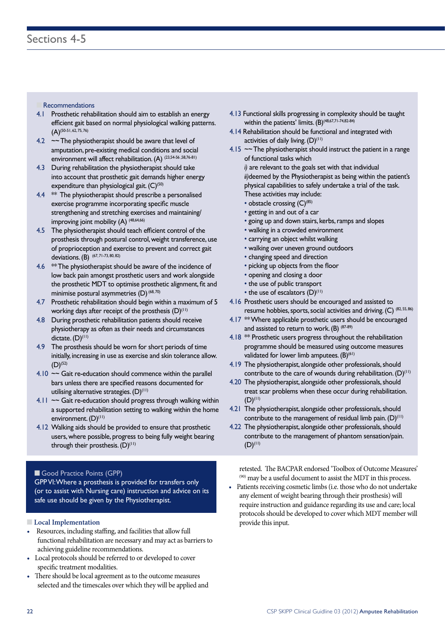#### **Recommendations**

- 4.1 Prosthetic rehabilitation should aim to establish an energy efficient gait based on normal physiological walking patterns.  $(A)^{(50-51, 62, 75, 76)}$
- 4.2 ~~ The physiotherapist should be aware that level of amputation, pre-existing medical conditions and social environment will affect rehabilitation. (A) (23,54-56,58,76-81)
- 4.3 During rehabilitation the physiotherapist should take into account that prosthetic gait demands higher energy expenditure than physiological gait.  $(C)^{(50)}$
- 4.4 **\*\*** The physiotherapist should prescribe a personalised exercise programme incorporating specific muscle strengthening and stretching exercises and maintaining/ improving joint mobility (A)<sup>(48,64,66)</sup>
- 4.5 The physiotherapist should teach efficient control of the prosthesis through postural control, weight transference, use of proprioception and exercise to prevent and correct gait deviations. (B) (67, 71-73, 80, 82)
- 4.6 \*\* The physiotherapist should be aware of the incidence of low back pain amongst prosthetic users and work alongside the prosthetic MDT to optimise prosthetic alignment, fit and minimise postural asymmetries  $(D)$   $^{(68,70)}$
- 4.7 Prosthetic rehabilitation should begin within a maximum of 5 working days after receipt of the prosthesis  $(D)^{(11)}$
- 4.8 During prosthetic rehabilitation patients should receive physiotherapy as often as their needs and circumstances dictate. (D)<sup>(11)</sup>
- 4.9 The prosthesis should be worn for short periods of time initially, increasing in use as exercise and skin tolerance allow.  $(D)$ <sup>(52)</sup>
- 4.10  $\sim$  Gait re-education should commence within the parallel bars unless there are specified reasons documented for utilising alternative strategies.  $(D)^{(1)}$
- 4.11 ~~ Gait re-education should progress through walking within a supported rehabilitation setting to walking within the home environment. (D)<sup>(11)</sup>
- 4.12 Walking aids should be provided to ensure that prosthetic users, where possible, progress to being fully weight bearing through their prosthesis.  $(D)^{(11)}$

#### Good Practice Points (GPP)

GPP VI: Where a prosthesis is provided for transfers only (or to assist with Nursing care) instruction and advice on its safe use should be given by the Physiotherapist.

#### **n** Local Implementation

- Resources, including staffing, and facilities that allow full functional rehabilitation are necessary and may act as barriers to achieving guideline recommendations.
- Local protocols should be referred to or developed to cover specific treatment modalities.
- There should be local agreement as to the outcome measures selected and the timescales over which they will be applied and
- 4.13 Functional skills progressing in complexity should be taught within the patients' limits. (B)<sup>(48,67,71-74,82-84)</sup>
- 4.14 Rehabilitation should be functional and integrated with activities of daily living.  $(D)^{(11)}$
- 4.15  $\sim$  The physiotherapist should instruct the patient in a range of functional tasks which *i)* are relevant to the goals set with that individual

*ii)*deemed by the Physiotherapist as being within the patient's physical capabilities to safely undertake a trial of the task. These activities may include:

- obstacle crossing (C)<sup>(85)</sup>
- getting in and out of a car
- going up and down stairs, kerbs, ramps and slopes
- walking in a crowded environment
- carrying an object whilst walking
- walking over uneven ground outdoors
- changing speed and direction
- picking up objects from the floor
- opening and closing a door
- the use of public transport
- the use of escalators  $(D)^{(11)}$
- 4.16 Prosthetic users should be encouraged and assisted to resume hobbies, sports, social activities and driving. (C) (82, 55, 86)
- 4.17 \*\* Where applicable prosthetic users should be encouraged and assisted to return to work.  $(B)$   $(87-89)$
- 4.18 \*\* Prosthetic users progress throughout the rehabilitation programme should be measured using outcome measures validated for lower limb amputees. (B)<sup>(61)</sup>
- 4.19 The physiotherapist, alongside other professionals, should contribute to the care of wounds during rehabilitation.  $(D)^{(1)}$
- 4.20 The physiotherapist, alongside other professionals, should treat scar problems when these occur during rehabilitation.  $(D)^{(1)}$
- 4.21 The physiotherapist, alongside other professionals, should contribute to the management of residual limb pain.  $(D)^{(1)}$
- 4.22 The physiotherapist, alongside other professionals, should contribute to the management of phantom sensation/pain.  $(D)^{(1)}$

retested. The BACPAR endorsed 'Toolbox of Outcome Measures'  $(90)$  may be a useful document to assist the MDT in this process.

Patients receiving cosmetic limbs (i.e. those who do not undertake any element of weight bearing through their prosthesis) will require instruction and guidance regarding its use and care; local protocols should be developed to cover which MDT member will provide this input.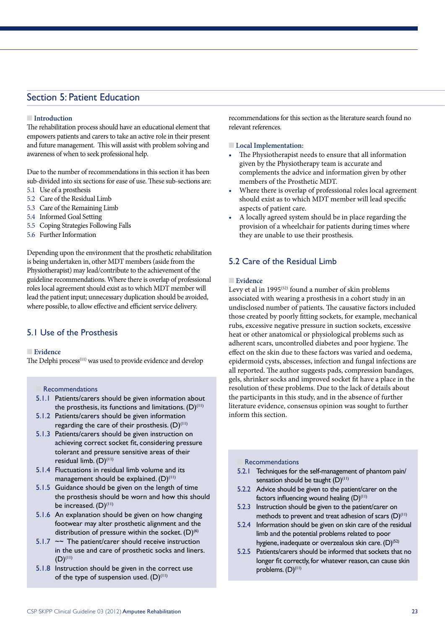## Section 5: Patient Education

#### **nIntroduction**

The rehabilitation process should have an educational element that empowers patients and carers to take an active role in their present and future management. This will assist with problem solving and awareness of when to seek professional help.

Due to the number of recommendations in this section it has been sub-divided into six sections for ease of use. These sub-sections are:

- 5.1 Use of a prosthesis
- 5.2 Care of the Residual Limb
- 5.3 Care of the Remaining Limb
- 5.4 Informed Goal Setting
- 5.5 Coping Strategies Following Falls
- 5.6 Further Information

Depending upon the environment that the prosthetic rehabilitation is being undertaken in, other MDT members (aside from the Physiotherapist) may lead/contribute to the achievement of the guideline recommendations. Where there is overlap of professional roles local agreement should exist as to which MDT member will lead the patient input; unnecessary duplication should be avoided, where possible, to allow effective and efficient service delivery.

#### 5.1 Use of the Prosthesis

#### **n** Evidence

The Delphi process<sup>(11)</sup> was used to provide evidence and develop

**Recommendations** 

- 5.1.1 Patients/carers should be given information about the prosthesis, its functions and limitations.  $(D)^{(1)}$
- 5.1.2 Patients/carers should be given information regarding the care of their prosthesis.  $(D)^{(1)}$
- 5.1.3 Patients/carers should be given instruction on achieving correct socket fit, considering pressure tolerant and pressure sensitive areas of their residual limb. (D) (11)
- 5.1.4 Fluctuations in residual limb volume and its management should be explained.  $(D)^{(1)}$
- 5.1.5 Guidance should be given on the length of time the prosthesis should be worn and how this should be increased. (D)<sup>(11)</sup>
- 5.1.6 An explanation should be given on how changing footwear may alter prosthetic alignment and the distribution of pressure within the socket.  $(D)^{(6)}$
- 5.1.7  $\sim$  The patient/carer should receive instruction in the use and care of prosthetic socks and liners.  $(D)^{(11)}$
- 5.1.8 Instruction should be given in the correct use of the type of suspension used.  $(D)^{(1)}$

recommendations for this section as the literature search found no relevant references.

#### **Local Implementation:**

- • The Physiotherapist needs to ensure that all information given by the Physiotherapy team is accurate and complements the advice and information given by other members of the Prosthetic MDT.
- Where there is overlap of professional roles local agreement should exist as to which MDT member will lead specific aspects of patient care.
- A locally agreed system should be in place regarding the provision of a wheelchair for patients during times where they are unable to use their prosthesis.

### 5.2 Care of the Residual Limb

#### **n** Evidence

Levy et al in 1995<sup>(52)</sup> found a number of skin problems associated with wearing a prosthesis in a cohort study in an undisclosed number of patients. The causative factors included those created by poorly fitting sockets, for example, mechanical rubs, excessive negative pressure in suction sockets, excessive heat or other anatomical or physiological problems such as adherent scars, uncontrolled diabetes and poor hygiene. The effect on the skin due to these factors was varied and oedema, epidermoid cysts, abscesses, infection and fungal infections are all reported. The author suggests pads, compression bandages, gels, shrinker socks and improved socket fit have a place in the resolution of these problems. Due to the lack of details about the participants in this study, and in the absence of further literature evidence, consensus opinion was sought to further inform this section.

#### **Recommendations**

- 5.2.1 Techniques for the self-management of phantom pain/ sensation should be taught  $(D)^{(1)}$
- 5.2.2 Advice should be given to the patient/carer on the factors influencing wound healing  $(D)^{(1)}$
- 5.2.3 Instruction should be given to the patient/carer on methods to prevent and treat adhesion of scars  $(D)^{(1)}$
- 5.2.4 Information should be given on skin care of the residual limb and the potential problems related to poor hygiene, inadequate or overzealous skin care. (D)<sup>(52)</sup>
- 5.2.5 Patients/carers should be informed that sockets that no longer fit correctly, for whatever reason, can cause skin problems. (D) (11)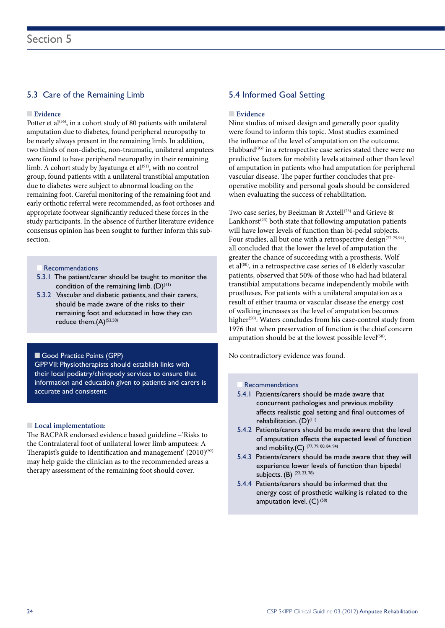#### 5.3 Care of the Remaining Limb

#### **n** Evidence

Potter et al<sup>(56)</sup>, in a cohort study of 80 patients with unilateral amputation due to diabetes, found peripheral neuropathy to be nearly always present in the remaining limb. In addition, two thirds of non-diabetic, non-traumatic, unilateral amputees were found to have peripheral neuropathy in their remaining limb. A cohort study by Jayatunga et  $al^{(91)}$ , with no control group, found patients with a unilateral transtibial amputation due to diabetes were subject to abnormal loading on the remaining foot. Careful monitoring of the remaining foot and early orthotic referral were recommended, as foot orthoses and appropriate footwear significantly reduced these forces in the study participants. In the absence of further literature evidence consensus opinion has been sought to further inform this subsection.

- **Recommendations**
- 5.3.1 The patient/carer should be taught to monitor the condition of the remaining limb.  $(D)^{(1)}$
- 5.3.2 Vascular and diabetic patients, and their carers, should be made aware of the risks to their remaining foot and educated in how they can reduce them. $(A)^{(52,58)}$

#### Good Practice Points (GPP)

GPP VII: Physiotherapists should establish links with their local podiatry/chiropody services to ensure that information and education given to patients and carers is accurate and consistent.

#### **n** Local implementation:

The BACPAR endorsed evidence based guideline –'Risks to the Contralateral foot of unilateral lower limb amputees: A Therapist's guide to identification and management'  $(2010)^{(92)}$ may help guide the clinician as to the recommended areas a therapy assessment of the remaining foot should cover.

#### 5.4 Informed Goal Setting

#### **n** Evidence

Nine studies of mixed design and generally poor quality were found to inform this topic. Most studies examined the influence of the level of amputation on the outcome. Hubbard<sup>(93)</sup> in a retrospective case series stated there were no predictive factors for mobility levels attained other than level of amputation in patients who had amputation for peripheral vascular disease. The paper further concludes that preoperative mobility and personal goals should be considered when evaluating the success of rehabilitation.

Two case series, by Beekman & Axtell<sup>(78)</sup> and Grieve & Lankhorst<sup> $(23)$ </sup> both state that following amputation patients will have lower levels of function than bi-pedal subjects. Four studies, all but one with a retrospective design<sup> $(77-79,94)$ </sup>, all concluded that the lower the level of amputation the greater the chance of succeeding with a prosthesis. Wolf et al $^{(80)}$ , in a retrospective case series of 18 elderly vascular patients, observed that 50% of those who had had bilateral transtibial amputations became independently mobile with prostheses. For patients with a unilateral amputation as a result of either trauma or vascular disease the energy cost of walking increases as the level of amputation becomes higher<sup>(50)</sup>. Waters concludes from his case-control study from 1976 that when preservation of function is the chief concern amputation should be at the lowest possible level<sup>(50)</sup>.

No contradictory evidence was found.

#### **Recommendations**

- 5.4.1 Patients/carers should be made aware that concurrent pathologies and previous mobility affects realistic goal setting and final outcomes of rehabilitation. (D)<sup>(11)</sup>
- 5.4.2 Patients/carers should be made aware that the level of amputation affects the expected level of function and mobility.(C)  $(77, 79, 80, 84, 94)$
- 5.4.3 Patients/carers should be made aware that they will experience lower levels of function than bipedal subjects. (B) (22, 23, 78)
- 5.4.4 Patients/carers should be informed that the energy cost of prosthetic walking is related to the amputation level.  $(C)$ <sup>(50)</sup>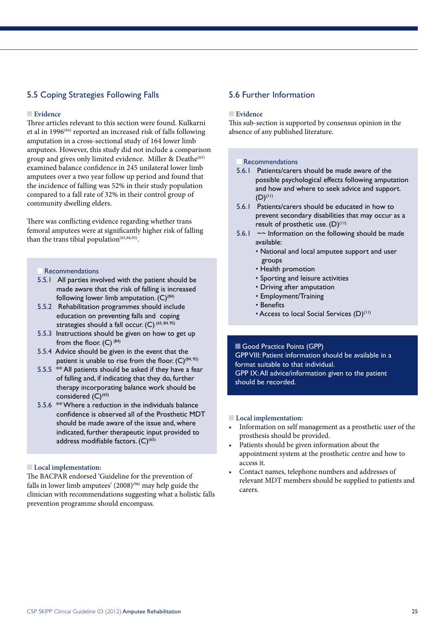### 5.5 Coping Strategies Following Falls

#### n **Evidence**

Three articles relevant to this section were found. Kulkarni et al in 1996(84) reported an increased risk of falls following amputation in a cross-sectional study of 164 lower limb amputees. However, this study did not include a comparison group and gives only limited evidence. Miller & Deathe<sup>(65)</sup> examined balance confidence in 245 unilateral lower limb amputees over a two year follow up period and found that the incidence of falling was 52% in their study population compared to a fall rate of 32% in their control group of community dwelling elders.

There was conflicting evidence regarding whether trans femoral amputees were at significantly higher risk of falling than the trans tibial population<sup> $(65,84,95)$ </sup>.

#### **Recommendations**

- 5.5.1 All parties involved with the patient should be made aware that the risk of falling is increased following lower limb amputation.  $(C)^{(84)}$
- 5.5.2 Rehabilitation programmes should include education on preventing falls and coping strategies should a fall occur.  $(C)$  (65, 84, 95)
- 5.5.3 Instructions should be given on how to get up from the floor.  $(C)$  (84)
- 5.5.4 Advice should be given in the event that the patient is unable to rise from the floor.  $(C)^{(84, 95)}$
- 5.5.5 \*\* All patients should be asked if they have a fear of falling and, if indicating that they do, further therapy incorporating balance work should be considered  $(C)^{(65)}$
- 5.5.6 \*\* Where a reduction in the individuals balance confidence is observed all of the Prosthetic MDT should be made aware of the issue and, where indicated, further therapeutic input provided to address modifiable factors. (C)<sup>(65)</sup>

#### **Local implementation:**

The BACPAR endorsed 'Guideline for the prevention of falls in lower limb amputees'  $(2008)^{(96)}$  may help guide the clinician with recommendations suggesting what a holistic falls prevention programme should encompass.

#### 5.6 Further Information

#### n **Evidence**

This sub-section is supported by consensus opinion in the absence of any published literature.

#### **Recommendations**

- 5.6.1 Patients/carers should be made aware of the possible psychological effects following amputation and how and where to seek advice and support.  $(D)^{(11)}$
- 5.6.1 Patients/carers should be educated in how to prevent secondary disabilities that may occur as a result of prosthetic use.  $(D)^{(11)}$
- 5.6.1  $\sim$  Information on the following should be made available:
	- National and local amputee support and user groups
	- Health promotion
	- Sporting and leisure activities
	- Driving after amputation
	- Employment/Training
	- Benefits
	- Access to local Social Services (D)<sup>(11)</sup>

Good Practice Points (GPP) GPP VIII: Patient information should be available in a format suitable to that individual. GPP IX: All advice/information given to the patient should be recorded.

#### **n** Local implementation:

- Information on self management as a prosthetic user of the prosthesis should be provided.
- Patients should be given information about the appointment system at the prosthetic centre and how to access it.
- Contact names, telephone numbers and addresses of relevant MDT members should be supplied to patients and carers.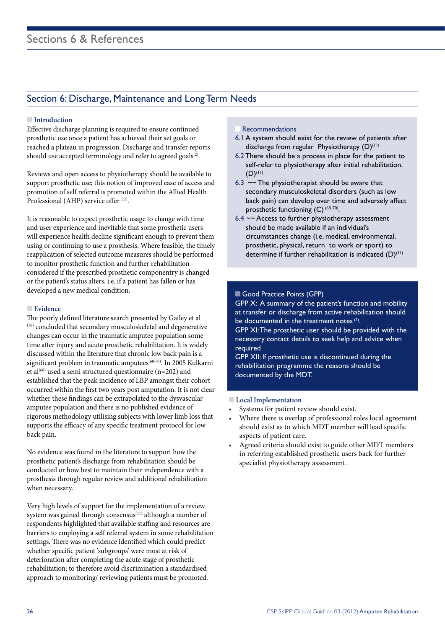## Section 6: Discharge, Maintenance and Long Term Needs

#### **nIntroduction**

Effective discharge planning is required to ensure continued prosthetic use once a patient has achieved their set goals or reached a plateau in progression. Discharge and transfer reports should use accepted terminology and refer to agreed goals $(2)$ .

Reviews and open access to physiotherapy should be available to support prosthetic use; this notion of improved ease of access and promotion of self referral is promoted within the Allied Health Professional (AHP) service offer<sup> $(17)$ </sup>.

It is reasonable to expect prosthetic usage to change with time and user experience and inevitable that some prosthetic users will experience health decline significant enough to prevent them using or continuing to use a prosthesis. Where feasible, the timely reapplication of selected outcome measures should be performed to monitor prosthetic function and further rehabilitation considered if the prescribed prosthetic componentry is changed or the patient's status alters, i.e. if a patient has fallen or has developed a new medical condition.

#### **Evidence**

The poorly defined literature search presented by Gailey et al (70) concluded that secondary musculoskeletal and degenerative changes can occur in the traumatic amputee population some time after injury and acute prosthetic rehabilitation. It is widely discussed within the literature that chronic low back pain is a significant problem in traumatic amputees<sup>(68-70)</sup>. In 2005 Kulkarni et al<sup>(68)</sup> used a semi structured questionnaire (n=202) and established that the peak incidence of LBP amongst their cohort occurred within the first two years post amputation. It is not clear whether these findings can be extrapolated to the dysvascular amputee population and there is no published evidence of rigorous methodology utilising subjects with lower limb loss that supports the efficacy of any specific treatment protocol for low back pain.

No evidence was found in the literature to support how the prosthetic patient's discharge from rehabilitation should be conducted or how best to maintain their independence with a prosthesis through regular review and additional rehabilitation when necessary.

Very high levels of support for the implementation of a review system was gained through consensus<sup>(11)</sup> although a number of respondents highlighted that available staffing and resources are barriers to employing a self referral system in some rehabilitation settings. There was no evidence identified which could predict whether specific patient 'subgroups' were most at risk of deterioration after completing the acute stage of prosthetic rehabilitation; to therefore avoid discrimination a standardised approach to monitoring/ reviewing patients must be promoted.

#### **Recommendations**

- 6.1 A system should exist for the review of patients after discharge from regular Physiotherapy  $(D)^{(11)}$
- 6.2 There should be a process in place for the patient to self-refer to physiotherapy after initial rehabilitation.  $(D)^{(11)}$
- 6.3  $\sim$  The physiotherapist should be aware that secondary musculoskeletal disorders (such as low back pain) can develop over time and adversely affect prosthetic functioning  $(C)$  (68,70).
- $6.4 \sim$  Access to further physiotherapy assessment should be made available if an individual's circumstances change (i.e. medical, environmental, prosthetic, physical, return to work or sport) to determine if further rehabilitation is indicated  $(D)^{(1)}$

#### Good Practice Points (GPP)

GPP X: A summary of the patient's function and mobility at transfer or discharge from active rehabilitation should be documented in the treatment notes  $(2)$ .

GPP XI: The prosthetic user should be provided with the necessary contact details to seek help and advice when required

GPP XII: If prosthetic use is discontinued during the rehabilitation programme the reasons should be documented by the MDT.

#### **n** Local Implementation

- Systems for patient review should exist.
- Where there is overlap of professional roles local agreement should exist as to which MDT member will lead specific aspects of patient care.
- Agreed criteria should exist to guide other MDT members in referring established prosthetic users back for further specialist physiotherapy assessment.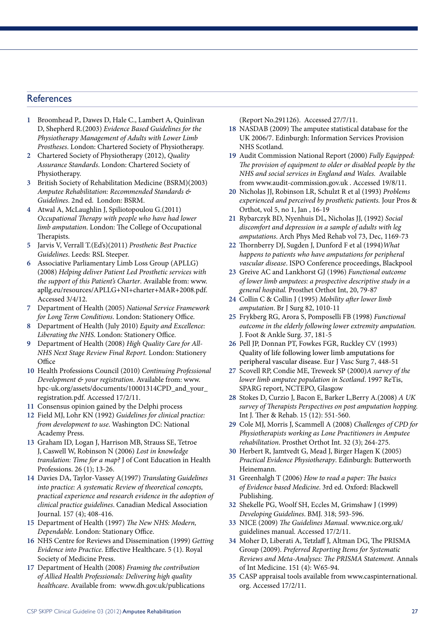#### **References**

- **1** Broomhead P., Dawes D, Hale C., Lambert A, Quinlivan D, Shepherd R.(2003) *Evidence Based Guidelines for the Physiotherapy Management of Adults with Lower Limb Prostheses*. London: Chartered Society of Physiotherapy.
- **2** Chartered Society of Physiotherapy (2012), *Quality Assurance Standards*. London: Chartered Society of Physiotherapy.
- **3** British Society of Rehabilitation Medicine (BSRM)(2003) *Amputee Rehabilitation: Recommended Standards & Guidelines*. 2nd ed. London: BSRM.
- **4** Atwal A, McLaughlin J, Spiliotopoulou G.(2011) *Occupational Therapy with people who have had lower limb amputation*. London: The College of Occupational Therapists.
- **5** Jarvis V, Verrall T.(Ed's)(2011) *Prosthetic Best Practice Guidelines*. Leeds: RSL Steeper.
- **6** Associative Parliamentary Limb Loss Group (APLLG) (2008) *Helping deliver Patient Led Prosthetic services with the support of this Patient's Charter*. Available from: www. apllg.eu/resources/APLLG+NI+charter+MAR+2008.pdf. Accessed 3/4/12.
- **7** Department of Health (2005) *National Service Framework for Long Term Conditions*. London: Stationery Office.
- **8** Department of Health (July 2010) *Equity and Excellence: Liberating the NHS*. London: Stationery Office.
- **9** Department of Health (2008) *High Quality Care for All-NHS Next Stage Review Final Report.* London: Stationery **Office**
- **10** Health Professions Council (2010) *Continuing Professional Development & your registration*. Available from: www. hpc-uk.org/assets/documents/10001314CPD\_and\_your\_ registration.pdf. Accessed 17/2/11.
- **11** Consensus opinion gained by the Delphi process
- **12** Field MJ, Lohr KN (1992) *Guidelines for clinical practice: from development to use*. Washington DC: National Academy Press.
- **13** Graham ID, Logan J, Harrison MB, Strauss SE, Tetroe J, Caswell W, Robinson N (2006) *Lost in knowledge translation: Time for a map?* J of Cont Education in Health Professions. 26 (1); 13-26.
- **14** Davies DA, Taylor-Vassey A(1997) *Translating Guidelines into practice: A systematic Review of theoretical concepts, practical experience and research evidence in the adoption of clinical practice guidelines*. Canadian Medical Association Journal. 157 (4); 408-416.
- **15** Department of Health (1997) *The New NHS: Modern, Dependable.* London: Stationary Office.
- **16** NHS Centre for Reviews and Dissemination (1999) *Getting Evidence into Practice*. Effective Healthcare. 5 (1). Royal Society of Medicine Press.
- **17** Department of Health (2008) *Framing the contribution of Allied Health Professionals: Delivering high quality healthcare*. Available from: www.dh.gov.uk/publications

(Report No.291126). Accessed 27/7/11.

- **18** NASDAB (2009) The amputee statistical database for the UK 2006/7. Edinburgh: Information Services Provision NHS Scotland.
- **19** Audit Commission National Report (2000) *Fully Equipped: The provision of equipment to older or disabled people by the NHS and social services in England and Wales.* Available from www.audit-commission.gov.uk . Accessed 19/8/11.
- **20** Nicholas JJ, Robinson LR, Schulzt R et al (1993) *Problems experienced and perceived by prosthetic patients.* Jour Pros & Orthot, vol 5, no 1, Jan , 16-19
- **21** Rybarczyk BD, Nyenhuis DL, Nicholas JJ, (1992) *Social discomfort and depression in a sample of adults with leg amputations*. Arch Phys Med Rehab vol 73, Dec, 1169-73
- **22** Thornberry DJ, Sugden J, Dunford F et al (1994)*What happens to patients who have amputations for peripheral vascular disease*. ISPO Conference proceedings, Blackpool
- **23** Greive AC and Lankhorst GJ (1996) *Functional outcome of lower limb amputees: a prospective descriptive study in a general hospital.* Prosthet Orthot Int, 20, 79-87
- **24** Collin C & Collin J (1995) *Mobility after lower limb amputation*. Br J Surg 82, 1010-11
- **25** Frykberg RG, Arora S, Pomposelli FB (1998) *Functional outcome in the elderly following lower extremity amputation.* J. Foot & Ankle Surg. 37, 181-5
- **26** Pell JP, Donnan PT, Fowkes FGR, Ruckley CV (1993) Quality of life following lower limb amputations for peripheral vascular disease. Eur J Vasc Surg 7, 448-51
- **27** Scovell RP, Condie ME, Treweek SP (2000)*A survey of the lower limb amputee population in Scotland*. 1997 ReTis, SPARG report, NCTEPO, Glasgow
- **28** Stokes D, Curzio J, Bacon E, Barker L,Berry A.(2008) *A UK survey of Therapists Perspectives on post amputation hopping.*  Int J. Ther & Rehab. 15 (12): 551-560.
- **29** Cole MJ, Morris J, Scammell A (2008) *Challenges of CPD for Physiotherapists working as Lone Practitioners in Amputee rehabilitation*. Prosthet Orthot Int. 32 (3); 264-275.
- **30** Herbert R, Jamtvedt G, Mead J, Birger Hagen K (2005) *Practical Evidence Physiotherapy*. Edinburgh: Butterworth Heinemann.
- **31** Greenhalgh T (2006) *How to read a paper: The basics of Evidence based Medicine*. 3rd ed. Oxford: Blackwell Publishing.
- **32** Shekelle PG, Woolf SH, Eccles M, Grimshaw J (1999) *Developing Guidelines*. BMJ. 318; 593-596.
- **33** NICE (2009) *The Guidelines Manual*. www.nice.org.uk/ guidelines manual. Accessed 17/2/11.
- **34** Moher D, Liberati A, Tetzlaff J, Altman DG, The PRISMA Group (2009). *Preferred Reporting Items for Systematic Reviews and Meta-Analyses: The PRISMA Statement.* Annals of Int Medicine. 151 (4): W65-94.
- **35** CASP appraisal tools available from www.caspinternational. org. Accessed 17/2/11.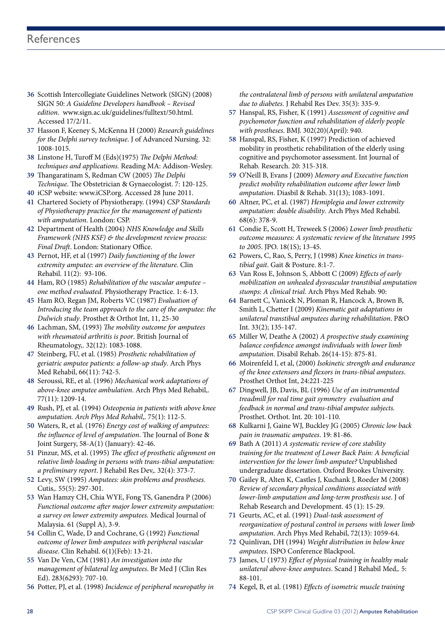- **36** Scottish Intercollegiate Guidelines Network (SIGN) (2008) SIGN 50: *A Guideline Developers handbook – Revised edition*. www.sign.ac.uk/guidelines/fulltext/50.html. Accessed 17/2/11.
- **37** Hasson F, Keeney S, McKenna H (2000) *Research guidelines for the Delphi survey technique*. J of Advanced Nursing. 32: 1008-1015.
- **38** Linstone H, Turoff M (Eds)(1975) *The Delphi Method: techniques and applications.* Reading MA: Addison-Wesley.
- **39** Thangaratinam S, Redman CW (2005) *The Delphi Technique*. The Obstetrician & Gynaecologist. 7: 120-125.
- **40** iCSP website: www.iCSP.org. Accessed 28 June 2011.
- **41** Chartered Society of Physiotherapy. (1994) *CSP Standards of Physiotherapy practice for the management of patients with amputation*. London: CSP.
- **42** Department of Health (2004) *NHS Knowledge and Skills Framework (NHS KSF) & the development review process: Final Draft*. London: Stationary Office.
- **43** Pernot, HF, et al (1997) *Daily functioning of the lower extremity amputee: an overview of the literature*. Clin Rehabil. 11(2): 93-106.
- **44** Ham, RO (1985) *Rehabilitation of the vascular amputee one method evaluated*. Physiotherapy Practice. 1: 6-13.
- **45** Ham RO, Regan JM, Roberts VC (1987) *Evaluation of Introducing the team approach to the care of the amputee: the Dulwich study*. Prosthet & Orthot Int, 11, 25-30
- **46** Lachman, SM, (1993) *The mobility outcome for amputees with rheumatoid arthritis is poor*. British Journal of Rheumatology,. 32(12): 1083-1088.
- **47** Steinberg, FU, et al. (1985) *Prosthetic rehabilitation of geriatric amputee patients: a follow-up study*. Arch Phys Med Rehabil, 66(11): 742-5.
- **48** Seroussi, RE, et al. (1996) *Mechanical work adaptations of above-knee amputee ambulation*. Arch Phys Med Rehabil,. 77(11): 1209-14.
- **49** Rush, PJ, et al. (1994) *Osteopenia in patients with above knee amputation. Arch Phys Med Rehabil*,. 75(1): 112-5.
- **50** Waters, R, et al. (1976) *Energy cost of walking of amputees: the influence of level of amputation*. The Journal of Bone & Joint Surgery, 58-A(1) (January): 42-46.
- **51** Pinzur, MS, et al. (1995) *The effect of prosthetic alignment on relative limb loading in persons with trans-tibial amputation: a preliminary report*. J Rehabil Res Dev,. 32(4): 373-7.
- **52** Levy, SW (1995) *Amputees: skin problems and prostheses.*  Cutis,. 55(5): 297-301.
- **53** Wan Hamzy CH, Chia WYE, Fong TS, Ganendra P (2006) *Functional outcome after major lower extremity amputation: a survey on lower extremity amputees*. Medical Journal of Malaysia. 61 (Suppl A), 3-9.
- **54** Collin C, Wade, D and Cochrane, G (1992) *Functional outcome of lower limb amputees with peripheral vascular disease*. Clin Rehabil. 6(1)(Feb): 13-21.
- **55** Van De Ven, CM (1981) *An investigation into the management of bilateral leg amputees*. Br Med J (Clin Res Ed). 283(6293): 707-10.
- **56** Potter, PJ, et al. (1998) *Incidence of peripheral neuropathy in*

*the contralateral limb of persons with unilateral amputation due to diabetes*. J Rehabil Res Dev. 35(3): 335-9.

- **57** Hanspal, RS, Fisher, K (1991) *Assessment of cognitive and psychomotor function and rehabilitation of elderly people with prostheses*. BMJ. 302(20)(April): 940.
- **58** Hanspal, RS, Fisher, K (1997) Prediction of achieved mobility in prosthetic rehabilitation of the elderly using cognitive and psychomotor assessment. Int Journal of Rehab. Research. 20: 315-318.
- **59** O'Neill B, Evans J (2009) *Memory and Executive function predict mobility rehabilitation outcome after lower limb amputation*. Diasbil & Rehab. 31(13); 1083-1091.
- **60** Altner, PC, et al. (1987) *Hemiplegia and lower extremity amputation: double disability*. Arch Phys Med Rehabil. 68(6): 378-9.
- **61** Condie E, Scott H, Treweek S (2006) *Lower limb prosthetic outcome measures: A systematic review of the literature 1995 to 2005*. JPO. 18(1S); 13-45.
- **62** Powers, C, Rao, S, Perry, J (1998) *Knee kinetics in transtibial gait*. Gait & Posture. 8:1-7.
- **63** Van Ross E, Johnson S, Abbott C (2009) *Effects of early mobilization on unhealed dysvascular transtibial amputation stumps: A clinical trial*. Arch Phys Med Rehab. 90:
- **64** Barnett C, Vanicek N, Ploman R, Hancock A, Brown B, Smith L, Chetter I (2009) *Kinematic gait adaptations in unilateral transtibial amputees during rehabilitation*. P&O Int. 33(2); 135-147.
- **65** Miller W, Deathe A (2002) *A prospective study examining balance confidence amongst individuals with lower limb amputation*. Disabil Rehab. 26(14-15): 875-81.
- **66** Moirenfeld I, et al, (2000) *Isokinetic strength and endurance of the knee extensors and flexors in trans-tibial amputees*. Prosthet Orthot Int, 24:221-225
- **67** Dingwell, JB, Davis, BL (1996) *Use of an instrumented treadmill for real time gait symmetry evaluation and feedback in normal and trans-tibial amputee subjects.* Prosthet. Orthot. Int. 20: 101-110.
- **68** Kulkarni J, Gaine WJ, Buckley JG (2005) *Chronic low back pain in traumatic amputees*. 19: 81-86.
- **69** Bath A (2011) *A systematic review of core stability training for the treatment of Lower Back Pain: A beneficial intervention for the lower limb amputee?* Unpublished undergraduate dissertation. Oxford Brookes University.
- **70** Gailey R, Alten K, Castles J, Kuchank J, Roeder M (2008) *Review of secondary physical conditions associated with lower-limb amputation and long-term prosthesis use*. J of Rehab Research and Development. 45 (1): 15-29.
- **71** Geurts, AC, et al. (1991) *Dual-task assessment of reorganization of postural control in persons with lower limb amputation*. Arch Phys Med Rehabil, 72(13): 1059-64.
- **72** Quinlivan, DH (1994) *Weight distribution in below knee amputees*. ISPO Conference Blackpool.
- **73** James, U (1973) *Effect of physical training in healthy male unilateral above-knee amputees*. Scand J Rehabil Med,. 5: 88-101.
- **74** Kegel, B, et al. (1981) *Effects of isometric muscle training*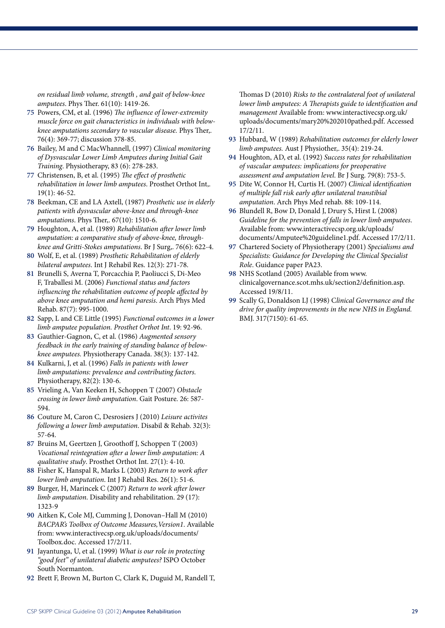*on residual limb volume, strength , and gait of below-knee amputees*. Phys Ther. 61(10): 1419-26.

- **75** Powers, CM, et al. (1996) *The influence of lower-extremity muscle force on gait characteristics in individuals with belowknee amputations secondary to vascular disease.* Phys Ther,. 76(4): 369-77; discussion 378-85.
- **76** Bailey, M and C MacWhannell, (1997) *Clinical monitoring of Dysvascular Lower Limb Amputees during Initial Gait Training*. Physiotherapy, 83 (6): 278-283.
- **77** Christensen, B, et al. (1995) *The effect of prosthetic rehabilitation in lower limb amputees*. Prosthet Orthot Int,. 19(1): 46-52.
- **78** Beekman, CE and LA Axtell, (1987) *Prosthetic use in elderly patients with dysvascular above-knee and through-knee amputations*. Phys Ther,. 67(10): 1510-6.
- **79** Houghton, A, et al. (1989) *Rehabilitation after lower limb amputation: a comparative study of above-knee, throughknee and Gritti-Stokes amputations*. Br J Surg,. 76(6): 622-4.
- **80** Wolf, E, et al. (1989) *Prosthetic Rehabilitation of elderly bilateral amputees*. Int J Rehabil Res. 12(3): 271-78.
- **81** Brunelli S, Averna T, Porcacchia P, Paoliucci S, Di-Meo F, Traballesi M. (2006) *Functional status and factors influencing the rehabilitation outcome of people affected by above knee amputation and hemi paresis*. Arch Phys Med Rehab. 87(7): 995-1000.
- **82** Sapp, L and CE Little (1995) *Functional outcomes in a lower limb amputee population. Prosthet Orthot Int*. 19: 92-96.
- **83** Gauthier-Gagnon, C, et al. (1986) *Augmented sensory feedback in the early training of standing balance of belowknee amputees.* Physiotherapy Canada. 38(3): 137-142.
- **84** Kulkarni, J, et al. (1996) *Falls in patients with lower limb amputations: prevalence and contributing factors.* Physiotherapy, 82(2): 130-6.
- **85** Vrieling A, Van Keeken H, Schoppen T (2007) *Obstacle crossing in lower limb amputation*. Gait Posture. 26: 587- 594.
- **86** Couture M, Caron C, Desrosiers J (2010) *Leisure activites following a lower limb amputation*. Disabil & Rehab. 32(3): 57-64.
- **87** Bruins M, Geertzen J, Groothoff J, Schoppen T (2003) *Vocational reintegration after a lower limb amputation: A qualitative study*. Prosthet Orthot Int. 27(1): 4-10.
- **88** Fisher K, Hanspal R, Marks L (2003) *Return to work after lower limb amputation*. Int J Rehabil Res. 26(1): 51-6.
- **89** Burger, H, Marincek C (2007) *Return to work after lower limb amputation*. Disability and rehabilitation. 29 (17): 1323-9
- **90** Aitken K, Cole MJ, Cumming J, Donovan–Hall M (2010) *BACPAR's Toolbox of Outcome Measures,Version1*. Available from: www.interactivecsp.org.uk/uploads/documents/ Toolbox.doc. Accessed 17/2/11.
- **91** Jayantunga, U, et al. (1999) *What is our role in protecting "good feet" of unilateral diabetic amputees?* ISPO October South Normanton.
- **92** Brett F, Brown M, Burton C, Clark K, Duguid M, Randell T,

Thomas D (2010) *Risks to the contralateral foot of unilateral lower limb amputees: A Therapists guide to identification and management* Available from: www.interactivecsp.org.uk/ uploads/documents/mary20%202010pathed.pdf. Accessed 17/2/11.

- **93** Hubbard, W (1989) *Rehabilitation outcomes for elderly lower limb amputees.* Aust J Physiother,. 35(4): 219-24.
- **94** Houghton, AD, et al. (1992) *Success rates for rehabilitation of vascular amputees: implications for preoperative assessment and amputation level*. Br J Surg. 79(8): 753-5.
- **95** Dite W, Connor H, Curtis H. (2007) *Clinical identification of multiple fall risk early after unilateral transtibial amputation*. Arch Phys Med rehab. 88: 109-114.
- **96** Blundell R, Bow D, Donald J, Drury S, Hirst L (2008) *Guideline for the prevention of falls in lower limb amputees*. Available from: www.interactivecsp.org.uk/uploads/ documents/Amputee%20guideline1.pdf. Accessed 17/2/11.
- **97** Chartered Society of Physiotherapy (2001) *Specialisms and Specialists: Guidance for Developing the Clinical Specialist Role*. Guidance paper PA23.
- **98** NHS Scotland (2005) Available from www. clinicalgovernance.scot.mhs.uk/section2/definition.asp. Accessed 19/8/11.
- **99** Scally G, Donaldson LJ (1998) C*linical Governance and the drive for quality improvements in the new NHS in England.*  BMJ. 317(7150): 61-65.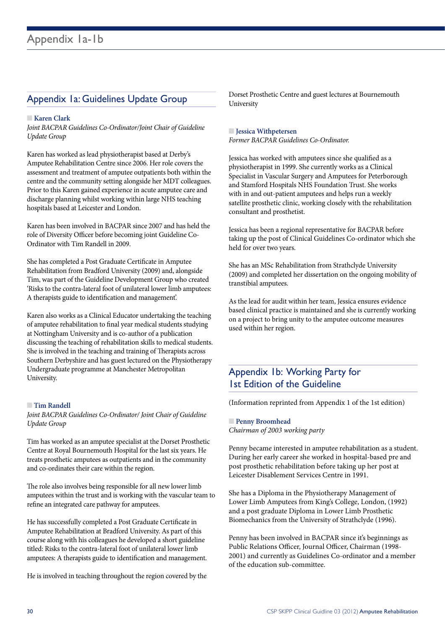## Appendix 1a: Guidelines Update Group

#### n **Karen Clark**

*Joint BACPAR Guidelines Co-Ordinator/Joint Chair of Guideline Update Group*

Karen has worked as lead physiotherapist based at Derby's Amputee Rehabilitation Centre since 2006. Her role covers the assessment and treatment of amputee outpatients both within the centre and the community setting alongside her MDT colleagues. Prior to this Karen gained experience in acute amputee care and discharge planning whilst working within large NHS teaching hospitals based at Leicester and London.

Karen has been involved in BACPAR since 2007 and has held the role of Diversity Officer before becoming joint Guideline Co-Ordinator with Tim Randell in 2009.

She has completed a Post Graduate Certificate in Amputee Rehabilitation from Bradford University (2009) and, alongside Tim, was part of the Guideline Development Group who created 'Risks to the contra-lateral foot of unilateral lower limb amputees: A therapists guide to identification and management'.

Karen also works as a Clinical Educator undertaking the teaching of amputee rehabilitation to final year medical students studying at Nottingham University and is co-author of a publication discussing the teaching of rehabilitation skills to medical students. She is involved in the teaching and training of Therapists across Southern Derbyshire and has guest lectured on the Physiotherapy Undergraduate programme at Manchester Metropolitan University.

#### **n Tim Randell**

*Joint BACPAR Guidelines Co-Ordinator/ Joint Chair of Guideline Update Group*

Tim has worked as an amputee specialist at the Dorset Prosthetic Centre at Royal Bournemouth Hospital for the last six years. He treats prosthetic amputees as outpatients and in the community and co-ordinates their care within the region.

The role also involves being responsible for all new lower limb amputees within the trust and is working with the vascular team to refine an integrated care pathway for amputees.

He has successfully completed a Post Graduate Certificate in Amputee Rehabilitation at Bradford University. As part of this course along with his colleagues he developed a short guideline titled: Risks to the contra-lateral foot of unilateral lower limb amputees: A therapists guide to identification and management.

He is involved in teaching throughout the region covered by the

Dorset Prosthetic Centre and guest lectures at Bournemouth University

#### **n Jessica Withpetersen**

*Former BACPAR Guidelines Co-Ordinator.*

Jessica has worked with amputees since she qualified as a physiotherapist in 1999. She currently works as a Clinical Specialist in Vascular Surgery and Amputees for Peterborough and Stamford Hospitals NHS Foundation Trust. She works with in and out-patient amputees and helps run a weekly satellite prosthetic clinic, working closely with the rehabilitation consultant and prosthetist.

Jessica has been a regional representative for BACPAR before taking up the post of Clinical Guidelines Co-ordinator which she held for over two years.

She has an MSc Rehabilitation from Strathclyde University (2009) and completed her dissertation on the ongoing mobility of transtibial amputees.

As the lead for audit within her team, Jessica ensures evidence based clinical practice is maintained and she is currently working on a project to bring unity to the amputee outcome measures used within her region.

## Appendix 1b: Working Party for 1st Edition of the Guideline

(Information reprinted from Appendix 1 of the 1st edition)

#### **n** Penny Broomhead *Chairman of 2003 working party*

Penny became interested in amputee rehabilitation as a student. During her early career she worked in hospital-based pre and post prosthetic rehabilitation before taking up her post at Leicester Disablement Services Centre in 1991.

She has a Diploma in the Physiotherapy Management of Lower Limb Amputees from King's College, London, (1992) and a post graduate Diploma in Lower Limb Prosthetic Biomechanics from the University of Strathclyde (1996).

Penny has been involved in BACPAR since it's beginnings as Public Relations Officer, Journal Officer, Chairman (1998- 2001) and currently as Guidelines Co-ordinator and a member of the education sub-committee.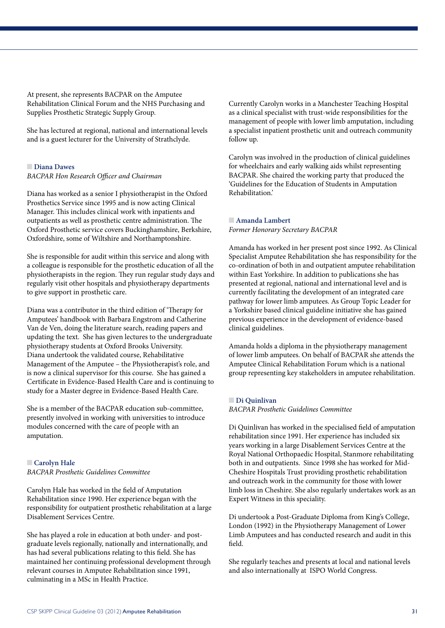At present, she represents BACPAR on the Amputee Rehabilitation Clinical Forum and the NHS Purchasing and Supplies Prosthetic Strategic Supply Group.

She has lectured at regional, national and international levels and is a guest lecturer for the University of Strathclyde.

#### **n Diana Dawes**

*BACPAR Hon Research Officer and Chairman* 

Diana has worked as a senior I physiotherapist in the Oxford Prosthetics Service since 1995 and is now acting Clinical Manager. This includes clinical work with inpatients and outpatients as well as prosthetic centre administration. The Oxford Prosthetic service covers Buckinghamshire, Berkshire, Oxfordshire, some of Wiltshire and Northamptonshire.

She is responsible for audit within this service and along with a colleague is responsible for the prosthetic education of all the physiotherapists in the region. They run regular study days and regularly visit other hospitals and physiotherapy departments to give support in prosthetic care.

Diana was a contributor in the third edition of 'Therapy for Amputees' handbook with Barbara Engstrom and Catherine Van de Ven, doing the literature search, reading papers and updating the text. She has given lectures to the undergraduate physiotherapy students at Oxford Brooks University. Diana undertook the validated course, Rehabilitative Management of the Amputee – the Physiotherapist's role, and is now a clinical supervisor for this course. She has gained a Certificate in Evidence-Based Health Care and is continuing to study for a Master degree in Evidence-Based Health Care.

She is a member of the BACPAR education sub-committee, presently involved in working with universities to introduce modules concerned with the care of people with an amputation.

## **n** Carolyn Hale

*BACPAR Prosthetic Guidelines Committee*

Carolyn Hale has worked in the field of Amputation Rehabilitation since 1990. Her experience began with the responsibility for outpatient prosthetic rehabilitation at a large Disablement Services Centre.

She has played a role in education at both under- and postgraduate levels regionally, nationally and internationally, and has had several publications relating to this field. She has maintained her continuing professional development through relevant courses in Amputee Rehabilitation since 1991, culminating in a MSc in Health Practice.

Currently Carolyn works in a Manchester Teaching Hospital as a clinical specialist with trust-wide responsibilities for the management of people with lower limb amputation, including a specialist inpatient prosthetic unit and outreach community follow up.

Carolyn was involved in the production of clinical guidelines for wheelchairs and early walking aids whilst representing BACPAR. She chaired the working party that produced the 'Guidelines for the Education of Students in Amputation Rehabilitation.'

#### n **Amanda Lambert** *Former Honorary Secretary BACPAR*

Amanda has worked in her present post since 1992. As Clinical Specialist Amputee Rehabilitation she has responsibility for the co-ordination of both in and outpatient amputee rehabilitation within East Yorkshire. In addition to publications she has presented at regional, national and international level and is currently facilitating the development of an integrated care pathway for lower limb amputees. As Group Topic Leader for a Yorkshire based clinical guideline initiative she has gained previous experience in the development of evidence-based clinical guidelines.

Amanda holds a diploma in the physiotherapy management of lower limb amputees. On behalf of BACPAR she attends the Amputee Clinical Rehabilitation Forum which is a national group representing key stakeholders in amputee rehabilitation.

#### n **Di Quinlivan**

*BACPAR Prosthetic Guidelines Committee*

Di Quinlivan has worked in the specialised field of amputation rehabilitation since 1991. Her experience has included six years working in a large Disablement Services Centre at the Royal National Orthopaedic Hospital, Stanmore rehabilitating both in and outpatients. Since 1998 she has worked for Mid-Cheshire Hospitals Trust providing prosthetic rehabilitation and outreach work in the community for those with lower limb loss in Cheshire. She also regularly undertakes work as an Expert Witness in this speciality.

Di undertook a Post-Graduate Diploma from King's College, London (1992) in the Physiotherapy Management of Lower Limb Amputees and has conducted research and audit in this field.

She regularly teaches and presents at local and national levels and also internationally at ISPO World Congress.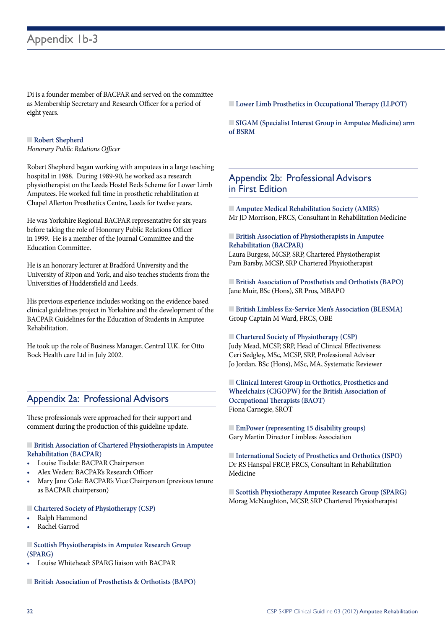Di is a founder member of BACPAR and served on the committee as Membership Secretary and Research Officer for a period of eight years.

#### **n** Robert Shepherd

*Honorary Public Relations Officer* 

Robert Shepherd began working with amputees in a large teaching hospital in 1988. During 1989-90, he worked as a research physiotherapist on the Leeds Hostel Beds Scheme for Lower Limb Amputees. He worked full time in prosthetic rehabilitation at Chapel Allerton Prosthetics Centre, Leeds for twelve years.

He was Yorkshire Regional BACPAR representative for six years before taking the role of Honorary Public Relations Officer in 1999. He is a member of the Journal Committee and the Education Committee.

He is an honorary lecturer at Bradford University and the University of Ripon and York, and also teaches students from the Universities of Huddersfield and Leeds.

His previous experience includes working on the evidence based clinical guidelines project in Yorkshire and the development of the BACPAR Guidelines for the Education of Students in Amputee Rehabilitation.

He took up the role of Business Manager, Central U.K. for Otto Bock Health care Ltd in July 2002.

## Appendix 2a: Professional Advisors

These professionals were approached for their support and comment during the production of this guideline update.

#### $\blacksquare$  **British Association of Chartered Physiotherapists in Amputee Rehabilitation (BACPAR)**

- Louise Tisdale: BACPAR Chairperson
- Alex Weden: BACPAR's Research Officer
- Mary Jane Cole: BACPAR's Vice Chairperson (previous tenure as BACPAR chairperson)

#### $\Box$  Chartered Society of Physiotherapy (CSP)

- Ralph Hammond
- Rachel Garrod
- $\Box$  **Scottish Physiotherapists in Amputee Research Group (SPARG)**
- Louise Whitehead: SPARG liaison with BACPAR
- **Example 3 British Association of Prosthetists & Orthotists (BAPO)**

**Lower Limb Prosthetics in Occupational Therapy (LLPOT)** 

 $\Box$  **SIGAM (Specialist Interest Group in Amputee Medicine) arm of BSRM**

## Appendix 2b: Professional Advisors in First Edition

 $\blacksquare$  **Amputee Medical Rehabilitation Society (AMRS)** Mr JD Morrison, FRCS, Consultant in Rehabilitation Medicine

#### $\Box$  **British Association of Physiotherapists in Amputee Rehabilitation (BACPAR)**

Laura Burgess, MCSP, SRP, Chartered Physiotherapist Pam Barsby, MCSP, SRP Chartered Physiotherapist

**Exercise British Association of Prosthetists and Orthotists (BAPO)** Jane Muir, BSc (Hons), SR Pros, MBAPO

**Example 1** British Limbless Ex-Service Men's Association (BLESMA) Group Captain M Ward, FRCS, OBE

■ Chartered Society of Physiotherapy (CSP) Judy Mead, MCSP, SRP, Head of Clinical Effectiveness Ceri Sedgley, MSc, MCSP, SRP, Professional Adviser Jo Jordan, BSc (Hons), MSc, MA, Systematic Reviewer

**n** Clinical Interest Group in Orthotics, Prosthetics and **Wheelchairs (CIGOPW) for the British Association of Occupational Therapists (BAOT)** Fiona Carnegie, SROT

**EmPower (representing 15 disability groups)** Gary Martin Director Limbless Association

**International Society of Prosthetics and Orthotics (ISPO)** Dr RS Hanspal FRCP, FRCS, Consultant in Rehabilitation Medicine

n **Scottish Physiotherapy Amputee Research Group (SPARG)** Morag McNaughton, MCSP, SRP Chartered Physiotherapist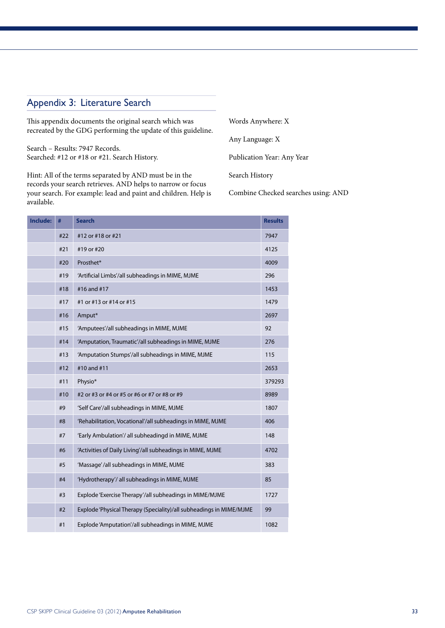## Appendix 3: Literature Search

This appendix documents the original search which was recreated by the GDG performing the update of this guideline.

Search – Results: 7947 Records. Searched: #12 or #18 or #21. Search History.

Hint: All of the terms separated by AND must be in the records your search retrieves. AND helps to narrow or focus your search. For example: lead and paint and children. Help is available.

Words Anywhere: X 

Any Language: X

Publication Year: Any Year

Search History

Combine Checked searches using: AND

| <b>Include:</b> | #   | <b>Search</b>                                                       | <b>Results</b> |
|-----------------|-----|---------------------------------------------------------------------|----------------|
|                 | #22 | #12 or #18 or #21                                                   | 7947           |
|                 | #21 | #19 or #20                                                          | 4125           |
|                 | #20 | Prosthet*                                                           | 4009           |
|                 | #19 | 'Artificial Limbs'/all subheadings in MIME, MJME                    | 296            |
|                 | #18 | #16 and #17                                                         | 1453           |
|                 | #17 | #1 or #13 or #14 or #15                                             | 1479           |
|                 | #16 | Amput*                                                              | 2697           |
|                 | #15 | 'Amputees'/all subheadings in MIME, MJME                            | 92             |
|                 | #14 | 'Amputation, Traumatic'/all subheadings in MIME, MJME               | 276            |
|                 | #13 | 'Amputation Stumps'/all subheadings in MIME, MJME                   | 115            |
|                 | #12 | #10 and #11                                                         | 2653           |
|                 | #11 | Physio*                                                             | 379293         |
|                 | #10 | #2 or #3 or #4 or #5 or #6 or #7 or #8 or #9                        | 8989           |
|                 | #9  | 'Self Care'/all subheadings in MIME, MJME                           | 1807           |
|                 | #8  | 'Rehabilitation, Vocational'/all subheadings in MIME, MJME          | 406            |
|                 | #7  | 'Early Ambulation'/ all subheadingd in MIME, MJME                   | 148            |
|                 | #6  | 'Activities of Daily Living'/all subheadings in MIME, MJME          | 4702           |
|                 | #5  | 'Massage'/all subheadings in MIME, MJME                             | 383            |
|                 | #4  | 'Hydrotherapy'/ all subheadings in MIME, MJME                       | 85             |
|                 | #3  | Explode 'Exercise Therapy'/all subheadings in MIME/MJME             | 1727           |
|                 | #2  | Explode 'Physical Therapy (Speciality)/all subheadings in MIME/MJME | 99             |
|                 | #1  | Explode 'Amputation'/all subheadings in MIME, MJME                  | 1082           |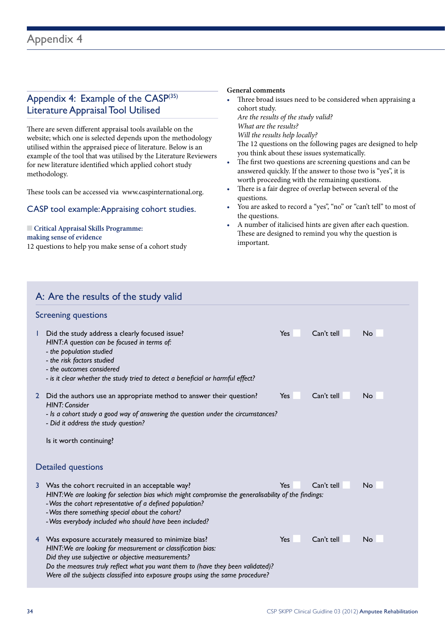## Appendix 4: Example of the CASP(35) Literature Appraisal Tool Utilised

There are seven different appraisal tools available on the website; which one is selected depends upon the methodology utilised within the appraised piece of literature. Below is an example of the tool that was utilised by the Literature Reviewers for new literature identified which applied cohort study methodology.

These tools can be accessed via www.caspinternational.org.

#### CASP tool example: Appraising cohort studies.

#### **n** Critical Appraisal Skills Programme:

**making sense of evidence** 

12 questions to help you make sense of a cohort study

#### **General comments**

• Three broad issues need to be considered when appraising a cohort study.

*Are the results of the study valid? What are the results? Will the results help locally?* 

 The 12 questions on the following pages are designed to help you think about these issues systematically.

- The first two questions are screening questions and can be answered quickly. If the answer to those two is "yes", it is worth proceeding with the remaining questions.
- There is a fair degree of overlap between several of the questions.
- You are asked to record a "yes", "no" or "can't tell" to most of the questions.
- A number of italicised hints are given after each question. These are designed to remind you why the question is important.

| A: Are the results of the study valid                                                                                                                                                                                                                                                                                                 |            |            |           |
|---------------------------------------------------------------------------------------------------------------------------------------------------------------------------------------------------------------------------------------------------------------------------------------------------------------------------------------|------------|------------|-----------|
| <b>Screening questions</b>                                                                                                                                                                                                                                                                                                            |            |            |           |
| Did the study address a clearly focused issue?<br>HINT: A question can be focused in terms of:<br>- the population studied<br>- the risk factors studied<br>- the outcomes considered<br>- is it clear whether the study tried to detect a beneficial or harmful effect?                                                              | <b>Yes</b> | Can't tell | <b>No</b> |
| Did the authors use an appropriate method to answer their question?<br>$\overline{2}$<br><b>HINT: Consider</b><br>- Is a cohort study a good way of answering the question under the circumstances?<br>- Did it address the study question?<br>Is it worth continuing?                                                                | <b>Yes</b> | Can't tell | No        |
| Detailed questions                                                                                                                                                                                                                                                                                                                    |            |            |           |
| Was the cohort recruited in an acceptable way?<br>3<br>HINT: We are looking for selection bias which might compromise the generalisability of the findings:<br>- Was the cohort representative of a defined population?<br>- Was there something special about the cohort?<br>- Was everybody included who should have been included? | <b>Yes</b> | Can't tell | No        |
| 4 Was exposure accurately measured to minimize bias?<br>HINT: We are looking for measurement or classification bias:<br>Did they use subjective or objective measurements?<br>Do the measures truly reflect what you want them to (have they been validated)?                                                                         | <b>Yes</b> | Can't tell | <b>No</b> |

*Were all the subjects classified into exposure groups using the same procedure?*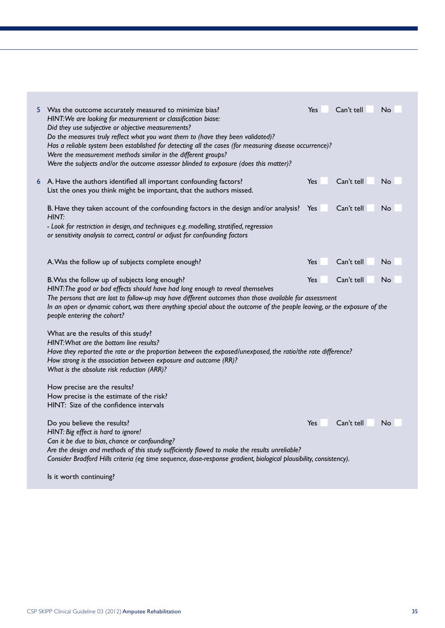|   | Was the outcome accurately measured to minimize bias?<br>HINT: We are looking for measurement or classification biase:<br>Did they use subjective or objective measurements?<br>Do the measures truly reflect what you want them to (have they been validated)?<br>Has a reliable system been established for detecting all the cases (for measuring disease occurrence)?<br>Were the measurement methods similar in the different groups?<br>Were the subjects and/or the outcome assessor blinded to exposure (does this matter)? | Yes | Can't tell | No |
|---|-------------------------------------------------------------------------------------------------------------------------------------------------------------------------------------------------------------------------------------------------------------------------------------------------------------------------------------------------------------------------------------------------------------------------------------------------------------------------------------------------------------------------------------|-----|------------|----|
| 6 | A. Have the authors identified all important confounding factors?<br>List the ones you think might be important, that the authors missed.                                                                                                                                                                                                                                                                                                                                                                                           | Yes | Can't tell | No |
|   | B. Have they taken account of the confounding factors in the design and/or analysis?<br>HINT:<br>- Look for restriction in design, and techniques e.g. modelling, stratified, regression<br>or sensitivity analysis to correct, control or adjust for confounding factors                                                                                                                                                                                                                                                           | Yes | Can't tell | No |
|   | A. Was the follow up of subjects complete enough?                                                                                                                                                                                                                                                                                                                                                                                                                                                                                   | Yes | Can't tell | No |
|   | B. Was the follow up of subjects long enough?<br>HINT: The good or bad effects should have had long enough to reveal themselves<br>The persons that are lost to follow-up may have different outcomes than those available for assessment<br>In an open or dynamic cohort, was there anything special about the outcome of the people leaving, or the exposure of the<br>people entering the cohort?                                                                                                                                | Yes | Can't tell | No |
|   | What are the results of this study?<br>HINT: What are the bottom line results?<br>Have they reported the rate or the proportion between the exposed/unexposed, the ratio/the rate difference?<br>How strong is the association between exposure and outcome (RR)?<br>What is the absolute risk reduction (ARR)?                                                                                                                                                                                                                     |     |            |    |
|   | How precise are the results?<br>How precise is the estimate of the risk?<br>HINT: Size of the confidence intervals                                                                                                                                                                                                                                                                                                                                                                                                                  |     |            |    |
|   | Do you believe the results?<br>HINT: Big effect is hard to ignore!<br>Can it be due to bias, chance or confounding?<br>Are the design and methods of this study sufficiently flawed to make the results unreliable?<br>Consider Bradford Hills criteria (eg time sequence, dose-response gradient, biological plausibility, consistency).                                                                                                                                                                                           | Yes | Can't tell | No |

Is it worth continuing?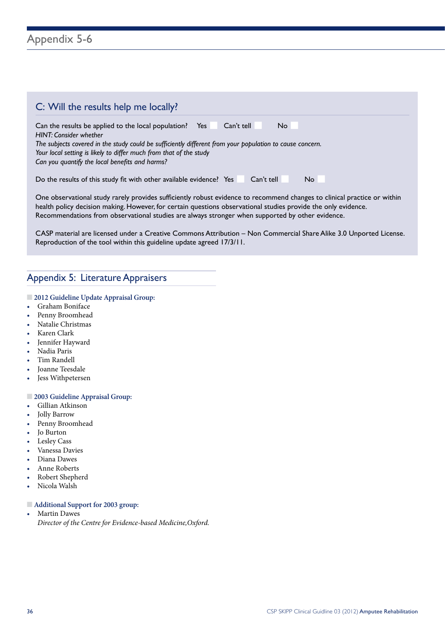| C: Will the results help me locally?                                                                                                                                                                                                                                                                                                                 |
|------------------------------------------------------------------------------------------------------------------------------------------------------------------------------------------------------------------------------------------------------------------------------------------------------------------------------------------------------|
| No.<br>Can the results be applied to the local population?<br>Yes<br>Can't tell<br><b>HINT: Consider whether</b><br>The subjects covered in the study could be sufficiently different from your population to cause concern.<br>Your local setting is likely to differ much from that of the study<br>Can you quantify the local benefits and harms? |
| Do the results of this study fit with other available evidence? Yes<br>Can't tell<br>No.                                                                                                                                                                                                                                                             |

One observational study rarely provides sufficiently robust evidence to recommend changes to clinical practice or within health policy decision making. However, for certain questions observational studies provide the only evidence. Recommendations from observational studies are always stronger when supported by other evidence.

CASP material are licensed under a Creative Commons Attribution – Non Commercial Share Alike 3.0 Unported License. Reproduction of the tool within this guideline update agreed 17/3/11.

## Appendix 5: Literature Appraisers

#### $\Box$  **2012 Guideline Update Appraisal Group:**

- • Graham Boniface
- Penny Broomhead
- Natalie Christmas
- Karen Clark
- Jennifer Hayward
- Nadia Paris
- Tim Randell
- **Joanne Teesdale**
- Jess Withpetersen

#### $\Box$  **2003 Guideline Appraisal Group:**

- Gillian Atkinson
- Jolly Barrow
- Penny Broomhead
- Jo Burton
- Lesley Cass
- Vanessa Davies
- Diana Dawes
- Anne Roberts
- Robert Shepherd
- Nicola Walsh

#### n **Additional Support for 2003 group:**

• Martin Dawes *Director of the Centre for Evidence-based Medicine,Oxford.*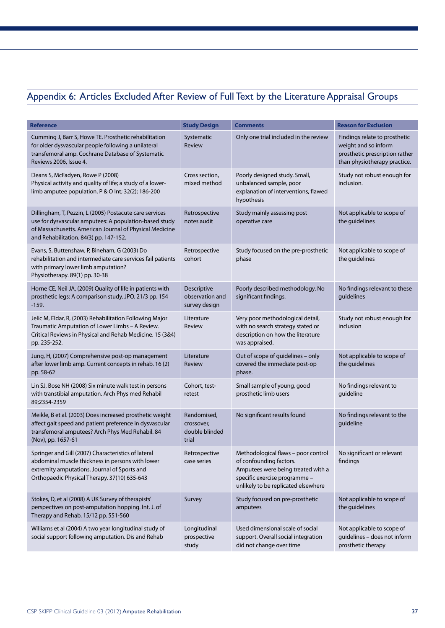## Appendix 6: Articles Excluded After Review of Full Text by the Literature Appraisal Groups

| <b>Reference</b>                                                                                                                                                                                                       | <b>Study Design</b>                                  | <b>Comments</b>                                                                                                                                                                                         | <b>Reason for Exclusion</b>                                                                                             |
|------------------------------------------------------------------------------------------------------------------------------------------------------------------------------------------------------------------------|------------------------------------------------------|---------------------------------------------------------------------------------------------------------------------------------------------------------------------------------------------------------|-------------------------------------------------------------------------------------------------------------------------|
| Cumming J, Barr S, Howe TE. Prosthetic rehabilitation<br>for older dysvascular people following a unilateral<br>transfemoral amp. Cochrane Database of Systematic<br>Reviews 2006, Issue 4.                            | Systematic<br>Review                                 | Only one trial included in the review                                                                                                                                                                   | Findings relate to prosthetic<br>weight and so inform<br>prosthetic prescription rather<br>than physiotherapy practice. |
| Deans S, McFadyen, Rowe P (2008)<br>Physical activity and quality of life; a study of a lower-<br>limb amputee population. P & O Int; 32(2); 186-200                                                                   | Cross section,<br>mixed method                       | Poorly designed study. Small,<br>unbalanced sample, poor<br>explanation of interventions, flawed<br>hypothesis                                                                                          | Study not robust enough for<br>inclusion.                                                                               |
| Dillingham, T, Pezzin, L (2005) Postacute care services<br>use for dysvascular amputees: A population-based study<br>of Massachusetts. American Journal of Physical Medicine<br>and Rehabilitation. 84(3) pp. 147-152. | Retrospective<br>notes audit                         | Study mainly assessing post<br>operative care                                                                                                                                                           | Not applicable to scope of<br>the guidelines                                                                            |
| Evans, S, Buttenshaw, P, Bineham, G (2003) Do<br>rehabilitation and intermediate care services fail patients<br>with primary lower limb amputation?<br>Physiotherapy. 89(1) pp. 30-38                                  | Retrospective<br>cohort                              | Study focused on the pre-prosthetic<br>phase                                                                                                                                                            | Not applicable to scope of<br>the guidelines                                                                            |
| Horne CE, Neil JA, (2009) Quality of life in patients with<br>prosthetic legs: A comparison study. JPO. 21/3 pp. 154<br>$-159.$                                                                                        | Descriptive<br>observation and<br>survey design      | Poorly described methodology. No<br>significant findings.                                                                                                                                               | No findings relevant to these<br>guidelines                                                                             |
| Jelic M, Eldar, R, (2003) Rehabilitation Following Major<br>Traumatic Amputation of Lower Limbs - A Review.<br>Critical Reviews in Physical and Rehab Medicine. 15 (3&4)<br>pp. 235-252.                               | Literature<br>Review                                 | Very poor methodological detail,<br>with no search strategy stated or<br>description on how the literature<br>was appraised.                                                                            | Study not robust enough for<br>inclusion                                                                                |
| Jung, H, (2007) Comprehensive post-op management<br>after lower limb amp. Current concepts in rehab. 16 (2)<br>pp. 58-62                                                                                               | Literature<br>Review                                 | Out of scope of guidelines - only<br>covered the immediate post-op<br>phase.                                                                                                                            | Not applicable to scope of<br>the guidelines                                                                            |
| Lin SJ, Bose NH (2008) Six minute walk test in persons<br>with transtibial amputation. Arch Phys med Rehabil<br>89;2354-2359                                                                                           | Cohort, test-<br>retest                              | Small sample of young, good<br>prosthetic limb users                                                                                                                                                    | No findings relevant to<br>guideline                                                                                    |
| Meikle, B et al. (2003) Does increased prosthetic weight<br>affect gait speed and patient preference in dysvascular<br>transfemoral amputees? Arch Phys Med Rehabil. 84<br>(Nov), pp. 1657-61                          | Randomised,<br>crossover,<br>double blinded<br>trial | No significant results found                                                                                                                                                                            | No findings relevant to the<br>guideline                                                                                |
| Springer and Gill (2007) Characteristics of lateral<br>abdominal muscle thickness in persons with lower<br>extremity amputations. Journal of Sports and<br>Orthopaedic Physical Therapy. 37(10) 635-643                | Retrospective<br>case series                         | Methodological flaws - poor control No significant or relevant<br>of confounding factors.<br>Amputees were being treated with a<br>specific exercise programme -<br>unlikely to be replicated elsewhere | findings                                                                                                                |
| Stokes, D, et al (2008) A UK Survey of therapists'<br>perspectives on post-amputation hopping. Int. J. of<br>Therapy and Rehab. 15/12 pp. 551-560                                                                      | Survey                                               | Study focused on pre-prosthetic<br>amputees                                                                                                                                                             | Not applicable to scope of<br>the guidelines                                                                            |
| Williams et al (2004) A two year longitudinal study of<br>social support following amputation. Dis and Rehab                                                                                                           | Longitudinal<br>prospective<br>study                 | Used dimensional scale of social<br>support. Overall social integration<br>did not change over time                                                                                                     | Not applicable to scope of<br>guidelines - does not inform<br>prosthetic therapy                                        |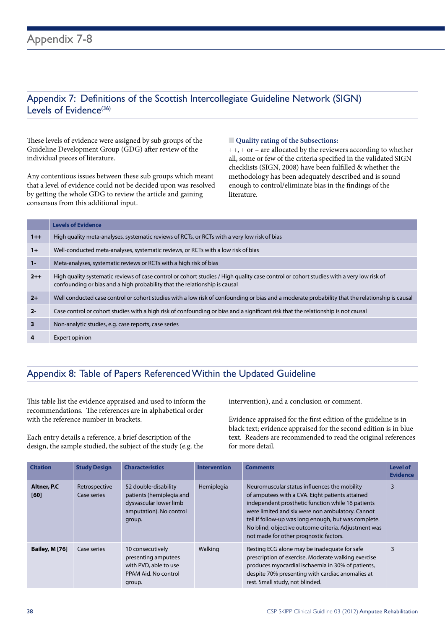## Appendix 7: Definitions of the Scottish Intercollegiate Guideline Network (SIGN) Levels of Evidence $(36)$

These levels of evidence were assigned by sub groups of the Guideline Development Group (GDG) after review of the individual pieces of literature.

Any contentious issues between these sub groups which meant that a level of evidence could not be decided upon was resolved by getting the whole GDG to review the article and gaining consensus from this additional input.

#### $\Box$  Quality rating of the Subsections:

++, + or – are allocated by the reviewers according to whether all, some or few of the criteria specified in the validated SIGN checklists (SIGN, 2008) have been fulfilled & whether the methodology has been adequately described and is sound enough to control/eliminate bias in the findings of the literature.

|         | <b>Levels of Evidence</b>                                                                                                                                                                                             |
|---------|-----------------------------------------------------------------------------------------------------------------------------------------------------------------------------------------------------------------------|
| $1++$   | High quality meta-analyses, systematic reviews of RCTs, or RCTs with a very low risk of bias                                                                                                                          |
| $1+$    | Well-conducted meta-analyses, systematic reviews, or RCTs with a low risk of bias                                                                                                                                     |
| $1 -$   | Meta-analyses, systematic reviews or RCTs with a high risk of bias                                                                                                                                                    |
| $2 + +$ | High quality systematic reviews of case control or cohort studies / High quality case control or cohort studies with a very low risk of<br>confounding or bias and a high probability that the relationship is causal |
| $2+$    | Well conducted case control or cohort studies with a low risk of confounding or bias and a moderate probability that the relationship is causal                                                                       |
| $2 -$   | Case control or cohort studies with a high risk of confounding or bias and a significant risk that the relationship is not causal                                                                                     |
| 3       | Non-analytic studies, e.g. case reports, case series                                                                                                                                                                  |
| 4       | Expert opinion                                                                                                                                                                                                        |

## Appendix 8: Table of Papers Referenced Within the Updated Guideline

This table list the evidence appraised and used to inform the recommendations. The references are in alphabetical order with the reference number in brackets.

Each entry details a reference, a brief description of the design, the sample studied, the subject of the study (e.g. the intervention), and a conclusion or comment.

Evidence appraised for the first edition of the guideline is in black text; evidence appraised for the second edition is in blue text. Readers are recommended to read the original references for more detail.

| <b>Citation</b>             | <b>Study Design</b>          | <b>Characteristics</b>                                                                                          | <b>Intervention</b> | <b>Comments</b>                                                                                                                                                                                                                                                                                                                                                    | <b>Level of</b><br><b>Evidence</b> |
|-----------------------------|------------------------------|-----------------------------------------------------------------------------------------------------------------|---------------------|--------------------------------------------------------------------------------------------------------------------------------------------------------------------------------------------------------------------------------------------------------------------------------------------------------------------------------------------------------------------|------------------------------------|
| <b>Altner, P.C.</b><br>[60] | Retrospective<br>Case series | 52 double-disability<br>patients (hemiplegia and<br>dysvascular lower limb<br>amputation). No control<br>group. | Hemiplegia          | Neuromuscular status influences the mobility<br>of amputees with a CVA. Eight patients attained<br>independent prosthetic function while 16 patients<br>were limited and six were non ambulatory. Cannot<br>tell if follow-up was long enough, but was complete.<br>No blind, objective outcome criteria. Adjustment was<br>not made for other prognostic factors. | 3                                  |
| <b>Bailey, M [76]</b>       | Case series                  | 10 consecutively<br>presenting amputees<br>with PVD, able to use<br>PPAM Aid. No control<br>group.              | Walking             | Resting ECG alone may be inadequate for safe<br>prescription of exercise. Moderate walking exercise<br>produces myocardial ischaemia in 30% of patients,<br>despite 70% presenting with cardiac anomalies at<br>rest. Small study, not blinded.                                                                                                                    | 3                                  |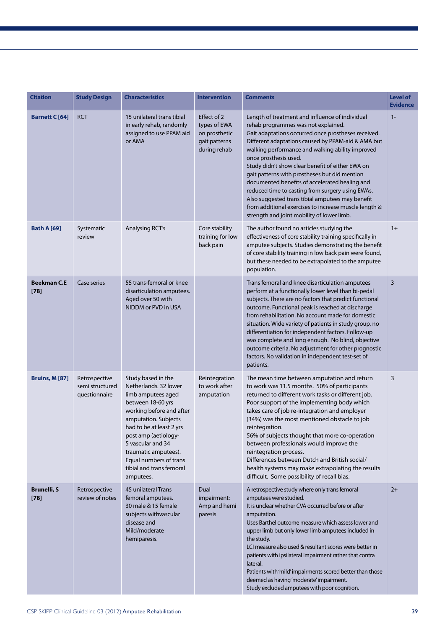| <b>Citation</b>              | <b>Study Design</b>                               | <b>Characteristics</b>                                                                                                                                                                                                                                                                                         | <b>Intervention</b>                                                           | <b>Comments</b>                                                                                                                                                                                                                                                                                                                                                                                                                                                                                                                                                                                                                                        | <b>Level of</b><br><b>Evidence</b> |
|------------------------------|---------------------------------------------------|----------------------------------------------------------------------------------------------------------------------------------------------------------------------------------------------------------------------------------------------------------------------------------------------------------------|-------------------------------------------------------------------------------|--------------------------------------------------------------------------------------------------------------------------------------------------------------------------------------------------------------------------------------------------------------------------------------------------------------------------------------------------------------------------------------------------------------------------------------------------------------------------------------------------------------------------------------------------------------------------------------------------------------------------------------------------------|------------------------------------|
| <b>Barnett C</b> [64]        | <b>RCT</b>                                        | 15 unilateral trans tibial<br>in early rehab, randomly<br>assigned to use PPAM aid<br>or AMA                                                                                                                                                                                                                   | Effect of 2<br>types of EWA<br>on prosthetic<br>gait patterns<br>during rehab | Length of treatment and influence of individual<br>rehab programmes was not explained.<br>Gait adaptations occurred once prostheses received.<br>Different adaptations caused by PPAM-aid & AMA but<br>walking performance and walking ability improved<br>once prosthesis used.<br>Study didn't show clear benefit of either EWA on<br>gait patterns with prostheses but did mention<br>documented benefits of accelerated healing and<br>reduced time to casting from surgery using EWAs.<br>Also suggested trans tibial amputees may benefit<br>from additional exercises to increase muscle length &<br>strength and joint mobility of lower limb. | $1 -$                              |
| <b>Bath A [69]</b>           | Systematic<br>review                              | <b>Analysing RCT's</b>                                                                                                                                                                                                                                                                                         | Core stability<br>training for low<br>back pain                               | The author found no articles studying the<br>effectiveness of core stability training specifically in<br>amputee subjects. Studies demonstrating the benefit<br>of core stability training in low back pain were found,<br>but these needed to be extrapolated to the amputee<br>population.                                                                                                                                                                                                                                                                                                                                                           | $1+$                               |
| <b>Beekman C.E</b><br>$[78]$ | Case series                                       | 55 trans-femoral or knee<br>disarticulation amputees.<br>Aged over 50 with<br>NIDDM or PVD in USA                                                                                                                                                                                                              |                                                                               | Trans femoral and knee disarticulation amputees<br>perform at a functionally lower level than bi-pedal<br>subjects. There are no factors that predict functional<br>outcome. Functional peak is reached at discharge<br>from rehabilitation. No account made for domestic<br>situation. Wide variety of patients in study group, no<br>differentiation for independent factors. Follow-up<br>was complete and long enough. No blind, objective<br>outcome criteria. No adjustment for other prognostic<br>factors. No validation in independent test-set of<br>patients.                                                                               | 3                                  |
| <b>Bruins, M [87]</b>        | Retrospective<br>semi structured<br>questionnaire | Study based in the<br>Netherlands, 32 lower<br>limb amputees aged<br>between 18-60 yrs<br>working before and after<br>amputation. Subjects<br>had to be at least 2 yrs<br>post amp (aetiology-<br>5 vascular and 34<br>traumatic amputees).<br>Equal numbers of trans<br>tibial and trans femoral<br>amputees. | Reintegration<br>to work after<br>amputation                                  | The mean time between amputation and return<br>to work was 11.5 months. 50% of participants<br>returned to different work tasks or different job.<br>Poor support of the implementing body which<br>takes care of job re-integration and employer<br>(34%) was the most mentioned obstacle to job<br>reintegration.<br>56% of subjects thought that more co-operation<br>between professionals would improve the<br>reintegration process.<br>Differences between Dutch and British social/<br>health systems may make extrapolating the results<br>difficult. Some possibility of recall bias.                                                        | 3                                  |
| <b>Brunelli, S</b><br>$[78]$ | Retrospective<br>review of notes                  | 45 unilateral Trans<br>femoral amputees.<br>30 male & 15 female<br>subjects withvascular<br>disease and<br>Mild/moderate<br>hemiparesis.                                                                                                                                                                       | Dual<br>impairment:<br>Amp and hemi<br>paresis                                | A retrospective study where only trans femoral<br>amputees were studied.<br>It is unclear whether CVA occurred before or after<br>amputation.<br>Uses Barthel outcome measure which assess lower and<br>upper limb but only lower limb amputees included in<br>the study.<br>LCI measure also used & resultant scores were better in<br>patients with ipsilateral impairment rather that contra<br>lateral.<br>Patients with 'mild' impairments scored better than those<br>deemed as having 'moderate' impairment.<br>Study excluded amputees with poor cognition.                                                                                    | $2+$                               |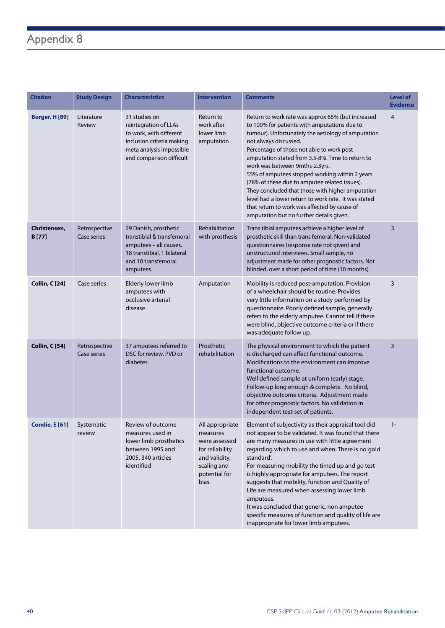## Appendix 8

| <b>Citation</b>               | <b>Study Design</b>          | <b>Characteristics</b>                                                                                                                                 | <b>Intervention</b>                                                                                                       | <b>Comments</b>                                                                                                                                                                                                                                                                                                                                                                                                                                                                                                                                                                                                                | <b>Level of</b><br><b>Evidence</b> |
|-------------------------------|------------------------------|--------------------------------------------------------------------------------------------------------------------------------------------------------|---------------------------------------------------------------------------------------------------------------------------|--------------------------------------------------------------------------------------------------------------------------------------------------------------------------------------------------------------------------------------------------------------------------------------------------------------------------------------------------------------------------------------------------------------------------------------------------------------------------------------------------------------------------------------------------------------------------------------------------------------------------------|------------------------------------|
| <b>Burger, H [89]</b>         | Literature<br>Review         | 31 studies on<br>reintegration of LLAs<br>to work, with different<br>inclusion criteria making<br>meta analysis impossible<br>and comparison difficult | Return to<br>work after<br>lower limb<br>amputation                                                                       | Return to work rate was approx 66% (but increased<br>to 100% for patients with amputations due to<br>tumour). Unfortunately the aetiology of amputation<br>not always discussed.<br>Percentage of those not able to work post<br>amputation stated from 3.5-8%. Time to return to<br>work was between 9mths-2.3yrs.<br>55% of amputees stopped working within 2 years<br>(78% of these due to amputee related issues).<br>They concluded that those with higher amputation<br>level had a lower return to work rate. It was stated<br>that return to work was affected by cause of<br>amputation but no further details given. | $\overline{4}$                     |
| Christensen,<br><b>B</b> [77] | Retrospective<br>Case series | 29 Danish, prosthetic<br>transtibial & transfemoral<br>amputees - all causes.<br>18 transtibial, 1 bilateral<br>and 10 transfemoral<br>amputees.       | Rehabilitation<br>with prosthesis                                                                                         | Trans tibial amputees achieve a higher level of<br>prosthetic skill than trans femoral. Non-validated<br>questionnaires (response rate not given) and<br>unstructured interviews. Small sample, no<br>adjustment made for other prognostic factors. Not<br>blinded, over a short period of time (10 months).                                                                                                                                                                                                                                                                                                                   | $\overline{3}$                     |
| <b>Collin, C [24]</b>         | Case series                  | Elderly lower limb<br>amputees with<br>occlusive arterial<br>disease                                                                                   | Amputation                                                                                                                | Mobility is reduced post-amputation. Provision<br>of a wheelchair should be routine. Provides<br>very little information on a study performed by<br>questionnaire. Poorly defined sample, generally<br>refers to the elderly amputee. Cannot tell if there<br>were blind, objective outcome criteria or if there<br>was adequate follow up.                                                                                                                                                                                                                                                                                    | 3                                  |
| Collin, C [54]                | Retrospective<br>Case series | 37 amputees referred to<br>DSC for review. PVD or<br>diabetes.                                                                                         | Prosthetic<br>rehabilitation                                                                                              | The physical environment to which the patient<br>is discharged can affect functional outcome.<br>Modifications to the environment can improve<br>functional outcome.<br>Well defined sample at uniform (early) stage.<br>Follow-up long enough & complete. No blind,<br>objective outcome criteria. Adjustment made<br>for other prognostic factors. No validation in<br>independent test-set of patients.                                                                                                                                                                                                                     | 3                                  |
| Condie, E [61] Systematic     | review                       | Review of outcome<br>measures used in<br>lower limb prosthetics<br>between 1995 and<br>2005. 340 articles<br>identified                                | All appropriate<br>measures<br>were assessed<br>for reliability<br>and validity,<br>scaling and<br>potential for<br>bias. | Element of subjectivity as their appraisal tool did<br>not appear to be validated. It was found that there<br>are many measures in use with little agreement<br>regarding which to use and when. There is no 'gold<br>standard'.<br>For measuring mobility the timed up and go test<br>is highly appropriate for amputees. The report<br>suggests that mobility, function and Quality of<br>Life are measured when assessing lower limb<br>amputees.<br>It was concluded that generic, non amputee<br>specific measures of function and quality of life are<br>inappropriate for lower limb amputees.                          | $1 -$                              |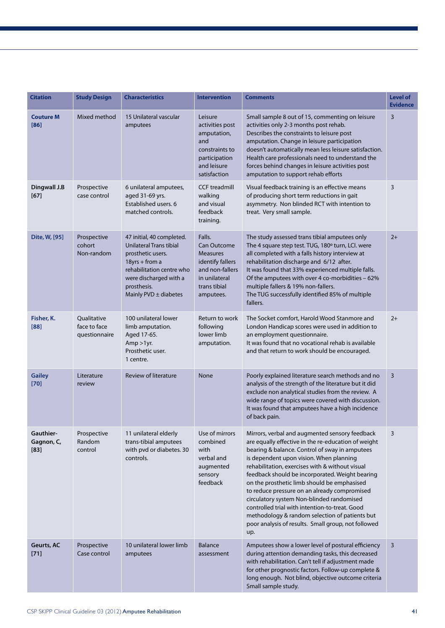| <b>Citation</b>                   | <b>Study Design</b>                          | <b>Characteristics</b>                                                                                                                                                                                                                                                                                                                                                                                                                                                                                                                                                                                                                                                                                                                                                                                    | <b>Intervention</b>                                                                                                                  | <b>Comments</b>                                                                                                                                                                                                                                                                                                                                                                                                  |      |
|-----------------------------------|----------------------------------------------|-----------------------------------------------------------------------------------------------------------------------------------------------------------------------------------------------------------------------------------------------------------------------------------------------------------------------------------------------------------------------------------------------------------------------------------------------------------------------------------------------------------------------------------------------------------------------------------------------------------------------------------------------------------------------------------------------------------------------------------------------------------------------------------------------------------|--------------------------------------------------------------------------------------------------------------------------------------|------------------------------------------------------------------------------------------------------------------------------------------------------------------------------------------------------------------------------------------------------------------------------------------------------------------------------------------------------------------------------------------------------------------|------|
| <b>Couture M</b><br>[86]          | Mixed method                                 | 15 Unilateral vascular<br>amputees                                                                                                                                                                                                                                                                                                                                                                                                                                                                                                                                                                                                                                                                                                                                                                        | Leisure<br>activities post<br>amputation,<br>and<br>constraints to<br>participation<br>and leisure<br>satisfaction                   | Small sample 8 out of 15, commenting on leisure<br>activities only 2-3 months post rehab.<br>Describes the constraints to leisure post<br>amputation. Change in leisure participation<br>doesn't automatically mean less leisure satisfaction.<br>Health care professionals need to understand the<br>forces behind changes in leisure activities post<br>amputation to support rehab efforts                    | 3    |
| Dingwall J.B<br>$[67]$            | Prospective<br>case control                  | 6 unilateral amputees,<br>aged 31-69 yrs.<br>Established users. 6<br>matched controls.                                                                                                                                                                                                                                                                                                                                                                                                                                                                                                                                                                                                                                                                                                                    | <b>CCF</b> treadmill<br>walking<br>and visual<br>feedback<br>training.                                                               | Visual feedback training is an effective means<br>of producing short term reductions in gait<br>asymmetry. Non blinded RCT with intention to<br>treat. Very small sample.                                                                                                                                                                                                                                        | 3    |
| Dite, W, [95]                     | Prospective<br>cohort<br>Non-random          | 47 initial, 40 completed.<br>Unilateral Trans tibial<br>prosthetic users.<br>$18yrs + from a$<br>rehabilitation centre who<br>were discharged with a<br>prosthesis.<br>Mainly $PVD \pm diabetes$                                                                                                                                                                                                                                                                                                                                                                                                                                                                                                                                                                                                          | Falls.<br><b>Can Outcome</b><br><b>Measures</b><br>identify fallers<br>and non-fallers<br>in unilateral<br>trans tibial<br>amputees. | The study assessed trans tibial amputees only<br>The 4 square step test. TUG, 180° turn, LCI. were<br>all completed with a falls history interview at<br>rehabilitation discharge and 6/12 after.<br>It was found that 33% experienced multiple falls.<br>Of the amputees with over 4 co-morbidities - 62%<br>multiple fallers & 19% non-fallers.<br>The TUG successfully identified 85% of multiple<br>fallers. | $2+$ |
| Fisher, K.<br>[88]                | Qualitative<br>face to face<br>questionnaire | 100 unilateral lower<br>limb amputation.<br>Aged 17-65.<br>$Amp > 1yr$ .<br>Prosthetic user.<br>1 centre.                                                                                                                                                                                                                                                                                                                                                                                                                                                                                                                                                                                                                                                                                                 | Return to work<br>following<br>lower limb<br>amputation.                                                                             | The Socket comfort, Harold Wood Stanmore and<br>London Handicap scores were used in addition to<br>an employment questionnaire.<br>It was found that no vocational rehab is available<br>and that return to work should be encouraged.                                                                                                                                                                           | $2+$ |
| <b>Gailey</b><br>$[70]$           | Literature<br>review                         | <b>Review of literature</b>                                                                                                                                                                                                                                                                                                                                                                                                                                                                                                                                                                                                                                                                                                                                                                               | None                                                                                                                                 | Poorly explained literature search methods and no<br>analysis of the strength of the literature but it did<br>exclude non analytical studies from the review. A<br>wide range of topics were covered with discussion.<br>It was found that amputees have a high incidence<br>of back pain.                                                                                                                       | 3    |
| Gauthier-<br>Gagnon, C,<br>$[83]$ | Prospective<br>Random<br>control             | Use of mirrors<br>11 unilateral elderly<br>Mirrors, verbal and augmented sensory feedback<br>trans-tibial amputees<br>combined<br>are equally effective in the re-education of weight<br>with pvd or diabetes. 30<br>bearing & balance. Control of sway in amputees<br>with<br>verbal and<br>is dependent upon vision. When planning<br>controls.<br>rehabilitation, exercises with & without visual<br>augmented<br>feedback should be incorporated. Weight bearing<br>sensory<br>feedback<br>on the prosthetic limb should be emphasised<br>to reduce pressure on an already compromised<br>circulatory system Non-blinded randomised<br>controlled trial with intention-to-treat. Good<br>methodology & random selection of patients but<br>poor analysis of results. Small group, not followed<br>up. |                                                                                                                                      | 3                                                                                                                                                                                                                                                                                                                                                                                                                |      |
| Geurts, AC<br>$[71]$              | Prospective<br>Case control                  | 10 unilateral lower limb<br>amputees                                                                                                                                                                                                                                                                                                                                                                                                                                                                                                                                                                                                                                                                                                                                                                      | <b>Balance</b><br>assessment                                                                                                         | Amputees show a lower level of postural efficiency<br>during attention demanding tasks, this decreased<br>with rehabilitation. Can't tell if adjustment made<br>for other prognostic factors. Follow-up complete &<br>long enough. Not blind, objective outcome criteria<br>Small sample study.                                                                                                                  | 3    |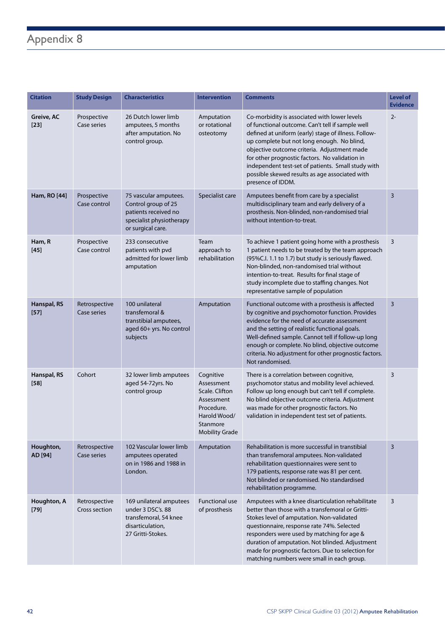## Appendix 8

| <b>Citation</b>       | <b>Study Design</b>                 | <b>Characteristics</b>                                                                                                | <b>Intervention</b>                                                                                                        | <b>Comments</b>                                                                                                                                                                                                                                                                                                                                                                                                                      | <b>Level of</b><br><b>Evidence</b> |
|-----------------------|-------------------------------------|-----------------------------------------------------------------------------------------------------------------------|----------------------------------------------------------------------------------------------------------------------------|--------------------------------------------------------------------------------------------------------------------------------------------------------------------------------------------------------------------------------------------------------------------------------------------------------------------------------------------------------------------------------------------------------------------------------------|------------------------------------|
| Greive, AC<br>$[23]$  | Prospective<br>Case series          | 26 Dutch lower limb<br>amputees, 5 months<br>after amputation. No<br>control group.                                   | Amputation<br>or rotational<br>osteotomy                                                                                   | Co-morbidity is associated with lower levels<br>of functional outcome. Can't tell if sample well<br>defined at uniform (early) stage of illness. Follow-<br>up complete but not long enough. No blind,<br>objective outcome criteria. Adjustment made<br>for other prognostic factors. No validation in<br>independent test-set of patients. Small study with<br>possible skewed results as age associated with<br>presence of IDDM. | $2 -$                              |
| Ham, RO [44]          | Prospective<br>Case control         | 75 vascular amputees.<br>Control group of 25<br>patients received no<br>specialist physiotherapy<br>or surgical care. | Specialist care                                                                                                            | Amputees benefit from care by a specialist<br>multidisciplinary team and early delivery of a<br>prosthesis. Non-blinded, non-randomised trial<br>without intention-to-treat.                                                                                                                                                                                                                                                         | 3                                  |
| Ham, R<br>$[45]$      | Prospective<br>Case control         | 233 consecutive<br>patients with pvd<br>admitted for lower limb<br>amputation                                         | Team<br>approach to<br>rehabilitation                                                                                      | To achieve 1 patient going home with a prosthesis<br>1 patient needs to be treated by the team approach<br>(95%C.l. 1.1 to 1.7) but study is seriously flawed.<br>Non-blinded, non-randomised trial without<br>intention-to-treat. Results for final stage of<br>study incomplete due to staffing changes. Not<br>representative sample of population                                                                                | 3                                  |
| Hanspal, RS<br>$[57]$ | Retrospective<br><b>Case series</b> | 100 unilateral<br>transfemoral &<br>transtibial amputees,<br>aged 60+ yrs. No control<br>subjects                     | Amputation                                                                                                                 | Functional outcome with a prosthesis is affected<br>by cognitive and psychomotor function. Provides<br>evidence for the need of accurate assessment<br>and the setting of realistic functional goals.<br>Well-defined sample. Cannot tell if follow-up long<br>enough or complete. No blind, objective outcome<br>criteria. No adjustment for other prognostic factors.<br>Not randomised.                                           | $\overline{3}$                     |
| Hanspal, RS<br>$[58]$ | Cohort                              | 32 lower limb amputees<br>aged 54-72yrs. No<br>control group                                                          | Cognitive<br>Assessment<br>Scale. Clifton<br>Assessment<br>Procedure.<br>Harold Wood/<br>Stanmore<br><b>Mobility Grade</b> | There is a correlation between cognitive,<br>psychomotor status and mobility level achieved.<br>Follow up long enough but can't tell if complete.<br>No blind objective outcome criteria. Adjustment<br>was made for other prognostic factors. No<br>validation in independent test set of patients.                                                                                                                                 | 3                                  |
| Houghton,<br>AD [94]  | Retrospective<br>Case series        | 102 Vascular lower limb<br>amputees operated<br>on in 1986 and 1988 in<br>London.                                     | Amputation                                                                                                                 | Rehabilitation is more successful in transtibial<br>than transfemoral amputees. Non-validated<br>rehabilitation questionnaires were sent to<br>179 patients, response rate was 81 per cent.<br>Not blinded or randomised. No standardised<br>rehabilitation programme.                                                                                                                                                               | $\overline{3}$                     |
| Houghton, A<br>$[79]$ | Retrospective<br>Cross section      | 169 unilateral amputees<br>under 3 DSC's. 88<br>transfemoral, 54 knee<br>disarticulation,<br>27 Gritti-Stokes.        | <b>Functional use</b><br>of prosthesis                                                                                     | Amputees with a knee disarticulation rehabilitate<br>better than those with a transfemoral or Gritti-<br>Stokes level of amputation. Non-validated<br>questionnaire, response rate 74%. Selected<br>responders were used by matching for age &<br>duration of amputation. Not blinded. Adjustment<br>made for prognostic factors. Due to selection for<br>matching numbers were small in each group.                                 | 3                                  |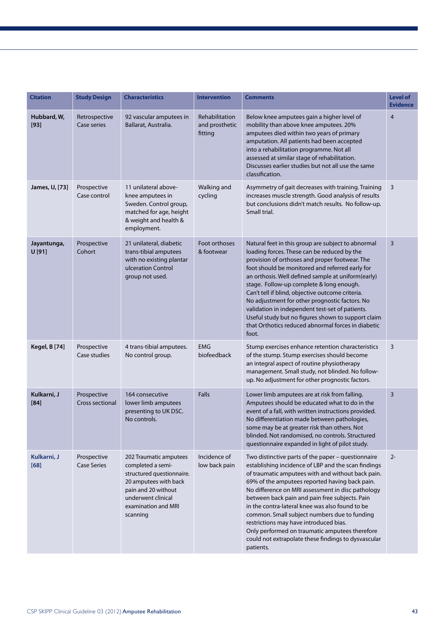| <b>Citation</b>       | <b>Study Design</b>                   | <b>Characteristics</b>                                                                                                                                                            | <b>Intervention</b>                                                                                                                                                                                                                                                                                                                                                                                                                                                                                                                                                                                                   | <b>Comments</b>                                                                                                                                                                                                                                                                                                                                                                                                                                                                                                                                                                            | <b>Level of</b><br><b>Evidence</b> |
|-----------------------|---------------------------------------|-----------------------------------------------------------------------------------------------------------------------------------------------------------------------------------|-----------------------------------------------------------------------------------------------------------------------------------------------------------------------------------------------------------------------------------------------------------------------------------------------------------------------------------------------------------------------------------------------------------------------------------------------------------------------------------------------------------------------------------------------------------------------------------------------------------------------|--------------------------------------------------------------------------------------------------------------------------------------------------------------------------------------------------------------------------------------------------------------------------------------------------------------------------------------------------------------------------------------------------------------------------------------------------------------------------------------------------------------------------------------------------------------------------------------------|------------------------------------|
| Hubbard, W,<br>$[93]$ | Retrospective<br>Case series          | 92 vascular amputees in<br>Ballarat, Australia.                                                                                                                                   | Rehabilitation<br>and prosthetic<br>fitting                                                                                                                                                                                                                                                                                                                                                                                                                                                                                                                                                                           | Below knee amputees gain a higher level of<br>mobility than above knee amputees. 20%<br>amputees died within two years of primary<br>amputation. All patients had been accepted<br>into a rehabilitation programme. Not all<br>assessed at similar stage of rehabilitation.<br>Discusses earlier studies but not all use the same<br>classification.                                                                                                                                                                                                                                       | $\overline{4}$                     |
| James, U, [73]        | Prospective<br>Case control           | 11 unilateral above-<br>knee amputees in<br>Sweden. Control group,<br>matched for age, height<br>& weight and health &<br>employment.                                             | Walking and<br>cycling                                                                                                                                                                                                                                                                                                                                                                                                                                                                                                                                                                                                | Asymmetry of gait decreases with training. Training<br>increases muscle strength. Good analysis of results<br>but conclusions didn't match results. No follow-up.<br>Small trial.                                                                                                                                                                                                                                                                                                                                                                                                          | 3                                  |
| Jayantunga,<br>U[91]  | Prospective<br>Cohort                 | 21 unilateral, diabetic<br>trans-tibial amputees<br>with no existing plantar<br>ulceration Control<br>group not used.                                                             | Foot orthoses<br>Natural feet in this group are subject to abnormal<br>loading forces. These can be reduced by the<br>& footwear<br>provision of orthoses and proper footwear. The<br>foot should be monitored and referred early for<br>an orthosis. Well defined sample at uniform(early)<br>stage. Follow-up complete & long enough.<br>Can't tell if blind, objective outcome criteria.<br>No adjustment for other prognostic factors. No<br>validation in independent test-set of patients.<br>Useful study but no figures shown to support claim<br>that Orthotics reduced abnormal forces in diabetic<br>foot. |                                                                                                                                                                                                                                                                                                                                                                                                                                                                                                                                                                                            | 3                                  |
| <b>Kegel, B [74]</b>  | Prospective<br>Case studies           | 4 trans-tibial amputees.<br>No control group.                                                                                                                                     | <b>EMG</b><br>biofeedback                                                                                                                                                                                                                                                                                                                                                                                                                                                                                                                                                                                             | Stump exercises enhance retention characteristics<br>of the stump. Stump exercises should become<br>an integral aspect of routine physiotherapy<br>management. Small study, not blinded. No follow-<br>up. No adjustment for other prognostic factors.                                                                                                                                                                                                                                                                                                                                     | 3                                  |
| Kulkarni, J<br>[84]   | Prospective<br><b>Cross sectional</b> | 164 consecutive<br>lower limb amputees<br>presenting to UK DSC.<br>No controls.                                                                                                   | <b>Falls</b>                                                                                                                                                                                                                                                                                                                                                                                                                                                                                                                                                                                                          | Lower limb amputees are at risk from falling.<br>Amputees should be educated what to do in the<br>event of a fall, with written instructions provided.<br>No differentiation made between pathologies,<br>some may be at greater risk than others. Not<br>blinded. Not randomised, no controls. Structured<br>questionnaire expanded in light of pilot study.                                                                                                                                                                                                                              | 3                                  |
| Kulkarni, J<br>[68]   | Prospective<br><b>Case Series</b>     | 202 Traumatic amputees<br>completed a semi-<br>structured questionnaire.<br>20 amputees with back<br>pain and 20 without<br>underwent clinical<br>examination and MRI<br>scanning | Incidence of<br>low back pain                                                                                                                                                                                                                                                                                                                                                                                                                                                                                                                                                                                         | Two distinctive parts of the paper - questionnaire<br>establishing incidence of LBP and the scan findings<br>of traumatic amputees with and without back pain.<br>69% of the amputees reported having back pain.<br>No difference on MRI assessment in disc pathology<br>between back pain and pain free subjects. Pain<br>in the contra-lateral knee was also found to be<br>common. Small subject numbers due to funding<br>restrictions may have introduced bias.<br>Only performed on traumatic amputees therefore<br>could not extrapolate these findings to dysvascular<br>patients. | $2 -$                              |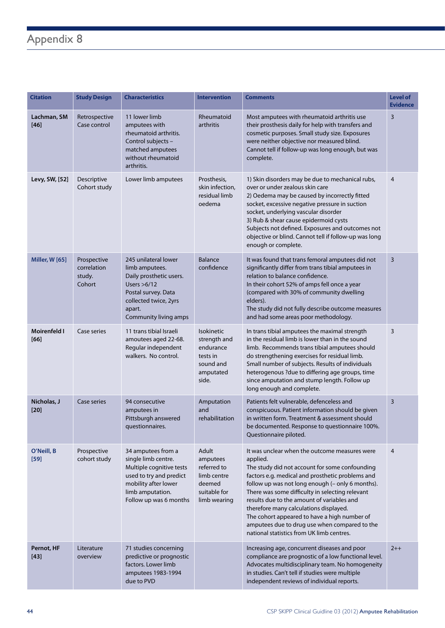## Appendix 8

| <b>Citation</b>       | <b>Study Design</b>                            | <b>Characteristics</b>                                                                                                                                                 | <b>Intervention</b>                                                                           | <b>Comments</b>                                                                                                                                                                                                                                                                                                                                                                                                                                                                                              | <b>Level of</b><br><b>Evidence</b> |
|-----------------------|------------------------------------------------|------------------------------------------------------------------------------------------------------------------------------------------------------------------------|-----------------------------------------------------------------------------------------------|--------------------------------------------------------------------------------------------------------------------------------------------------------------------------------------------------------------------------------------------------------------------------------------------------------------------------------------------------------------------------------------------------------------------------------------------------------------------------------------------------------------|------------------------------------|
| Lachman, SM<br>$[46]$ | Retrospective<br>Case control                  | 11 lower limb<br>amputees with<br>rheumatoid arthritis.<br>Control subjects -<br>matched amputees<br>without rheumatoid<br>arthritis.                                  | Rheumatoid<br>arthritis                                                                       | Most amputees with rheumatoid arthritis use<br>their prosthesis daily for help with transfers and<br>cosmetic purposes. Small study size. Exposures<br>were neither objective nor measured blind.<br>Cannot tell if follow-up was long enough, but was<br>complete.                                                                                                                                                                                                                                          | $\overline{3}$                     |
| Levy, SW, [52]        | Descriptive<br>Cohort study                    | Lower limb amputees                                                                                                                                                    | Prosthesis,<br>skin infection,<br>residual limb<br>oedema                                     | 1) Skin disorders may be due to mechanical rubs,<br>over or under zealous skin care<br>2) Oedema may be caused by incorrectly fitted<br>socket, excessive negative pressure in suction<br>socket, underlying vascular disorder<br>3) Rub & shear cause epidermoid cysts<br>Subjects not defined. Exposures and outcomes not<br>objective or blind. Cannot tell if follow-up was long<br>enough or complete.                                                                                                  | $\overline{4}$                     |
| <b>Miller, W [65]</b> | Prospective<br>correlation<br>study.<br>Cohort | 245 unilateral lower<br>limb amputees.<br>Daily prosthetic users.<br>Users $>6/12$<br>Postal survey. Data<br>collected twice, 2yrs<br>apart.<br>Community living amps  | <b>Balance</b><br>confidence                                                                  | It was found that trans femoral amputees did not<br>significantly differ from trans tibial amputees in<br>relation to balance confidence.<br>In their cohort 52% of amps fell once a year<br>(compared with 30% of community dwelling<br>elders).<br>The study did not fully describe outcome measures<br>and had some areas poor methodology.                                                                                                                                                               | $\overline{3}$                     |
| Moirenfeld I<br>[66]  | Case series                                    | 11 trans tibial Israeli<br>amoutees aged 22-68.<br>Regular independent<br>walkers. No control.                                                                         | <b>Isokinetic</b><br>strength and<br>endurance<br>tests in<br>sound and<br>amputated<br>side. | In trans tibial amputees the maximal strength<br>in the residual limb is lower than in the sound<br>limb. Recommends trans tibial amputees should<br>do strengthening exercises for residual limb.<br>Small number of subjects. Results of individuals<br>heterogenous ?due to differing age groups, time<br>since amputation and stump length. Follow up<br>long enough and complete.                                                                                                                       | $\overline{3}$                     |
| Nicholas, J<br>$[20]$ | Case series                                    | 94 consecutive<br>amputees in<br>Pittsburgh answered<br>questionnaires.                                                                                                | Amputation<br>and<br>rehabilitation                                                           | Patients felt vulnerable, defenceless and<br>conspicuous. Patient information should be given<br>in written form. Treatment & assessment should<br>be documented. Response to questionnaire 100%.<br>Questionnaire piloted.                                                                                                                                                                                                                                                                                  | $\overline{3}$                     |
| O'Neill, B<br>$[59]$  | Prospective<br>cohort study                    | 34 amputees from a<br>single limb centre.<br>Multiple cognitive tests<br>used to try and predict<br>mobility after lower<br>limb amputation.<br>Follow up was 6 months | Adult<br>amputees<br>referred to<br>limb centre<br>deemed<br>suitable for<br>limb wearing     | It was unclear when the outcome measures were<br>applied.<br>The study did not account for some confounding<br>factors e.g. medical and prosthetic problems and<br>follow up was not long enough (- only 6 months).<br>There was some difficulty in selecting relevant<br>results due to the amount of variables and<br>therefore many calculations displayed.<br>The cohort appeared to have a high number of<br>amputees due to drug use when compared to the<br>national statistics from UK limb centres. | $\overline{4}$                     |
| Pernot, HF<br>$[43]$  | Literature<br>overview                         | 71 studies concerning<br>predictive or prognostic<br>factors. Lower limb<br>amputees 1983-1994<br>due to PVD                                                           |                                                                                               | Increasing age, concurrent diseases and poor<br>compliance are prognostic of a low functional level.<br>Advocates multidisciplinary team. No homogeneity<br>in studies. Can't tell if studies were multiple<br>independent reviews of individual reports.                                                                                                                                                                                                                                                    | $2 + +$                            |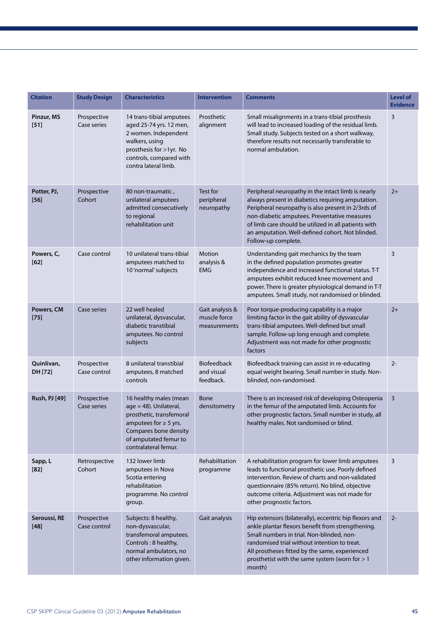| <b>Citation</b>        | <b>Study Design</b>         | <b>Characteristics</b>                                                                                                                                                               | <b>Intervention</b>                             | <b>Comments</b>                                                                                                                                                                                                                                                                                                                                  | <b>Level of</b><br><b>Evidence</b> |
|------------------------|-----------------------------|--------------------------------------------------------------------------------------------------------------------------------------------------------------------------------------|-------------------------------------------------|--------------------------------------------------------------------------------------------------------------------------------------------------------------------------------------------------------------------------------------------------------------------------------------------------------------------------------------------------|------------------------------------|
| Pinzur, MS<br>$[51]$   | Prospective<br>Case series  | 14 trans-tibial amputees<br>aged 25-74 yrs. 12 men,<br>2 women. Independent<br>walkers, using<br>prosthesis for >1yr. No<br>controls, compared with<br>contra lateral limb.          | Prosthetic<br>alignment                         | Small misalignments in a trans-tibial prosthesis<br>will lead to increased loading of the residual limb.<br>Small study. Subjects tested on a short walkway,<br>therefore results not necessarily transferable to<br>normal ambulation.                                                                                                          | 3                                  |
| Potter, PJ,<br>$[56]$  | Prospective<br>Cohort       | 80 non-traumatic,<br>unilateral amputees<br>admitted consecutively<br>to regional<br>rehabilitation unit                                                                             | Test for<br>peripheral<br>neuropathy            | Peripheral neuropathy in the intact limb is nearly<br>always present in diabetics requiring amputation.<br>Peripheral neuropathy is also present in 2/3rds of<br>non-diabetic amputees. Preventative measures<br>of limb care should be utilized in all patients with<br>an amputation. Well-defined cohort. Not blinded.<br>Follow-up complete. | $2+$                               |
| Powers, C,<br>[62]     | Case control                | 10 unilateral trans-tibial<br>amputees matched to<br>10'normal' subjects                                                                                                             | Motion<br>analysis &<br><b>EMG</b>              | Understanding gait mechanics by the team<br>in the defined population promotes greater<br>independence and increased functional status. T-T<br>amputees exhibit reduced knee movement and<br>power. There is greater physiological demand in T-T<br>amputees. Small study, not randomised or blinded.                                            | 3                                  |
| Powers, CM<br>$[75]$   | Case series                 | 22 well healed<br>unilateral, dysvascular,<br>diabetic transtibial<br>amputees. No control<br>subjects                                                                               | Gait analysis &<br>muscle force<br>measurements | Poor torque-producing capability is a major<br>limiting factor in the gait ability of dysvascular<br>trans-tibial amputees. Well-defined but small<br>sample. Follow-up long enough and complete.<br>Adjustment was not made for other prognostic<br>factors                                                                                     | $2+$                               |
| Quinlivan,<br>DH [72]  | Prospective<br>Case control | 8 unilateral transtibial<br>amputees, 8 matched<br>controls                                                                                                                          | Biofeedback<br>and visual<br>feedback.          | Biofeedback training can assist in re-educating<br>equal weight bearing. Small number in study. Non-<br>blinded, non-randomised.                                                                                                                                                                                                                 | $2 -$                              |
| <b>Rush, PJ [49]</b>   | Prospective<br>Case series  | 16 healthy males (mean<br>age = 48). Unilateral,<br>prosthetic, transfemoral<br>amputees for $\geq$ 5 yrs.<br>Compares bone density<br>of amputated femur to<br>contralateral femur. | Bone<br>densitometry                            | There is an increased risk of developing Osteopenia<br>in the femur of the amputated limb. Accounts for<br>other prognostic factors. Small number in study, all<br>healthy males. Not randomised or blind.                                                                                                                                       | 3                                  |
| Sapp, L<br>[82]        | Retrospective<br>Cohort     | 132 lower limb<br>amputees in Nova<br>Scotia entering<br>rehabilitation<br>programme. No control<br>group.                                                                           | Rehabilitation<br>programme                     | A rehabilitation program for lower limb amputees<br>leads to functional prosthetic use. Poorly defined<br>intervention. Review of charts and non-validated<br>questionnaire (85% return). No blind, objective<br>outcome criteria. Adjustment was not made for<br>other prognostic factors.                                                      | 3                                  |
| Seroussi, RE<br>$[48]$ | Prospective<br>Case control | Subjects: 8 healthy,<br>non-dysvascular,<br>transfemoral amputees.<br>Controls: 8 healthy,<br>normal ambulators, no<br>other information given.                                      | Gait analysis                                   | Hip extensors (bilaterally), eccentric hip flexors and<br>ankle plantar flexors benefit from strengthening.<br>Small numbers in trial. Non-blinded, non-<br>randomised trial without intention to treat.<br>All prostheses fitted by the same, experienced<br>prosthetist with the same system (worn for > 1<br>month)                           | $2 -$                              |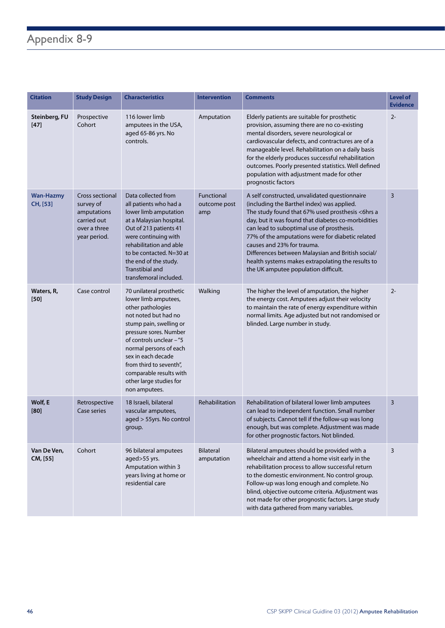# Appendix 8-9

| <b>Citation</b>              | <b>Study Design</b>                                                                        | <b>Characteristics</b>                                                                                                                                                                                                                                                                                                           | <b>Intervention</b>               | <b>Comments</b>                                                                                                                                                                                                                                                                                                                                                                                                                                                                        | <b>Level of</b><br><b>Evidence</b> |
|------------------------------|--------------------------------------------------------------------------------------------|----------------------------------------------------------------------------------------------------------------------------------------------------------------------------------------------------------------------------------------------------------------------------------------------------------------------------------|-----------------------------------|----------------------------------------------------------------------------------------------------------------------------------------------------------------------------------------------------------------------------------------------------------------------------------------------------------------------------------------------------------------------------------------------------------------------------------------------------------------------------------------|------------------------------------|
| Steinberg, FU<br>$[47]$      | Prospective<br>Cohort                                                                      | 116 lower limb<br>amputees in the USA,<br>aged 65-86 yrs. No<br>controls.                                                                                                                                                                                                                                                        | Amputation                        | Elderly patients are suitable for prosthetic<br>provision, assuming there are no co-existing<br>mental disorders, severe neurological or<br>cardiovascular defects, and contractures are of a<br>manageable level. Rehabilitation on a daily basis<br>for the elderly produces successful rehabilitation<br>outcomes. Poorly presented statistics. Well defined<br>population with adjustment made for other<br>prognostic factors                                                     | $2 -$                              |
| <b>Wan-Hazmy</b><br>CH, [53] | Cross sectional<br>survey of<br>amputations<br>carried out<br>over a three<br>year period. | Data collected from<br>all patients who had a<br>lower limb amputation<br>at a Malaysian hospital.<br>Out of 213 patients 41<br>were continuing with<br>rehabilitation and able<br>to be contacted. N=30 at<br>the end of the study.<br><b>Transtibial and</b><br>transfemoral included.                                         | Functional<br>outcome post<br>amp | A self constructed, unvalidated questionnaire<br>(including the Barthel index) was applied.<br>The study found that 67% used prosthesis <6hrs a<br>day, but it was found that diabetes co-morbidities<br>can lead to suboptimal use of prosthesis.<br>77% of the amputations were for diabetic related<br>causes and 23% for trauma.<br>Differences between Malaysian and British social/<br>health systems makes extrapolating the results to<br>the UK amputee population difficult. | 3                                  |
| Waters, R,<br>$[50]$         | Case control                                                                               | 70 unilateral prosthetic<br>lower limb amputees,<br>other pathologies<br>not noted but had no<br>stump pain, swelling or<br>pressure sores. Number<br>of controls unclear - "5<br>normal persons of each<br>sex in each decade<br>from third to seventh",<br>comparable results with<br>other large studies for<br>non amputees. | Walking                           | The higher the level of amputation, the higher<br>the energy cost. Amputees adjust their velocity<br>to maintain the rate of energy expenditure within<br>normal limits. Age adjusted but not randomised or<br>blinded. Large number in study.                                                                                                                                                                                                                                         | $2 -$                              |
| Wolf, E<br>[80]              | Retrospective<br>Case series                                                               | 18 Israeli, bilateral<br>vascular amputees,<br>aged > 55yrs. No control<br>group.                                                                                                                                                                                                                                                | Rehabilitation                    | Rehabilitation of bilateral lower limb amputees<br>can lead to independent function. Small number<br>of subjects. Cannot tell if the follow-up was long<br>enough, but was complete. Adjustment was made<br>for other prognostic factors. Not blinded.                                                                                                                                                                                                                                 | $\overline{3}$                     |
| Van De Ven,<br>CM, [55]      | Cohort                                                                                     | 96 bilateral amputees<br>aged>55 yrs.<br>Amputation within 3<br>years living at home or<br>residential care                                                                                                                                                                                                                      | <b>Bilateral</b><br>amputation    | Bilateral amputees should be provided with a<br>wheelchair and attend a home visit early in the<br>rehabilitation process to allow successful return<br>to the domestic environment. No control group.<br>Follow-up was long enough and complete. No<br>blind, objective outcome criteria. Adjustment was<br>not made for other prognostic factors. Large study<br>with data gathered from many variables.                                                                             | 3                                  |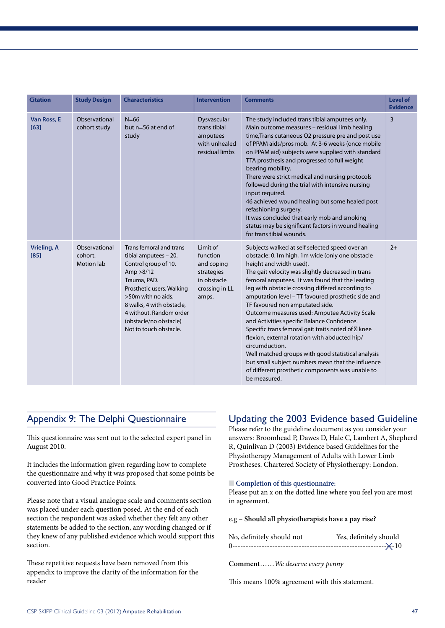| <b>Citation</b>              | <b>Study Design</b>                           | <b>Characteristics</b>                                                                                                                                                                                                                                                | <b>Intervention</b>                                                                                                                                                                                                                                                                                                                                                                                                                                                                                                                                                                                                                                                                                                                                                                                                                                                                   | <b>Comments</b>                                                                                                                                                                                                                                                                                                                                                                                                                                                                                                                                                                                                                                                           | <b>Level of</b><br><b>Evidence</b> |
|------------------------------|-----------------------------------------------|-----------------------------------------------------------------------------------------------------------------------------------------------------------------------------------------------------------------------------------------------------------------------|---------------------------------------------------------------------------------------------------------------------------------------------------------------------------------------------------------------------------------------------------------------------------------------------------------------------------------------------------------------------------------------------------------------------------------------------------------------------------------------------------------------------------------------------------------------------------------------------------------------------------------------------------------------------------------------------------------------------------------------------------------------------------------------------------------------------------------------------------------------------------------------|---------------------------------------------------------------------------------------------------------------------------------------------------------------------------------------------------------------------------------------------------------------------------------------------------------------------------------------------------------------------------------------------------------------------------------------------------------------------------------------------------------------------------------------------------------------------------------------------------------------------------------------------------------------------------|------------------------------------|
| Van Ross, E<br>[63]          | Observational<br>cohort study                 | $N=66$<br>but $n=56$ at end of<br>study                                                                                                                                                                                                                               | Dysvascular<br>trans tibial<br>amputees<br>with unhealed<br>residual limbs                                                                                                                                                                                                                                                                                                                                                                                                                                                                                                                                                                                                                                                                                                                                                                                                            | The study included trans tibial amputees only.<br>Main outcome measures - residual limb healing<br>time, Trans cutaneous O2 pressure pre and post use<br>of PPAM aids/pros mob. At 3-6 weeks (once mobile<br>on PPAM aid) subjects were supplied with standard<br>TTA prosthesis and progressed to full weight<br>bearing mobility.<br>There were strict medical and nursing protocols<br>followed during the trial with intensive nursing<br>input required.<br>46 achieved wound healing but some healed post<br>refashioning surgery.<br>It was concluded that early mob and smoking<br>status may be significant factors in wound healing<br>for trans tibial wounds. | $\overline{3}$                     |
| <b>Vrieling, A</b><br>$[85]$ | Observational<br>cohort.<br><b>Motion lab</b> | Trans femoral and trans<br>tibial amputees - 20.<br>Control group of 10.<br>Amp > 8/12<br>Trauma, PAD.<br>Prosthetic users. Walking<br>>50m with no aids.<br>8 walks, 4 with obstacle,<br>4 without. Random order<br>(obstacle/no obstacle)<br>Not to touch obstacle. | Limit of<br>Subjects walked at self selected speed over an<br>obstacle: 0.1m high, 1m wide (only one obstacle<br>function<br>height and width used).<br>and coping<br>The gait velocity was slightly decreased in trans<br>strategies<br>in obstacle<br>femoral amputees. It was found that the leading<br>crossing in LL<br>leg with obstacle crossing differed according to<br>amputation level - TT favoured prosthetic side and<br>amps.<br>TF favoured non amputated side.<br>Outcome measures used: Amputee Activity Scale<br>and Activities specific Balance Confidence.<br>Specific trans femoral gait traits noted of knee<br>flexion, external rotation with abducted hip/<br>circumduction.<br>Well matched groups with good statistical analysis<br>but small subject numbers mean that the influence<br>of different prosthetic components was unable to<br>be measured. |                                                                                                                                                                                                                                                                                                                                                                                                                                                                                                                                                                                                                                                                           | $2+$                               |

## Appendix 9: The Delphi Questionnaire

This questionnaire was sent out to the selected expert panel in August 2010.

It includes the information given regarding how to complete the questionnaire and why it was proposed that some points be converted into Good Practice Points.

Please note that a visual analogue scale and comments section was placed under each question posed. At the end of each section the respondent was asked whether they felt any other statements be added to the section, any wording changed or if they knew of any published evidence which would support this section.

These repetitive requests have been removed from this appendix to improve the clarity of the information for the reader

## Updating the 2003 Evidence based Guideline

Please refer to the guideline document as you consider your answers: Broomhead P, Dawes D, Hale C, Lambert A, Shepherd R, Quinlivan D (2003) Evidence based Guidelines for the Physiotherapy Management of Adults with Lower Limb Prostheses. Chartered Society of Physiotherapy: London.

#### **n** Completion of this questionnaire:

Please put an x on the dotted line where you feel you are most in agreement.

#### e.g – **Should all physiotherapists have a pay rise?**

| No, definitely should not | Yes, definitely should |
|---------------------------|------------------------|
|                           |                        |

**Comment**……*We deserve every penny*

This means 100% agreement with this statement.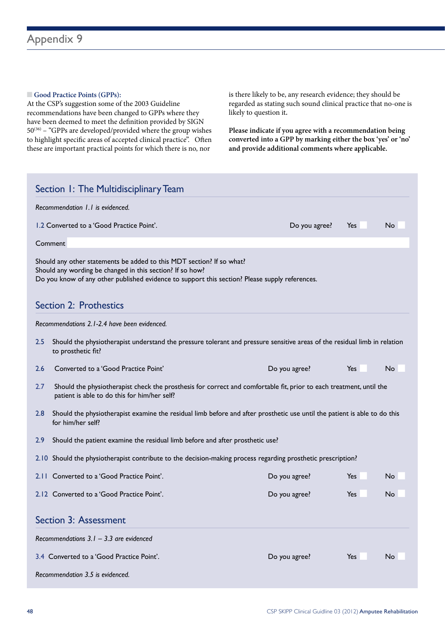#### **n** Good Practice Points (GPPs):

At the CSP's suggestion some of the 2003 Guideline recommendations have been changed to GPPs where they have been deemed to meet the definition provided by SIGN 50(36) – "GPPs are developed/provided where the group wishes to highlight specific areas of accepted clinical practice". Often these are important practical points for which there is no, nor

is there likely to be, any research evidence; they should be regarded as stating such sound clinical practice that no-one is likely to question it**.** 

**Please indicate if you agree with a recommendation being converted into a GPP by marking either the box 'yes' or 'no' and provide additional comments where applicable.**

| Section 1: The Multidisciplinary Team |                                                                                                                                                                                                                                      |               |     |           |  |  |  |
|---------------------------------------|--------------------------------------------------------------------------------------------------------------------------------------------------------------------------------------------------------------------------------------|---------------|-----|-----------|--|--|--|
|                                       | Recommendation 1.1 is evidenced.                                                                                                                                                                                                     |               |     |           |  |  |  |
|                                       | 1.2 Converted to a 'Good Practice Point'.                                                                                                                                                                                            | Do you agree? | Yes | <b>No</b> |  |  |  |
|                                       | Comment                                                                                                                                                                                                                              |               |     |           |  |  |  |
|                                       | Should any other statements be added to this MDT section? If so what?<br>Should any wording be changed in this section? If so how?<br>Do you know of any other published evidence to support this section? Please supply references. |               |     |           |  |  |  |
|                                       | Section 2: Prothestics                                                                                                                                                                                                               |               |     |           |  |  |  |
|                                       | Recommendations 2.1-2.4 have been evidenced.                                                                                                                                                                                         |               |     |           |  |  |  |
| 2.5                                   | Should the physiotherapist understand the pressure tolerant and pressure sensitive areas of the residual limb in relation<br>to prosthetic fit?                                                                                      |               |     |           |  |  |  |
| 2.6                                   | Converted to a 'Good Practice Point'                                                                                                                                                                                                 | Do you agree? | Yes | <b>No</b> |  |  |  |
| 2.7                                   | Should the physiotherapist check the prosthesis for correct and comfortable fit, prior to each treatment, until the<br>patient is able to do this for him/her self?                                                                  |               |     |           |  |  |  |
| 2.8                                   | Should the physiotherapist examine the residual limb before and after prosthetic use until the patient is able to do this<br>for him/her self?                                                                                       |               |     |           |  |  |  |
| 2.9                                   | Should the patient examine the residual limb before and after prosthetic use?                                                                                                                                                        |               |     |           |  |  |  |
|                                       | 2.10 Should the physiotherapist contribute to the decision-making process regarding prosthetic prescription?                                                                                                                         |               |     |           |  |  |  |
|                                       | 2.11 Converted to a 'Good Practice Point'.                                                                                                                                                                                           | Do you agree? | Yes | No        |  |  |  |
|                                       | 2.12 Converted to a 'Good Practice Point'.                                                                                                                                                                                           | Do you agree? | Yes | No        |  |  |  |
| <b>Section 3: Assessment</b>          |                                                                                                                                                                                                                                      |               |     |           |  |  |  |
|                                       | Recommendations $3.1 - 3.3$ are evidenced                                                                                                                                                                                            |               |     |           |  |  |  |
|                                       | 3.4 Converted to a 'Good Practice Point'.                                                                                                                                                                                            | Do you agree? | Yes | No        |  |  |  |
|                                       | Recommendation 3.5 is evidenced.                                                                                                                                                                                                     |               |     |           |  |  |  |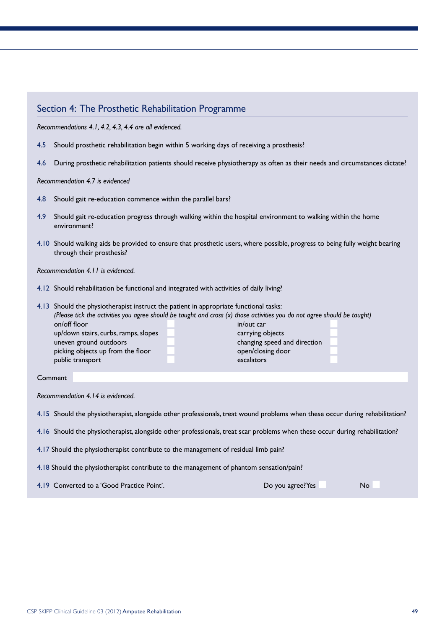### Section 4: The Prosthetic Rehabilitation Programme

*Recommendations 4.1, 4.2, 4.3, 4.4 are all evidenced.*

- 4.5 Should prosthetic rehabilitation begin within 5 working days of receiving a prosthesis?
- 4.6 During prosthetic rehabilitation patients should receive physiotherapy as often as their needs and circumstances dictate?

#### *Recommendation 4.7 is evidenced*

- 4.8 Should gait re-education commence within the parallel bars?
- 4.9 Should gait re-education progress through walking within the hospital environment to walking within the home environment?
- 4.10 Should walking aids be provided to ensure that prosthetic users, where possible, progress to being fully weight bearing through their prosthesis?

*Recommendation 4.11 is evidenced.*

4.12 Should rehabilitation be functional and integrated with activities of daily living?

| 4.13 Should the physiotherapist instruct the patient in appropriate functional tasks:                                    |                              |  |  |  |  |
|--------------------------------------------------------------------------------------------------------------------------|------------------------------|--|--|--|--|
| (Please tick the activities you agree should be taught and cross (x) those activities you do not agree should be taught) |                              |  |  |  |  |
| on/off floor<br>in/out car                                                                                               |                              |  |  |  |  |
| up/down stairs, curbs, ramps, slopes                                                                                     | carrying objects             |  |  |  |  |
| uneven ground outdoors                                                                                                   | changing speed and direction |  |  |  |  |
| picking objects up from the floor                                                                                        | open/closing door            |  |  |  |  |
| public transport                                                                                                         | escalators                   |  |  |  |  |
|                                                                                                                          |                              |  |  |  |  |

#### Comment

*Recommendation 4.14 is evidenced.*

4.15 Should the physiotherapist, alongside other professionals, treat wound problems when these occur during rehabilitation?

4.16 Should the physiotherapist, alongside other professionals, treat scar problems when these occur during rehabilitation?

4.17 Should the physiotherapist contribute to the management of residual limb pain?

4.18 Should the physiotherapist contribute to the management of phantom sensation/pain?

4.19 Converted to a 'Good Practice Point'. Converted to a 'Good Practice Point'.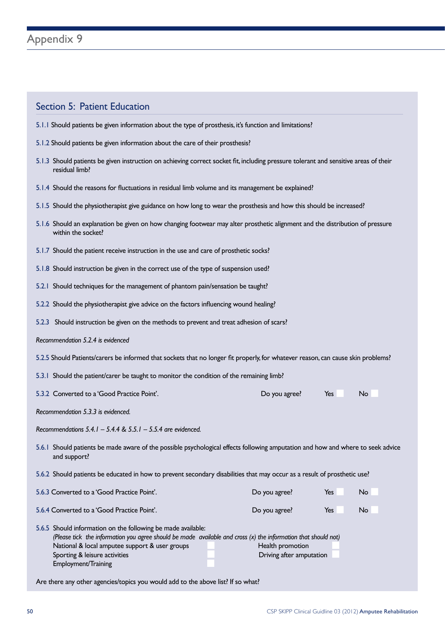### Section 5: Patient Education

- 5.1.1 Should patients be given information about the type of prosthesis, it's function and limitations?
- 5.1.2 Should patients be given information about the care of their prosthesis?
- 5.1.3 Should patients be given instruction on achieving correct socket fit, including pressure tolerant and sensitive areas of their residual limb?
- 5.1.4 Should the reasons for fluctuations in residual limb volume and its management be explained?
- 5.1.5 Should the physiotherapist give guidance on how long to wear the prosthesis and how this should be increased?
- 5.1.6 Should an explanation be given on how changing footwear may alter prosthetic alignment and the distribution of pressure within the socket?
- 5.1.7 Should the patient receive instruction in the use and care of prosthetic socks?
- 5.1.8 Should instruction be given in the correct use of the type of suspension used?
- 5.2.1 Should techniques for the management of phantom pain/sensation be taught?
- 5.2.2 Should the physiotherapist give advice on the factors influencing wound healing?
- 5.2.3 Should instruction be given on the methods to prevent and treat adhesion of scars?
- *Recommendation 5.2.4 is evidenced*
- 5.2.5 Should Patients/carers be informed that sockets that no longer fit properly, for whatever reason, can cause skin problems?
- 5.3.1 Should the patient/carer be taught to monitor the condition of the remaining limb?
- 5.3.2 Converted to a 'Good Practice Point'. Converted to a 'Good Practice Point'. Converted to a n No n No n No

*Recommendation 5.3.3 is evidenced.*

*Recommendations 5.4.1 – 5.4.4 & 5.5.1 – 5.5.4 are evidenced.*

- 5.6.1 Should patients be made aware of the possible psychological effects following amputation and how and where to seek advice and support?
- 5.6.2 Should patients be educated in how to prevent secondary disabilities that may occur as a result of prosthetic use?

| 5.6.3 Converted to a 'Good Practice Point'.                                                                                                                                                                                                                                                | Do you agree?                                | Yes | No. |
|--------------------------------------------------------------------------------------------------------------------------------------------------------------------------------------------------------------------------------------------------------------------------------------------|----------------------------------------------|-----|-----|
| 5.6.4 Converted to a 'Good Practice Point'.                                                                                                                                                                                                                                                | Do you agree?                                | Yes | No  |
| 5.6.5 Should information on the following be made available:<br>(Please tick the information you agree should be made available and cross $(x)$ the information that should not)<br>National & local amputee support & user groups<br>Sporting & leisure activities<br>Employment/Training | Health promotion<br>Driving after amputation |     |     |

Are there any other agencies/topics you would add to the above list? If so what?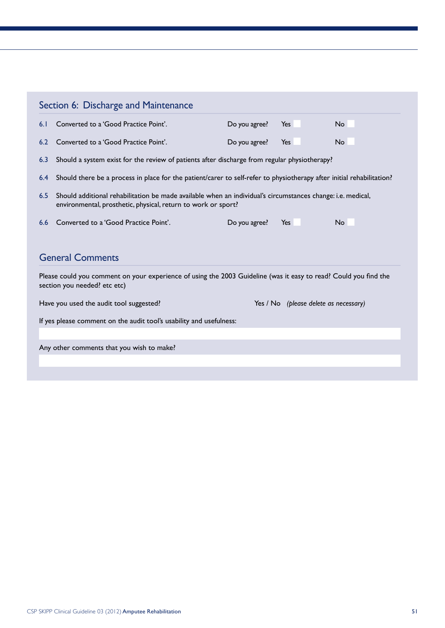|                                                                                                     | Section 6: Discharge and Maintenance                                                                                                                                         |               |                                       |           |  |  |  |  |
|-----------------------------------------------------------------------------------------------------|------------------------------------------------------------------------------------------------------------------------------------------------------------------------------|---------------|---------------------------------------|-----------|--|--|--|--|
| 6.1                                                                                                 | Converted to a 'Good Practice Point'.                                                                                                                                        | Do you agree? | Yes                                   | <b>No</b> |  |  |  |  |
| 6.2                                                                                                 | Converted to a 'Good Practice Point'.                                                                                                                                        | Do you agree? | Yes                                   | <b>No</b> |  |  |  |  |
| Should a system exist for the review of patients after discharge from regular physiotherapy?<br>6.3 |                                                                                                                                                                              |               |                                       |           |  |  |  |  |
| 6.4                                                                                                 | Should there be a process in place for the patient/carer to self-refer to physiotherapy after initial rehabilitation?                                                        |               |                                       |           |  |  |  |  |
| 6.5                                                                                                 | Should additional rehabilitation be made available when an individual's circumstances change: i.e. medical,<br>environmental, prosthetic, physical, return to work or sport? |               |                                       |           |  |  |  |  |
| 6.6                                                                                                 | Converted to a 'Good Practice Point'.                                                                                                                                        | Do you agree? | Yes                                   | No.       |  |  |  |  |
|                                                                                                     | <b>General Comments</b>                                                                                                                                                      |               |                                       |           |  |  |  |  |
|                                                                                                     | Please could you comment on your experience of using the 2003 Guideline (was it easy to read? Could you find the<br>section you needed? etc etc)                             |               |                                       |           |  |  |  |  |
|                                                                                                     | Have you used the audit tool suggested?                                                                                                                                      |               | Yes / No (please delete as necessary) |           |  |  |  |  |
|                                                                                                     | If yes please comment on the audit tool's usability and usefulness:                                                                                                          |               |                                       |           |  |  |  |  |
|                                                                                                     |                                                                                                                                                                              |               |                                       |           |  |  |  |  |
|                                                                                                     | Any other comments that you wish to make?                                                                                                                                    |               |                                       |           |  |  |  |  |
|                                                                                                     |                                                                                                                                                                              |               |                                       |           |  |  |  |  |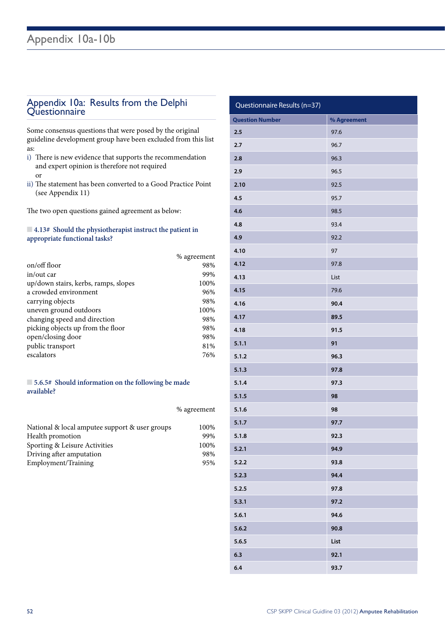# Appendix 10a: Results from the Delphi Questionnaire

Some consensus questions that were posed by the original guideline development group have been excluded from this list as:

- i) There is new evidence that supports the recommendation and expert opinion is therefore not required or
- ii) The statement has been converted to a Good Practice Point (see Appendix 11)

The two open questions gained agreement as below:

#### n **4.13# Should the physiotherapist instruct the patient in appropriate functional tasks?**

|                                      | % agreement |
|--------------------------------------|-------------|
| on/off floor                         | 98%         |
| in/out car                           | 99%         |
| up/down stairs, kerbs, ramps, slopes | 100%        |
| a crowded environment                | 96%         |
| carrying objects                     | 98%         |
| uneven ground outdoors               | 100%        |
| changing speed and direction         | 98%         |
| picking objects up from the floor    | 98%         |
| open/closing door                    | 98%         |
| public transport                     | 81%         |
| escalators                           | 76%         |

#### n **5.6.5# Should information on the following be made available?**

|                                                | % agreement |
|------------------------------------------------|-------------|
| National & local amputee support & user groups | 100%        |
| Health promotion                               | 99%         |
| Sporting & Leisure Activities                  | 100%        |
| Driving after amputation                       | 98%         |
| Employment/Training                            | 95%         |

| Questionnaire Results (n=37) |             |
|------------------------------|-------------|
| <b>Question Number</b>       | % Agreement |
| 2.5                          | 97.6        |
| 2.7                          | 96.7        |
| 2.8                          | 96.3        |
| 2.9                          | 96.5        |
| 2.10                         | 92.5        |
| 4.5                          | 95.7        |
| 4.6                          | 98.5        |
| 4.8                          | 93.4        |
| 4.9                          | 92.2        |
| 4.10                         | 97          |
| 4.12                         | 97.8        |
| 4.13                         | List        |
| 4.15                         | 79.6        |
| 4.16                         | 90.4        |
| 4.17                         | 89.5        |
| 4.18                         | 91.5        |
| 5.1.1                        | 91          |
| 5.1.2                        | 96.3        |
| 5.1.3                        | 97.8        |
| 5.1.4                        | 97.3        |
| 5.1.5                        | 98          |
| 5.1.6                        | 98          |
| 5.1.7                        | 97.7        |
| 5.1.8                        | 92.3        |
| 5.2.1                        | 94.9        |
| 5.2.2                        | 93.8        |
| 5.2.3                        | 94.4        |
| 5.2.5                        | 97.8        |
| 5.3.1                        | 97.2        |
| 5.6.1                        | 94.6        |
| 5.6.2                        | 90.8        |
| 5.6.5                        | List        |
| 6.3                          | 92.1        |
| 6.4                          | 93.7        |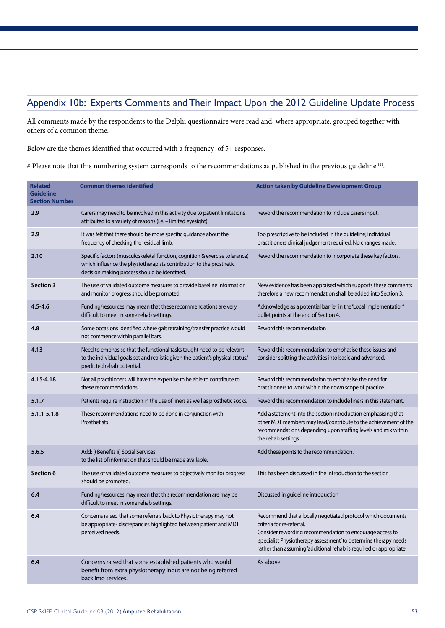## Appendix 10b: Experts Comments and Their Impact Upon the 2012 Guideline Update Process

All comments made by the respondents to the Delphi questionnaire were read and, where appropriate, grouped together with others of a common theme.

Below are the themes identified that occurred with a frequency of 5+ responses.

# Please note that this numbering system corresponds to the recommendations as published in the previous guideline <sup>(1)</sup>.

| <b>Related</b><br><b>Guideline</b><br><b>Section Number</b> | <b>Common themes identified</b>                                                                                                                                                                     | <b>Action taken by Guideline Development Group</b>                                                                                                                                                                                                                                               |
|-------------------------------------------------------------|-----------------------------------------------------------------------------------------------------------------------------------------------------------------------------------------------------|--------------------------------------------------------------------------------------------------------------------------------------------------------------------------------------------------------------------------------------------------------------------------------------------------|
| 2.9                                                         | Carers may need to be involved in this activity due to patient limitations<br>attributed to a variety of reasons (i.e. - limited eyesight)                                                          | Reword the recommendation to include carers input.                                                                                                                                                                                                                                               |
| 2.9                                                         | It was felt that there should be more specific guidance about the<br>frequency of checking the residual limb.                                                                                       | Too prescriptive to be included in the guideline; individual<br>practitioners clinical judgement required. No changes made.                                                                                                                                                                      |
| 2.10                                                        | Specific factors (musculoskeletal function, cognition & exercise tolerance)<br>which influence the physiotherapists contribution to the prosthetic<br>decision making process should be identified. | Reword the recommendation to incorporate these key factors.                                                                                                                                                                                                                                      |
| <b>Section 3</b>                                            | The use of validated outcome measures to provide baseline information<br>and monitor progress should be promoted.                                                                                   | New evidence has been appraised which supports these comments<br>therefore a new recommendation shall be added into Section 3.                                                                                                                                                                   |
| $4.5 - 4.6$                                                 | Funding/resources may mean that these recommendations are very<br>difficult to meet in some rehab settings.                                                                                         | Acknowledge as a potential barrier in the 'Local implementation'<br>bullet points at the end of Section 4.                                                                                                                                                                                       |
| 4.8                                                         | Some occasions identified where gait retraining/transfer practice would<br>not commence within parallel bars.                                                                                       | Reword this recommendation                                                                                                                                                                                                                                                                       |
| 4.13                                                        | Need to emphasise that the functional tasks taught need to be relevant<br>to the individual goals set and realistic given the patient's physical status/<br>predicted rehab potential.              | Reword this recommendation to emphasise these issues and<br>consider splitting the activities into basic and advanced.                                                                                                                                                                           |
| 4.15-4.18                                                   | Not all practitioners will have the expertise to be able to contribute to<br>these recommendations.                                                                                                 | Reword this recommendation to emphasise the need for<br>practitioners to work within their own scope of practice.                                                                                                                                                                                |
| 5.1.7                                                       | Patients require instruction in the use of liners as well as prosthetic socks.                                                                                                                      | Reword this recommendation to include liners in this statement.                                                                                                                                                                                                                                  |
| 5.1.1-5.1.8                                                 | These recommendations need to be done in conjunction with<br>Prosthetists                                                                                                                           | Add a statement into the section introduction emphasising that<br>other MDT members may lead/contribute to the achievement of the<br>recommendations depending upon staffing levels and mix within<br>the rehab settings.                                                                        |
| 5.6.5                                                       | Add: i) Benefits ii) Social Services<br>to the list of information that should be made available.                                                                                                   | Add these points to the recommendation.                                                                                                                                                                                                                                                          |
| <b>Section 6</b>                                            | The use of validated outcome measures to objectively monitor progress<br>should be promoted.                                                                                                        | This has been discussed in the introduction to the section                                                                                                                                                                                                                                       |
| 6.4                                                         | Funding/resources may mean that this recommendation are may be<br>difficult to meet in some rehab settings.                                                                                         | Discussed in guideline introduction                                                                                                                                                                                                                                                              |
| 6.4                                                         | Concerns raised that some referrals back to Physiotherapy may not<br>be appropriate-discrepancies highlighted between patient and MDT<br>perceived needs.                                           | Recommend that a locally negotiated protocol which documents<br>criteria for re-referral.<br>Consider rewording recommendation to encourage access to<br>'specialist Physiotherapy assessment' to determine therapy needs<br>rather than assuming 'additional rehab' is required or appropriate. |
| 6.4                                                         | Concerns raised that some established patients who would<br>benefit from extra physiotherapy input are not being referred<br>back into services.                                                    | As above.                                                                                                                                                                                                                                                                                        |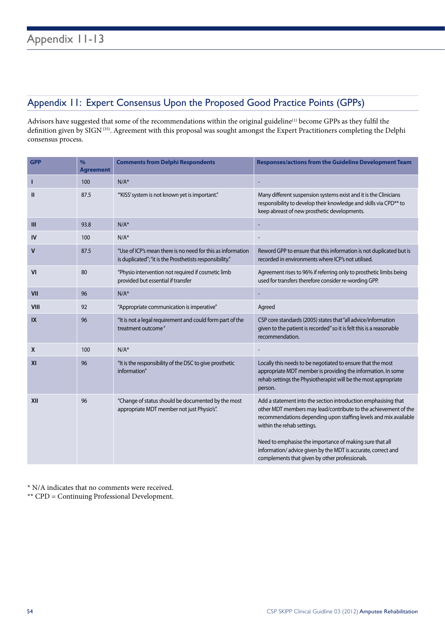## Appendix 11: Expert Consensus Upon the Proposed Good Practice Points (GPPs)

Advisors have suggested that some of the recommendations within the original guideline<sup>(1)</sup> become GPPs as they fulfil the definition given by SIGN<sup>(35)</sup>. Agreement with this proposal was sought amongst the Expert Practitioners completing the Delphi consensus process.

| <b>GPP</b>  | $\frac{9}{6}$<br><b>Agreement</b> | <b>Comments from Delphi Respondents</b>                                                                                 | Responses/actions from the Guideline Development Team                                                                                                                                                                                                                                                                                                                                                             |
|-------------|-----------------------------------|-------------------------------------------------------------------------------------------------------------------------|-------------------------------------------------------------------------------------------------------------------------------------------------------------------------------------------------------------------------------------------------------------------------------------------------------------------------------------------------------------------------------------------------------------------|
| Т           | 100                               | $N/A^*$                                                                                                                 |                                                                                                                                                                                                                                                                                                                                                                                                                   |
| Ш           | 87.5                              | "KISS' system is not known yet is important."                                                                           | Many different suspension systems exist and it is the Clinicians<br>responsibility to develop their knowledge and skills via CPD <sup>**</sup> to<br>keep abreast of new prosthetic developments.                                                                                                                                                                                                                 |
| Ш           | 93.8                              | $N/A^*$                                                                                                                 | $\overline{\phantom{a}}$                                                                                                                                                                                                                                                                                                                                                                                          |
| IV          | 100                               | $N/A^*$                                                                                                                 |                                                                                                                                                                                                                                                                                                                                                                                                                   |
| v           | 87.5                              | "Use of ICP's mean there is no need for this as information<br>is duplicated"; "it is the Prosthetists responsibility." | Reword GPP to ensure that this information is not duplicated but is<br>recorded in environments where ICP's not utilised.                                                                                                                                                                                                                                                                                         |
| VI          | 80                                | "Physio intervention not required if cosmetic limb<br>provided but essential if transfer                                | Agreement rises to 96% if referring only to prosthetic limbs being<br>used for transfers therefore consider re-wording GPP.                                                                                                                                                                                                                                                                                       |
| <b>VII</b>  | 96                                | $N/A^*$                                                                                                                 |                                                                                                                                                                                                                                                                                                                                                                                                                   |
| <b>VIII</b> | 92                                | "Appropriate communication is imperative"                                                                               | Agreed                                                                                                                                                                                                                                                                                                                                                                                                            |
| IX          | 96                                | "It is not a legal requirement and could form part of the<br>treatment outcome"                                         | CSP core standards (2005) states that "all advice/information<br>given to the patient is recorded" so it is felt this is a reasonable<br>recommendation.                                                                                                                                                                                                                                                          |
| X           | 100                               | $N/A^*$                                                                                                                 |                                                                                                                                                                                                                                                                                                                                                                                                                   |
| XI          | 96                                | "It is the responsibility of the DSC to give prosthetic<br>information"                                                 | Locally this needs to be negotiated to ensure that the most<br>appropriate MDT member is providing the information. In some<br>rehab settings the Physiotherapist will be the most appropriate<br>person.                                                                                                                                                                                                         |
| XII         | 96                                | "Change of status should be documented by the most<br>appropriate MDT member not just Physio's".                        | Add a statement into the section introduction emphasising that<br>other MDT members may lead/contribute to the achievement of the<br>recommendations depending upon staffing levels and mix available<br>within the rehab settings.<br>Need to emphasise the importance of making sure that all<br>information/advice given by the MDT is accurate, correct and<br>complements that given by other professionals. |

\* N/A indicates that no comments were received.

\*\* CPD = Continuing Professional Development.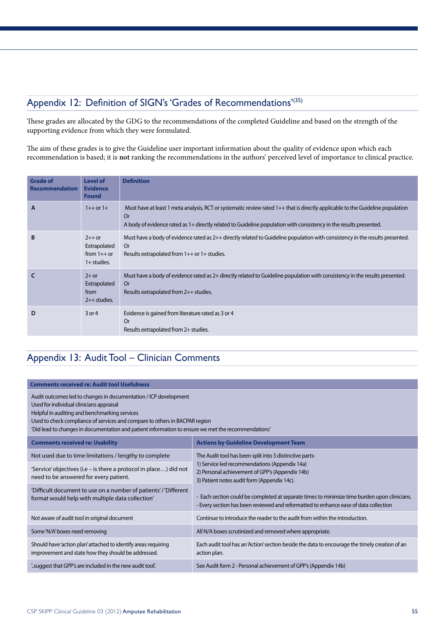## Appendix 12: Definition of SIGN's 'Grades of Recommendations'(35)

These grades are allocated by the GDG to the recommendations of the completed Guideline and based on the strength of the supporting evidence from which they were formulated.

The aim of these grades is to give the Guideline user important information about the quality of evidence upon which each recommendation is based; it is **not** ranking the recommendations in the authors' perceived level of importance to clinical practice.

| <b>Grade of</b><br><b>Recommendation</b> | <b>Level of</b><br><b>Evidence</b><br><b>Found</b>         | <b>Definition</b>                                                                                                                                                                                                                                                 |
|------------------------------------------|------------------------------------------------------------|-------------------------------------------------------------------------------------------------------------------------------------------------------------------------------------------------------------------------------------------------------------------|
| $\mathsf{A}$                             | $1++$ or $1+$                                              | Must have at least 1 meta analysis, RCT or systematic review rated 1++ that is directly applicable to the Guideline population<br><b>Or</b><br>A body of evidence rated as 1+ directly related to Guideline population with consistency in the results presented. |
| B                                        | $2++$ or<br>Extrapolated<br>from $1++$ or<br>$1+$ studies. | Must have a body of evidence rated as 2++ directly related to Guideline population with consistency in the results presented.<br>0r<br>Results extrapolated from 1++ or 1+ studies.                                                                               |
|                                          | $2+$ or<br>Extrapolated<br>from<br>$2++$ studies.          | Must have a body of evidence rated as 2+ directly related to Guideline population with consistency in the results presented.<br><b>Or</b><br>Results extrapolated from 2++ studies.                                                                               |
| D                                        | $3$ or 4                                                   | Evidence is gained from literature rated as 3 or 4<br><b>Or</b><br>Results extrapolated from 2+ studies.                                                                                                                                                          |

## Appendix 13: Audit Tool – Clinician Comments

| <b>Comments received re: Audit tool Usefulness</b>                                                                                                                                                                                                                                                                                                  |                                                                                                                                                                                      |
|-----------------------------------------------------------------------------------------------------------------------------------------------------------------------------------------------------------------------------------------------------------------------------------------------------------------------------------------------------|--------------------------------------------------------------------------------------------------------------------------------------------------------------------------------------|
| Audit outcomes led to changes in documentation / ICP development<br>Used for individual clinicians appraisal<br>Helpful in auditing and benchmarking services<br>Used to check compliance of services and compare to others in BACPAR region<br>'Did lead to changes in documentation and patient information to ensure we met the recommendations' |                                                                                                                                                                                      |
| <b>Comments received re: Usability</b>                                                                                                                                                                                                                                                                                                              | <b>Actions by Guideline Development Team</b>                                                                                                                                         |
| Not used due to time limitations / lengthy to complete                                                                                                                                                                                                                                                                                              | The Audit tool has been split into 3 distinctive parts-                                                                                                                              |
| 'Service' objectives (i.e - is there a protocol in place) did not<br>need to be answered for every patient.                                                                                                                                                                                                                                         | 1) Service led recommendations (Appendix 14a)<br>2) Personal achievement of GPP's (Appendix 14b)<br>3) Patient notes audit form (Appendix 14c).                                      |
| 'Difficult document to use on a number of patients'/'Different<br>format would help with multiple data collection'                                                                                                                                                                                                                                  | - Each section could be completed at separate times to minimize time burden upon clinicians.<br>- Every section has been reviewed and reformatted to enhance ease of data collection |
| Not aware of audit tool in original document                                                                                                                                                                                                                                                                                                        | Continue to introduce the reader to the audit from within the introduction.                                                                                                          |
| Some 'N/A' boxes need removing                                                                                                                                                                                                                                                                                                                      | All N/A boxes scrutinized and removed where appropriate.                                                                                                                             |
| Should have 'action plan' attached to identify areas requiring<br>improvement and state how they should be addressed.                                                                                                                                                                                                                               | Each audit tool has an 'Action' section beside the data to encourage the timely creation of an<br>action plan.                                                                       |
| "suggest that GPP's are included in the new audit tool".                                                                                                                                                                                                                                                                                            | See Audit form 2 - Personal achievement of GPP's (Appendix 14b)                                                                                                                      |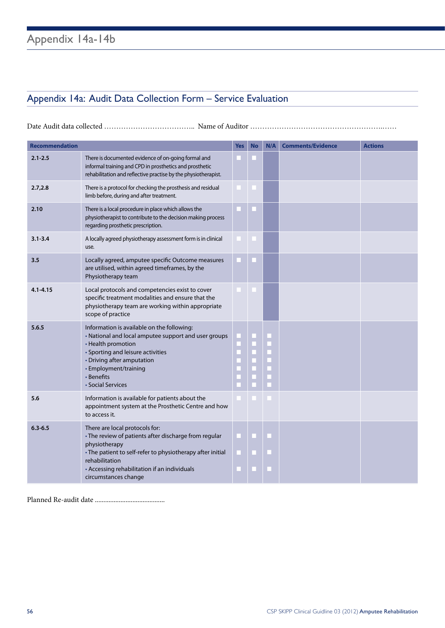## Appendix 14a: Audit Data Collection Form – Service Evaluation

Date Audit data collected …………………………………………… Name of Auditor ………………………………………………………

| <b>Recommendation</b> |                                                                                                                                                                                                                                                                  | <b>Yes</b> | <b>No</b> | N/A                           | <b>Comments/Evidence</b> | <b>Actions</b> |
|-----------------------|------------------------------------------------------------------------------------------------------------------------------------------------------------------------------------------------------------------------------------------------------------------|------------|-----------|-------------------------------|--------------------------|----------------|
| $2.1 - 2.5$           | There is documented evidence of on-going formal and<br>informal training and CPD in prosthetics and prosthetic<br>rehabilitation and reflective practise by the physiotherapist.                                                                                 |            |           |                               |                          |                |
| 2.7,2.8               | There is a protocol for checking the prosthesis and residual<br>limb before, during and after treatment.                                                                                                                                                         |            |           |                               |                          |                |
| 2.10                  | There is a local procedure in place which allows the<br>physiotherapist to contribute to the decision making process<br>regarding prosthetic prescription.                                                                                                       |            |           |                               |                          |                |
| $3.1 - 3.4$           | A locally agreed physiotherapy assessment form is in clinical<br>use.                                                                                                                                                                                            |            |           |                               |                          |                |
| 3.5                   | Locally agreed, amputee specific Outcome measures<br>are utilised, within agreed timeframes, by the<br>Physiotherapy team                                                                                                                                        |            |           |                               |                          |                |
| $4.1 - 4.15$          | Local protocols and competencies exist to cover<br>specific treatment modalities and ensure that the<br>physiotherapy team are working within appropriate<br>scope of practice                                                                                   |            |           |                               |                          |                |
| 5.6.5                 | Information is available on the following:<br>• National and local amputee support and user groups<br>• Health promotion<br>• Sporting and leisure activities<br>• Driving after amputation<br>• Employment/training<br>• Benefits<br>• Social Services          |            | Ľ<br>E    | ш<br>п<br>$\blacksquare$<br>E |                          |                |
| 5.6                   | Information is available for patients about the<br>appointment system at the Prosthetic Centre and how<br>to access it.                                                                                                                                          |            |           |                               |                          |                |
| $6.3 - 6.5$           | There are local protocols for:<br>• The review of patients after discharge from regular<br>physiotherapy<br>• The patient to self-refer to physiotherapy after initial<br>rehabilitation<br>• Accessing rehabilitation if an individuals<br>circumstances change |            |           |                               |                          |                |

Planned Re-audit date .........................................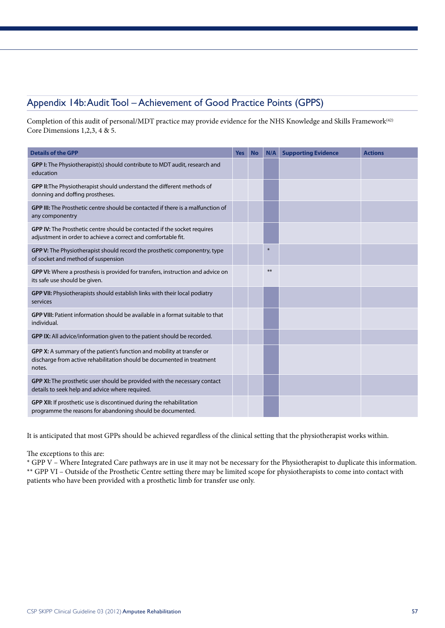## Appendix 14b: Audit Tool – Achievement of Good Practice Points (GPPS)

Completion of this audit of personal/MDT practice may provide evidence for the NHS Knowledge and Skills Framework<sup>(42)</sup> Core Dimensions 1,2,3, 4 & 5.

| <b>Details of the GPP</b>                                                                                                                                  | <b>Yes</b> | <b>No</b> | N/A    | <b>Supporting Evidence</b> | <b>Actions</b> |
|------------------------------------------------------------------------------------------------------------------------------------------------------------|------------|-----------|--------|----------------------------|----------------|
| GPP I: The Physiotherapist(s) should contribute to MDT audit, research and<br>education                                                                    |            |           |        |                            |                |
| GPP II: The Physiotherapist should understand the different methods of<br>donning and doffing prostheses.                                                  |            |           |        |                            |                |
| GPP III: The Prosthetic centre should be contacted if there is a malfunction of<br>any componentry                                                         |            |           |        |                            |                |
| GPP IV: The Prosthetic centre should be contacted if the socket requires<br>adjustment in order to achieve a correct and comfortable fit.                  |            |           |        |                            |                |
| GPP V: The Physiotherapist should record the prosthetic componentry, type<br>of socket and method of suspension                                            |            |           | $\ast$ |                            |                |
| GPP VI: Where a prosthesis is provided for transfers, instruction and advice on<br>its safe use should be given.                                           |            |           | $***$  |                            |                |
| GPP VII: Physiotherapists should establish links with their local podiatry<br>services                                                                     |            |           |        |                            |                |
| GPP VIII: Patient information should be available in a format suitable to that<br>individual.                                                              |            |           |        |                            |                |
| GPP IX: All advice/information given to the patient should be recorded.                                                                                    |            |           |        |                            |                |
| GPP X: A summary of the patient's function and mobility at transfer or<br>discharge from active rehabilitation should be documented in treatment<br>notes. |            |           |        |                            |                |
| GPP XI: The prosthetic user should be provided with the necessary contact<br>details to seek help and advice where required.                               |            |           |        |                            |                |
| GPP XII: If prosthetic use is discontinued during the rehabilitation<br>programme the reasons for abandoning should be documented.                         |            |           |        |                            |                |

It is anticipated that most GPPs should be achieved regardless of the clinical setting that the physiotherapist works within.

The exceptions to this are:

\* GPP V – Where Integrated Care pathways are in use it may not be necessary for the Physiotherapist to duplicate this information. \*\* GPP VI – Outside of the Prosthetic Centre setting there may be limited scope for physiotherapists to come into contact with patients who have been provided with a prosthetic limb for transfer use only.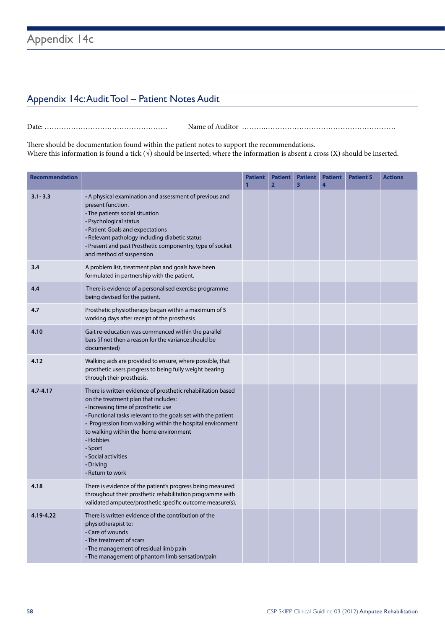## Appendix 14c

## Appendix 14c: Audit Tool – Patient Notes Audit

Date: …………………………………………… Name of Auditor ……….………………………………………………

There should be documentation found within the patient notes to support the recommendations. Where this information is found a tick  $(\sqrt{})$  should be inserted; where the information is absent a cross  $(X)$  should be inserted.

| <b>Recommendation</b> |                                                                                                                                                                                                                                                                                                                                                                                                      | <b>Patient</b><br>1 | <b>Patient</b><br>$\overline{2}$ | <b>Patient</b><br>$\overline{\mathbf{3}}$ | <b>Patient</b><br>4 | <b>Patient 5</b> | <b>Actions</b> |
|-----------------------|------------------------------------------------------------------------------------------------------------------------------------------------------------------------------------------------------------------------------------------------------------------------------------------------------------------------------------------------------------------------------------------------------|---------------------|----------------------------------|-------------------------------------------|---------------------|------------------|----------------|
| $3.1 - 3.3$           | • A physical examination and assessment of previous and<br>present function.<br>• The patients social situation<br>• Psychological status<br>• Patient Goals and expectations<br>• Relevant pathology including diabetic status<br>• Present and past Prosthetic componentry, type of socket<br>and method of suspension                                                                             |                     |                                  |                                           |                     |                  |                |
| 3.4                   | A problem list, treatment plan and goals have been<br>formulated in partnership with the patient.                                                                                                                                                                                                                                                                                                    |                     |                                  |                                           |                     |                  |                |
| 4.4                   | There is evidence of a personalised exercise programme<br>being devised for the patient.                                                                                                                                                                                                                                                                                                             |                     |                                  |                                           |                     |                  |                |
| 4.7                   | Prosthetic physiotherapy began within a maximum of 5<br>working days after receipt of the prosthesis                                                                                                                                                                                                                                                                                                 |                     |                                  |                                           |                     |                  |                |
| 4.10                  | Gait re-education was commenced within the parallel<br>bars (if not then a reason for the variance should be<br>documented)                                                                                                                                                                                                                                                                          |                     |                                  |                                           |                     |                  |                |
| 4.12                  | Walking aids are provided to ensure, where possible, that<br>prosthetic users progress to being fully weight bearing<br>through their prosthesis.                                                                                                                                                                                                                                                    |                     |                                  |                                           |                     |                  |                |
| $4.7 - 4.17$          | There is written evidence of prosthetic rehabilitation based<br>on the treatment plan that includes:<br>· Increasing time of prosthetic use<br>• Functional tasks relevant to the goals set with the patient<br>• Progression from walking within the hospital environment<br>to walking within the home environment<br>• Hobbies<br>• Sport<br>• Social activities<br>• Driving<br>• Return to work |                     |                                  |                                           |                     |                  |                |
| 4.18                  | There is evidence of the patient's progress being measured<br>throughout their prosthetic rehabilitation programme with<br>validated amputee/prosthetic specific outcome measure(s).                                                                                                                                                                                                                 |                     |                                  |                                           |                     |                  |                |
| 4.19-4.22             | There is written evidence of the contribution of the<br>physiotherapist to:<br>• Care of wounds<br>• The treatment of scars<br>• The management of residual limb pain<br>• The management of phantom limb sensation/pain                                                                                                                                                                             |                     |                                  |                                           |                     |                  |                |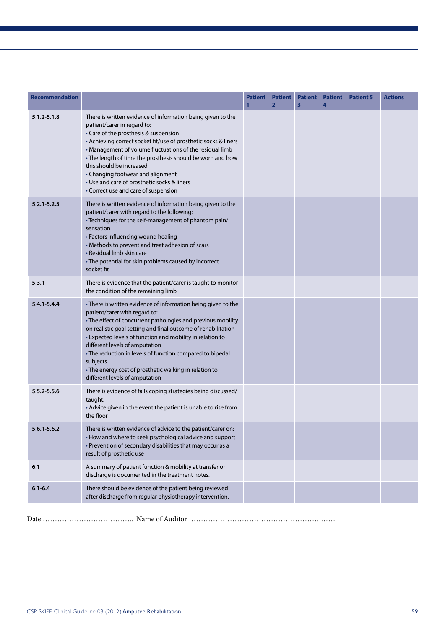| <b>Recommendation</b> |                                                                                                                                                                                                                                                                                                                                                                                                                                                                                                     | <b>Patient</b> | <b>Patient</b><br>$\overline{2}$ | <b>Patient</b><br>$\overline{\mathbf{3}}$ | <b>Patient</b><br>4 | <b>Patient 5</b> | <b>Actions</b> |
|-----------------------|-----------------------------------------------------------------------------------------------------------------------------------------------------------------------------------------------------------------------------------------------------------------------------------------------------------------------------------------------------------------------------------------------------------------------------------------------------------------------------------------------------|----------------|----------------------------------|-------------------------------------------|---------------------|------------------|----------------|
| $5.1.2 - 5.1.8$       | There is written evidence of information being given to the<br>patient/carer in regard to:<br>• Care of the prosthesis & suspension<br>• Achieving correct socket fit/use of prosthetic socks & liners<br>• Management of volume fluctuations of the residual limb<br>• The length of time the prosthesis should be worn and how<br>this should be increased.<br>• Changing footwear and alignment<br>• Use and care of prosthetic socks & liners<br>• Correct use and care of suspension           |                |                                  |                                           |                     |                  |                |
| $5.2.1 - 5.2.5$       | There is written evidence of information being given to the<br>patient/carer with regard to the following:<br>• Techniques for the self-management of phantom pain/<br>sensation<br>• Factors influencing wound healing<br>• Methods to prevent and treat adhesion of scars<br>• Residual limb skin care<br>• The potential for skin problems caused by incorrect<br>socket fit                                                                                                                     |                |                                  |                                           |                     |                  |                |
| 5.3.1                 | There is evidence that the patient/carer is taught to monitor<br>the condition of the remaining limb                                                                                                                                                                                                                                                                                                                                                                                                |                |                                  |                                           |                     |                  |                |
| $5.4.1 - 5.4.4$       | • There is written evidence of information being given to the<br>patient/carer with regard to:<br>• The effect of concurrent pathologies and previous mobility<br>on realistic goal setting and final outcome of rehabilitation<br>• Expected levels of function and mobility in relation to<br>different levels of amputation<br>• The reduction in levels of function compared to bipedal<br>subjects<br>• The energy cost of prosthetic walking in relation to<br>different levels of amputation |                |                                  |                                           |                     |                  |                |
| 5.5.2-5.5.6           | There is evidence of falls coping strategies being discussed/<br>taught.<br>• Advice given in the event the patient is unable to rise from<br>the floor                                                                                                                                                                                                                                                                                                                                             |                |                                  |                                           |                     |                  |                |
| $5.6.1 - 5.6.2$       | There is written evidence of advice to the patient/carer on:<br>• How and where to seek psychological advice and support<br>• Prevention of secondary disabilities that may occur as a<br>result of prosthetic use                                                                                                                                                                                                                                                                                  |                |                                  |                                           |                     |                  |                |
| 6.1                   | A summary of patient function & mobility at transfer or<br>discharge is documented in the treatment notes.                                                                                                                                                                                                                                                                                                                                                                                          |                |                                  |                                           |                     |                  |                |
| $6.1 - 6.4$           | There should be evidence of the patient being reviewed<br>after discharge from regular physiotherapy intervention.                                                                                                                                                                                                                                                                                                                                                                                  |                |                                  |                                           |                     |                  |                |
|                       |                                                                                                                                                                                                                                                                                                                                                                                                                                                                                                     |                |                                  |                                           |                     |                  |                |

Date ……………………………….. Name of Auditor ……………………………………………….…… n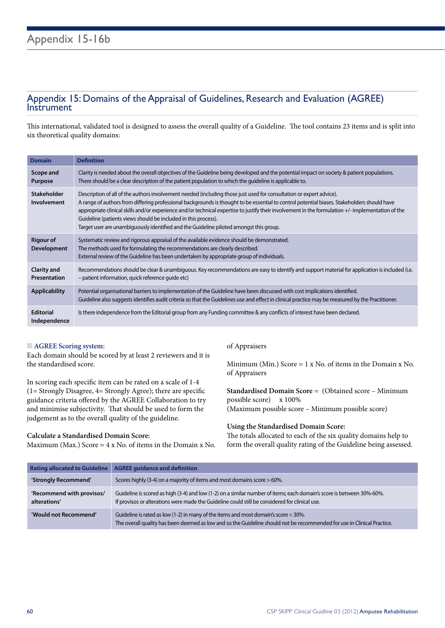# Appendix 15: Domains of the Appraisal of Guidelines, Research and Evaluation (AGREE) Instrument

This international, validated tool is designed to assess the overall quality of a Guideline. The tool contains 23 items and is split into six theoretical quality domains:

| <b>Domain</b>                          | <b>Definition</b>                                                                                                                                                                                                                                                                                                                                                                                                                                                                                                                                                                    |
|----------------------------------------|--------------------------------------------------------------------------------------------------------------------------------------------------------------------------------------------------------------------------------------------------------------------------------------------------------------------------------------------------------------------------------------------------------------------------------------------------------------------------------------------------------------------------------------------------------------------------------------|
| Scope and<br>Purpose                   | Clarity is needed about the overall objectives of the Guideline being developed and the potential impact on society & patient populations.<br>There should be a clear description of the patient population to which the quideline is applicable to.                                                                                                                                                                                                                                                                                                                                 |
| <b>Stakeholder</b><br>Involvement      | Description of all of the authors involvement needed (including those just used for consultation or expert advice).<br>A range of authors from differing professional backgrounds is thought to be essential to control potential biases. Stakeholders should have<br>appropriate clinical skills and/or experience and/or technical expertise to justify their involvement in the formulation +/- implementation of the<br>Guideline (patients views should be included in this process).<br>Target user are unambiguously identified and the Guideline piloted amongst this group. |
| <b>Rigour of</b><br><b>Development</b> | Systematic review and rigorous appraisal of the available evidence should be demonstrated.<br>The methods used for formulating the recommendations are clearly described.<br>External review of the Guideline has been undertaken by appropriate group of individuals.                                                                                                                                                                                                                                                                                                               |
| Clarity and<br>Presentation            | Recommendations should be clear & unambiguous. Key recommendations are easy to identify and support material for application is included (i.e.<br>- patient information, quick reference quide etc)                                                                                                                                                                                                                                                                                                                                                                                  |
| <b>Applicability</b>                   | Potential organisational barriers to implementation of the Guideline have been discussed with cost implications identified.<br>Guideline also suggests identifies audit criteria so that the Guidelines use and effect in clinical practice may be measured by the Practitioner.                                                                                                                                                                                                                                                                                                     |
| <b>Editorial</b><br>Independence       | Is there independence from the Editorial group from any Funding committee & any conflicts of interest have been declared.                                                                                                                                                                                                                                                                                                                                                                                                                                                            |

#### $\blacksquare$  **AGREE Scoring system:**

Each domain should be scored by at least 2 reviewers and it is the standardised score.

In scoring each specific item can be rated on a scale of 1-4 (1= Strongly Disagree, 4= Strongly Agree); there are specific guidance criteria offered by the AGREE Collaboration to try and minimise subjectivity. That should be used to form the judgement as to the overall quality of the guideline.

#### **Calculate a Standardised Domain Score:**

Maximum (Max.) Score =  $4 \times$  No. of items in the Domain x No.

#### of Appraisers

Minimum (Min.) Score =  $1 \times$  No. of items in the Domain  $x$  No. of Appraisers

**Standardised Domain Score** = (Obtained score – Minimum possible score) x 100% (Maximum possible score – Minimum possible score)

#### **Using the Standardised Domain Score:**

The totals allocated to each of the six quality domains help to form the overall quality rating of the Guideline being assessed.

| <b>Rating allocated to Guideline</b>      | <b>AGREE guidance and definition</b>                                                                                                                                                                                    |
|-------------------------------------------|-------------------------------------------------------------------------------------------------------------------------------------------------------------------------------------------------------------------------|
| 'Strongly Recommend'                      | Scores highly (3-4) on a majority of items and most domains score > 60%.                                                                                                                                                |
| 'Recommend with provisos/<br>alterations' | Guideline is scored as high (3-4) and low (1-2) on a similar number of items; each domain's score is between 30%-60%.<br>If provisos or alterations were made the Guideline could still be considered for clinical use. |
| 'Would not Recommend'                     | Guideline is rated as low (1-2) in many of the items and most domain's score < 30%.<br>The overall quality has been deemed as low and so the Guideline should not be recommended for use in Clinical Practice.          |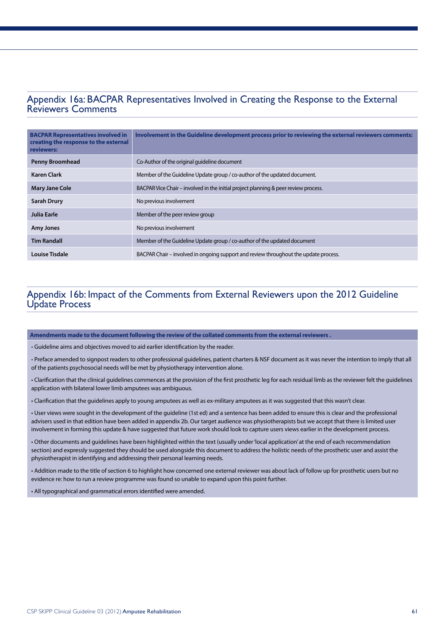# Appendix 16a: BACPAR Representatives Involved in Creating the Response to the External Reviewers Comments

| <b>BACPAR Representatives involved in</b><br>creating the response to the external<br>reviewers: | Involvement in the Guideline development process prior to reviewing the external reviewers comments: |
|--------------------------------------------------------------------------------------------------|------------------------------------------------------------------------------------------------------|
| <b>Penny Broomhead</b>                                                                           | Co-Author of the original guideline document                                                         |
| <b>Karen Clark</b>                                                                               | Member of the Guideline Update group / co-author of the updated document.                            |
| <b>Mary Jane Cole</b>                                                                            | BACPAR Vice Chair – involved in the initial project planning & peer review process.                  |
| <b>Sarah Drury</b>                                                                               | No previous involvement                                                                              |
| Julia Earle                                                                                      | Member of the peer review group                                                                      |
| <b>Amy Jones</b>                                                                                 | No previous involvement                                                                              |
| <b>Tim Randall</b>                                                                               | Member of the Guideline Update group / co-author of the updated document                             |
| Louise Tisdale                                                                                   | BACPAR Chair – involved in ongoing support and review throughout the update process.                 |

## Appendix 16b: Impact of the Comments from External Reviewers upon the 2012 Guideline Update Process

**Amendments made to the document following the review of the collated comments from the external reviewers .**

• Guideline aims and objectives moved to aid earlier identification by the reader.

• Preface amended to signpost readers to other professional guidelines, patient charters & NSF document as it was never the intention to imply that all of the patients psychosocial needs will be met by physiotherapy intervention alone.

• Clarification that the clinical guidelines commences at the provision of the first prosthetic leg for each residual limb as the reviewer felt the guidelines application with bilateral lower limb amputees was ambiguous.

• Clarification that the guidelines apply to young amputees as well as ex-military amputees as it was suggested that this wasn't clear.

• User views were sought in the development of the guideline (1st ed) and a sentence has been added to ensure this is clear and the professional advisers used in that edition have been added in appendix 2b. Our target audience was physiotherapists but we accept that there is limited user involvement in forming this update & have suggested that future work should look to capture users views earlier in the development process.

• Other documents and guidelines have been highlighted within the text (usually under 'local application' at the end of each recommendation section) and expressly suggested they should be used alongside this document to address the holistic needs of the prosthetic user and assist the physiotherapist in identifying and addressing their personal learning needs.

• Addition made to the title of section 6 to highlight how concerned one external reviewer was about lack of follow up for prosthetic users but no evidence re: how to run a review programme was found so unable to expand upon this point further.

• All typographical and grammatical errors identified were amended.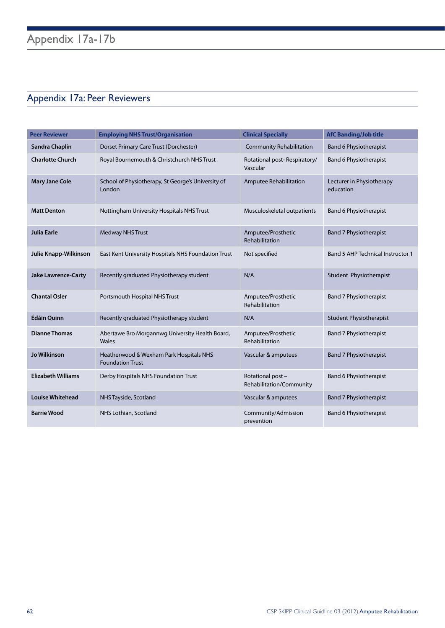## Appendix 17a: Peer Reviewers

| <b>Peer Reviewer</b>       | <b>Employing NHS Trust/Organisation</b>                            | <b>Clinical Specially</b>                     | <b>AfC Banding/Job title</b>             |
|----------------------------|--------------------------------------------------------------------|-----------------------------------------------|------------------------------------------|
| Sandra Chaplin             | Dorset Primary Care Trust (Dorchester)                             | <b>Community Rehabilitation</b>               | <b>Band 6 Physiotherapist</b>            |
| <b>Charlotte Church</b>    | Royal Bournemouth & Christchurch NHS Trust                         | Rotational post-Respiratory/<br>Vascular      | <b>Band 6 Physiotherapist</b>            |
| <b>Mary Jane Cole</b>      | School of Physiotherapy, St George's University of<br>London       | Amputee Rehabilitation                        | Lecturer in Physiotherapy<br>education   |
| <b>Matt Denton</b>         | Nottingham University Hospitals NHS Trust                          | Musculoskeletal outpatients                   | <b>Band 6 Physiotherapist</b>            |
| <b>Julia Earle</b>         | <b>Medway NHS Trust</b>                                            | Amputee/Prosthetic<br>Rehabilitation          | <b>Band 7 Physiotherapist</b>            |
| Julie Knapp-Wilkinson      | East Kent University Hospitals NHS Foundation Trust                | Not specified                                 | <b>Band 5 AHP Technical Instructor 1</b> |
| <b>Jake Lawrence-Carty</b> | Recently graduated Physiotherapy student                           | N/A                                           | Student Physiotherapist                  |
| <b>Chantal Osler</b>       | Portsmouth Hospital NHS Trust                                      | Amputee/Prosthetic<br>Rehabilitation          | <b>Band 7 Physiotherapist</b>            |
| Édáin Quinn                | Recently graduated Physiotherapy student                           | N/A                                           | <b>Student Physiotherapist</b>           |
| <b>Dianne Thomas</b>       | Abertawe Bro Morgannwg University Health Board,<br>Wales           | Amputee/Prosthetic<br>Rehabilitation          | <b>Band 7 Physiotherapist</b>            |
| <b>Jo Wilkinson</b>        | Heatherwood & Wexham Park Hospitals NHS<br><b>Foundation Trust</b> | Vascular & amputees                           | <b>Band 7 Physiotherapist</b>            |
| <b>Elizabeth Williams</b>  | Derby Hospitals NHS Foundation Trust                               | Rotational post -<br>Rehabilitation/Community | <b>Band 6 Physiotherapist</b>            |
| <b>Louise Whitehead</b>    | NHS Tayside, Scotland                                              | Vascular & amputees                           | <b>Band 7 Physiotherapist</b>            |
| <b>Barrie Wood</b>         | NHS Lothian, Scotland                                              | Community/Admission<br>prevention             | <b>Band 6 Physiotherapist</b>            |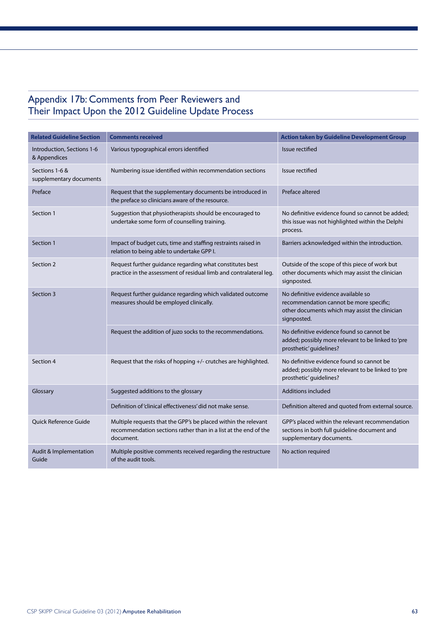## Appendix 17b: Comments from Peer Reviewers and Their Impact Upon the 2012 Guideline Update Process

| <b>Related Guideline Section</b>           | <b>Comments received</b>                                                                                                                       | <b>Action taken by Guideline Development Group</b>                                                                                              |
|--------------------------------------------|------------------------------------------------------------------------------------------------------------------------------------------------|-------------------------------------------------------------------------------------------------------------------------------------------------|
| Introduction, Sections 1-6<br>& Appendices | Various typographical errors identified                                                                                                        | Issue rectified                                                                                                                                 |
| Sections 1-6 &<br>supplementary documents  | Numbering issue identified within recommendation sections                                                                                      | Issue rectified                                                                                                                                 |
| Preface                                    | Request that the supplementary documents be introduced in<br>the preface so clinicians aware of the resource.                                  | Preface altered                                                                                                                                 |
| Section 1                                  | Suggestion that physiotherapists should be encouraged to<br>undertake some form of counselling training.                                       | No definitive evidence found so cannot be added;<br>this issue was not highlighted within the Delphi<br>process.                                |
| Section 1                                  | Impact of budget cuts, time and staffing restraints raised in<br>relation to being able to undertake GPP I.                                    | Barriers acknowledged within the introduction.                                                                                                  |
| Section 2                                  | Request further guidance regarding what constitutes best<br>practice in the assessment of residual limb and contralateral leg.                 | Outside of the scope of this piece of work but<br>other documents which may assist the clinician<br>signposted.                                 |
| Section 3                                  | Request further guidance regarding which validated outcome<br>measures should be employed clinically.                                          | No definitive evidence available so<br>recommendation cannot be more specific;<br>other documents which may assist the clinician<br>signposted. |
|                                            | Request the addition of juzo socks to the recommendations.                                                                                     | No definitive evidence found so cannot be<br>added; possibly more relevant to be linked to 'pre<br>prosthetic' guidelines?                      |
| Section 4                                  | Request that the risks of hopping +/- crutches are highlighted.                                                                                | No definitive evidence found so cannot be<br>added; possibly more relevant to be linked to 'pre<br>prosthetic' guidelines?                      |
| Glossary                                   | Suggested additions to the glossary                                                                                                            | <b>Additions included</b>                                                                                                                       |
|                                            | Definition of 'clinical effectiveness' did not make sense.                                                                                     | Definition altered and quoted from external source.                                                                                             |
| <b>Ouick Reference Guide</b>               | Multiple requests that the GPP's be placed within the relevant<br>recommendation sections rather than in a list at the end of the<br>document. | GPP's placed within the relevant recommendation<br>sections in both full guideline document and<br>supplementary documents.                     |
| Audit & Implementation<br>Guide            | Multiple positive comments received regarding the restructure<br>of the audit tools.                                                           | No action required                                                                                                                              |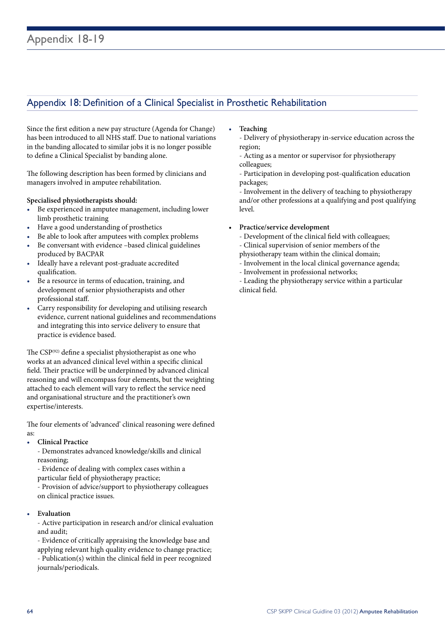## Appendix 18: Definition of a Clinical Specialist in Prosthetic Rehabilitation

Since the first edition a new pay structure (Agenda for Change) has been introduced to all NHS staff. Due to national variations in the banding allocated to similar jobs it is no longer possible to define a Clinical Specialist by banding alone.

The following description has been formed by clinicians and managers involved in amputee rehabilitation.

#### **Specialised physiotherapists should:**

- • Be experienced in amputee management, including lower limb prosthetic training
- Have a good understanding of prosthetics
- Be able to look after amputees with complex problems
- Be conversant with evidence –based clinical guidelines produced by BACPAR
- Ideally have a relevant post-graduate accredited qualification.
- Be a resource in terms of education, training, and development of senior physiotherapists and other professional staff.
- Carry responsibility for developing and utilising research evidence, current national guidelines and recommendations and integrating this into service delivery to ensure that practice is evidence based.

The  $\text{CSP}^{(92)}$  define a specialist physiotherapist as one who works at an advanced clinical level within a specific clinical field. Their practice will be underpinned by advanced clinical reasoning and will encompass four elements, but the weighting attached to each element will vary to reflect the service need and organisational structure and the practitioner's own expertise/interests.

The four elements of 'advanced' clinical reasoning were defined as:

• **Clinical Practice**

 - Demonstrates advanced knowledge/skills and clinical reasoning;

 - Evidence of dealing with complex cases within a particular field of physiotherapy practice;

 - Provision of advice/support to physiotherapy colleagues on clinical practice issues.

• **Evaluation**

 - Active participation in research and/or clinical evaluation and audit;

 - Evidence of critically appraising the knowledge base and applying relevant high quality evidence to change practice; - Publication(s) within the clinical field in peer recognized journals/periodicals.

- **Teaching** 
	- Delivery of physiotherapy in-service education across the region;

 - Acting as a mentor or supervisor for physiotherapy colleagues;

 - Participation in developing post-qualification education packages;

 - Involvement in the delivery of teaching to physiotherapy and/or other professions at a qualifying and post qualifying level.

#### Practice/service development

- Development of the clinical field with colleagues;
- Clinical supervision of senior members of the
- physiotherapy team within the clinical domain;
- Involvement in the local clinical governance agenda;
- Involvement in professional networks;

 - Leading the physiotherapy service within a particular clinical field.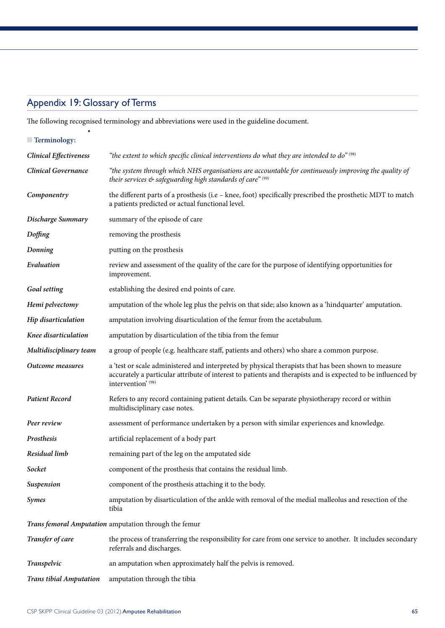#### 1 Appendix 19: Glossary of Terms

• 

The following recognised terminology and abbreviations were used in the guideline document.

| $\blacksquare$ Terminology:    |                                                                                                                                                                                                                                           |
|--------------------------------|-------------------------------------------------------------------------------------------------------------------------------------------------------------------------------------------------------------------------------------------|
| <b>Clinical Effectiveness</b>  | "the extent to which specific clinical interventions do what they are intended to $d\sigma^{''(98)}$                                                                                                                                      |
| <b>Clinical Governance</b>     | "the system through which NHS organisations are accountable for continuously improving the quality of<br>their services $\phi$ safeguarding high standards of care" $(99)$                                                                |
| Componentry                    | the different parts of a prosthesis (i.e - knee, foot) specifically prescribed the prosthetic MDT to match<br>a patients predicted or actual functional level.                                                                            |
| Discharge Summary              | summary of the episode of care                                                                                                                                                                                                            |
| Doffing                        | removing the prosthesis                                                                                                                                                                                                                   |
| Donning                        | putting on the prosthesis                                                                                                                                                                                                                 |
| Evaluation                     | review and assessment of the quality of the care for the purpose of identifying opportunities for<br>improvement.                                                                                                                         |
| Goal setting                   | establishing the desired end points of care.                                                                                                                                                                                              |
| Hemi pelvectomy                | amputation of the whole leg plus the pelvis on that side; also known as a 'hindquarter' amputation.                                                                                                                                       |
| Hip disarticulation            | amputation involving disarticulation of the femur from the acetabulum.                                                                                                                                                                    |
| Knee disarticulation           | amputation by disarticulation of the tibia from the femur                                                                                                                                                                                 |
| Multidisciplinary team         | a group of people (e.g. healthcare staff, patients and others) who share a common purpose.                                                                                                                                                |
| Outcome measures               | a 'test or scale administered and interpreted by physical therapists that has been shown to measure<br>accurately a particular attribute of interest to patients and therapists and is expected to be influenced by<br>intervention' (98) |
| <b>Patient Record</b>          | Refers to any record containing patient details. Can be separate physiotherapy record or within<br>multidisciplinary case notes.                                                                                                          |
| Peer review                    | assessment of performance undertaken by a person with similar experiences and knowledge.                                                                                                                                                  |
| Prosthesis                     | artificial replacement of a body part                                                                                                                                                                                                     |
| Residual limb                  | remaining part of the leg on the amputated side                                                                                                                                                                                           |
| Socket                         | component of the prosthesis that contains the residual limb.                                                                                                                                                                              |
| Suspension                     | component of the prosthesis attaching it to the body.                                                                                                                                                                                     |
| <b>Symes</b>                   | amputation by disarticulation of the ankle with removal of the medial malleolus and resection of the<br>tibia                                                                                                                             |
|                                | Trans femoral Amputation amputation through the femur                                                                                                                                                                                     |
| Transfer of care               | the process of transferring the responsibility for care from one service to another. It includes secondary<br>referrals and discharges.                                                                                                   |
| Transpelvic                    | an amputation when approximately half the pelvis is removed.                                                                                                                                                                              |
| <b>Trans tibial Amputation</b> | amputation through the tibia                                                                                                                                                                                                              |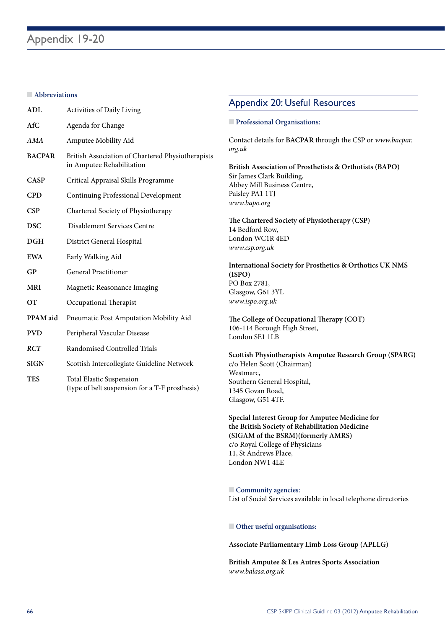#### **n Abbreviations**

| ADL           | Activities of Daily Living                                                     |
|---------------|--------------------------------------------------------------------------------|
| AfC           | Agenda for Change                                                              |
| AMA           | Amputee Mobility Aid                                                           |
| <b>BACPAR</b> | British Association of Chartered Physiotherapists<br>in Amputee Rehabilitation |
| <b>CASP</b>   | Critical Appraisal Skills Programme                                            |
| <b>CPD</b>    | Continuing Professional Development                                            |
| CSP           | Chartered Society of Physiotherapy                                             |
| <b>DSC</b>    | Disablement Services Centre                                                    |
| DGH           | District General Hospital                                                      |
| <b>EWA</b>    | Early Walking Aid                                                              |
| GP            | <b>General Practitioner</b>                                                    |
| <b>MRI</b>    | Magnetic Reasonance Imaging                                                    |
| OТ            | Occupational Therapist                                                         |
| PPAM aid      | Pneumatic Post Amputation Mobility Aid                                         |
| <b>PVD</b>    | Peripheral Vascular Disease                                                    |
| RCT           | Randomised Controlled Trials                                                   |
| <b>SIGN</b>   | Scottish Intercollegiate Guideline Network                                     |
|               | $1 - 1$                                                                        |

**TES** Total Elastic Suspension (type of belt suspension for a T-F prosthesis)

## Appendix 20: Useful Resources

#### **n** Professional Organisations:

Contact details for **BACPAR** through the CSP or *www.bacpar. org.uk*

**British Association of Prosthetists & Orthotists (BAPO)** Sir James Clark Building, Abbey Mill Business Centre, Paisley PA1 1TJ *www.bapo.org*

**The Chartered Society of Physiotherapy (CSP)** 14 Bedford Row, London WC1R 4ED *www.csp.org.uk*

**International Society for Prosthetics & Orthotics UK NMS (ISPO)** PO Box 2781, Glasgow, G61 3YL *www.ispo.org.uk*

**The College of Occupational Therapy (COT)** 106-114 Borough High Street, London SE1 1LB

**Scottish Physiotherapists Amputee Research Group (SPARG)**  c/o Helen Scott (Chairman) Westmarc, Southern General Hospital, 1345 Govan Road, Glasgow, G51 4TF.

**Special Interest Group for Amputee Medicine for the British Society of Rehabilitation Medicine (SIGAM of the BSRM)(formerly AMRS)** c/o Royal College of Physicians 11, St Andrews Place, London NW1 4LE

**n** Community agencies: List of Social Services available in local telephone directories

**n** Other useful organisations:

**Associate Parliamentary Limb Loss Group (APLLG)**

**British Amputee & Les Autres Sports Association** *www.balasa.org.uk*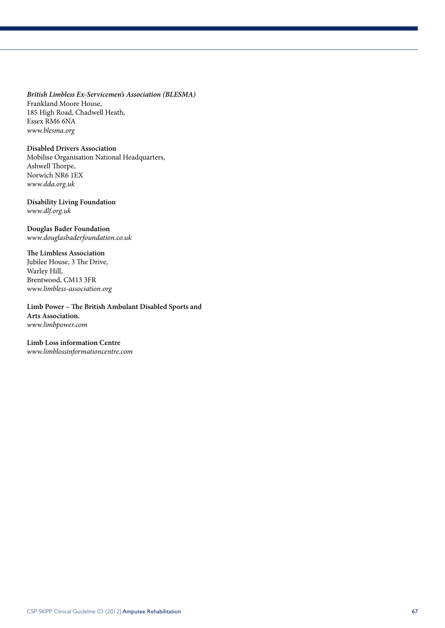*British Limbless Ex-Servicemen's Association (BLESMA)* Frankland Moore House, 185 High Road, Chadwell Heath, Essex RM6 6NA *www.blesma.org*

#### **Disabled Drivers Association**

Mobilise Organisation National Headquarters, Ashwell Thorpe, Norwich NR6 1EX *www.dda.org.uk*

#### **Disability Living Foundation** *www.dlf.org.uk*

#### **Douglas Bader Foundation**

*www.douglasbaderfoundation.co.uk*

#### **The Limbless Association**

Jubilee House, 3 The Drive, Warley Hill, Brentwood, CM13 3FR *www.limbless-association.org*

**Limb Power – The British Ambulant Disabled Sports and Arts Association.** *www.limbpower.com*

#### **Limb Loss information Centre**

*www.limblossinformationcentre.com*